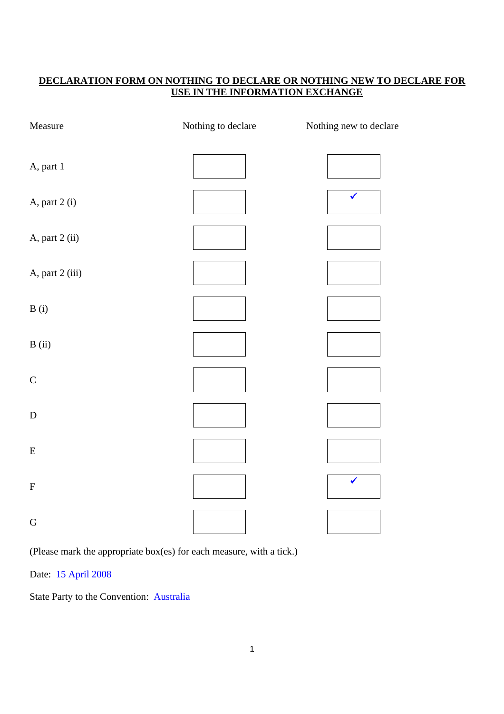# **DECLARATION FORM ON NOTHING TO DECLARE OR NOTHING NEW TO DECLARE FOR USE IN THE INFORMATION EXCHANGE**

| Measure         | Nothing to declare | Nothing new to declare |
|-----------------|--------------------|------------------------|
| A, part 1       |                    |                        |
| A, part 2 (i)   |                    | $\checkmark$           |
| A, part 2 (ii)  |                    |                        |
| A, part 2 (iii) |                    |                        |
| B(i)            |                    |                        |
| B(ii)           |                    |                        |
| $\mathsf C$     |                    |                        |
| ${\bf D}$       |                    |                        |
| ${\bf E}$       |                    |                        |
| $\mathbf F$     |                    | $\checkmark$           |
| ${\bf G}$       |                    |                        |

(Please mark the appropriate box(es) for each measure, with a tick.)

Date: 15 April 2008

State Party to the Convention: Australia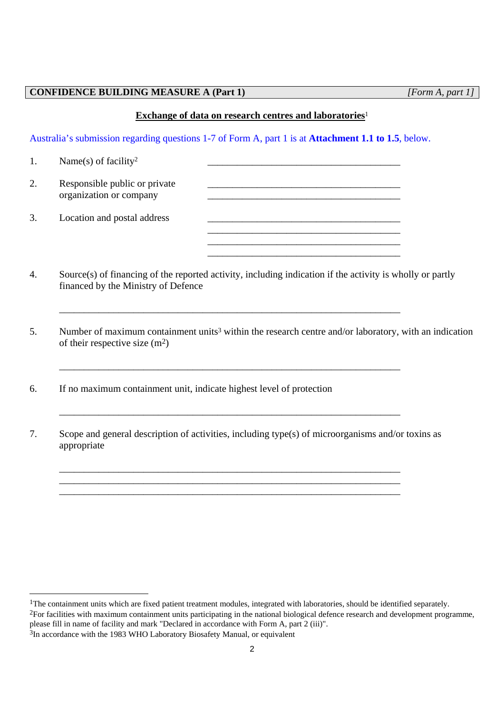### **CONFIDENCE BUILDING MEASURE A (Part 1)** *[Form A, part 1]*

### **Exchange of data on research centres and laboratories**<sup>1</sup>

Australia's submission regarding questions 1-7 of Form A, part 1 is at **Attachment 1.1 to 1.5**, below.

| 1. | Name(s) of facility <sup>2</sup>                         |  |
|----|----------------------------------------------------------|--|
| 2. | Responsible public or private<br>organization or company |  |
| 3. | Location and postal address                              |  |
|    |                                                          |  |

4. Source(s) of financing of the reported activity, including indication if the activity is wholly or partly financed by the Ministry of Defence

\_\_\_\_\_\_\_\_\_\_\_\_\_\_\_\_\_\_\_\_\_\_\_\_\_\_\_\_\_\_\_\_\_\_\_\_\_\_\_\_\_\_\_\_\_\_\_\_\_\_\_\_\_\_\_\_\_\_\_\_\_\_\_\_\_\_\_\_\_

\_\_\_\_\_\_\_\_\_\_\_\_\_\_\_\_\_\_\_\_\_\_\_\_\_\_\_\_\_\_\_\_\_\_\_\_\_\_\_\_\_\_\_\_\_\_\_\_\_\_\_\_\_\_\_\_\_\_\_\_\_\_\_\_\_\_\_\_\_

\_\_\_\_\_\_\_\_\_\_\_\_\_\_\_\_\_\_\_\_\_\_\_\_\_\_\_\_\_\_\_\_\_\_\_\_\_\_\_\_\_\_\_\_\_\_\_\_\_\_\_\_\_\_\_\_\_\_\_\_\_\_\_\_\_\_\_\_\_

- 5. Number of maximum containment units<sup>3</sup> within the research centre and/or laboratory, with an indication of their respective size  $(m<sup>2</sup>)$
- 6. If no maximum containment unit, indicate highest level of protection
- 7. Scope and general description of activities, including type(s) of microorganisms and/or toxins as appropriate

\_\_\_\_\_\_\_\_\_\_\_\_\_\_\_\_\_\_\_\_\_\_\_\_\_\_\_\_\_\_\_\_\_\_\_\_\_\_\_\_\_\_\_\_\_\_\_\_\_\_\_\_\_\_\_\_\_\_\_\_\_\_\_\_\_\_\_\_\_ \_\_\_\_\_\_\_\_\_\_\_\_\_\_\_\_\_\_\_\_\_\_\_\_\_\_\_\_\_\_\_\_\_\_\_\_\_\_\_\_\_\_\_\_\_\_\_\_\_\_\_\_\_\_\_\_\_\_\_\_\_\_\_\_\_\_\_\_\_ \_\_\_\_\_\_\_\_\_\_\_\_\_\_\_\_\_\_\_\_\_\_\_\_\_\_\_\_\_\_\_\_\_\_\_\_\_\_\_\_\_\_\_\_\_\_\_\_\_\_\_\_\_\_\_\_\_\_\_\_\_\_\_\_\_\_\_\_\_

<sup>&</sup>lt;sup>1</sup>The containment units which are fixed patient treatment modules, integrated with laboratories, should be identified separately.

<sup>&</sup>lt;sup>2</sup>For facilities with maximum containment units participating in the national biological defence research and development programme, please fill in name of facility and mark "Declared in accordance with Form A, part 2 (iii)".

<sup>&</sup>lt;sup>3</sup>In accordance with the 1983 WHO Laboratory Biosafety Manual, or equivalent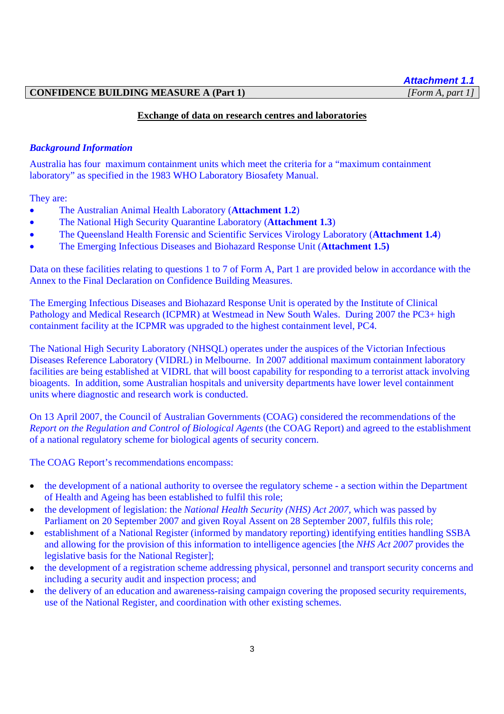# *Attachment 1.1*

### **CONFIDENCE BUILDING MEASURE A (Part 1)** *[Form A, part 1]*

# **Exchange of data on research centres and laboratories**

### *Background Information*

Australia has four maximum containment units which meet the criteria for a "maximum containment laboratory" as specified in the 1983 WHO Laboratory Biosafety Manual.

They are:

- The Australian Animal Health Laboratory (**Attachment 1.2**)
- The National High Security Quarantine Laboratory (**Attachment 1.3**)
- The Queensland Health Forensic and Scientific Services Virology Laboratory (**Attachment 1.4**)
- The Emerging Infectious Diseases and Biohazard Response Unit (**Attachment 1.5)**

Data on these facilities relating to questions 1 to 7 of Form A, Part 1 are provided below in accordance with the Annex to the Final Declaration on Confidence Building Measures.

The Emerging Infectious Diseases and Biohazard Response Unit is operated by the Institute of Clinical Pathology and Medical Research (ICPMR) at Westmead in New South Wales. During 2007 the PC3+ high containment facility at the ICPMR was upgraded to the highest containment level, PC4.

The National High Security Laboratory (NHSQL) operates under the auspices of the Victorian Infectious Diseases Reference Laboratory (VIDRL) in Melbourne. In 2007 additional maximum containment laboratory facilities are being established at VIDRL that will boost capability for responding to a terrorist attack involving bioagents. In addition, some Australian hospitals and university departments have lower level containment units where diagnostic and research work is conducted.

On 13 April 2007, the Council of Australian Governments (COAG) considered the recommendations of the *Report on the Regulation and Control of Biological Agents* (the COAG Report) and agreed to the establishment of a national regulatory scheme for biological agents of security concern.

The COAG Report's recommendations encompass:

- the development of a national authority to oversee the regulatory scheme a section within the Department of Health and Ageing has been established to fulfil this role;
- the development of legislation: the *National Health Security (NHS) Act 2007,* which was passed by Parliament on 20 September 2007 and given Royal Assent on 28 September 2007, fulfils this role;
- establishment of a National Register (informed by mandatory reporting) identifying entities handling SSBA and allowing for the provision of this information to intelligence agencies [the *NHS Act 2007* provides the legislative basis for the National Register];
- the development of a registration scheme addressing physical, personnel and transport security concerns and including a security audit and inspection process; and
- the delivery of an education and awareness-raising campaign covering the proposed security requirements, use of the National Register, and coordination with other existing schemes.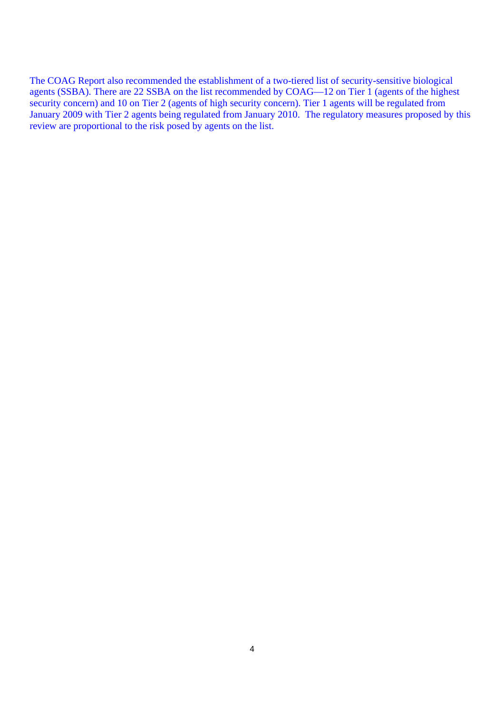The COAG Report also recommended the establishment of a two-tiered list of security-sensitive biological agents (SSBA). There are 22 SSBA on the list recommended by COAG—12 on Tier 1 (agents of the highest security concern) and 10 on Tier 2 (agents of high security concern). Tier 1 agents will be regulated from January 2009 with Tier 2 agents being regulated from January 2010. The regulatory measures proposed by this review are proportional to the risk posed by agents on the list.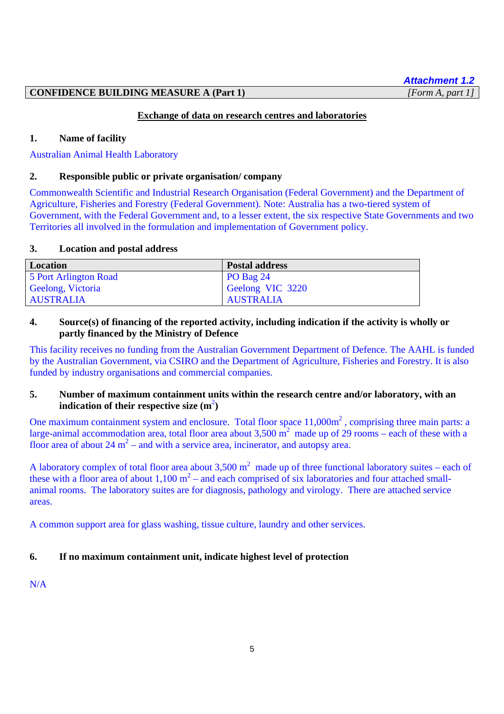# **CONFIDENCE BUILDING MEASURE A (Part 1)** *[Form A, part 1]*

# **Exchange of data on research centres and laboratories**

### **1. Name of facility**

Australian Animal Health Laboratory

### **2. Responsible public or private organisation/ company**

Commonwealth Scientific and Industrial Research Organisation (Federal Government) and the Department of Agriculture, Fisheries and Forestry (Federal Government). Note: Australia has a two-tiered system of Government, with the Federal Government and, to a lesser extent, the six respective State Governments and two Territories all involved in the formulation and implementation of Government policy.

### **3. Location and postal address**

| Location              | <b>Postal address</b> |
|-----------------------|-----------------------|
| 5 Port Arlington Road | $PO$ Bag 24           |
| Geelong, Victoria     | Geelong VIC 3220      |
| <b>AUSTRALIA</b>      | <b>AUSTRALIA</b>      |

# **4. Source(s) of financing of the reported activity, including indication if the activity is wholly or partly financed by the Ministry of Defence**

This facility receives no funding from the Australian Government Department of Defence. The AAHL is funded by the Australian Government, via CSIRO and the Department of Agriculture, Fisheries and Forestry. It is also funded by industry organisations and commercial companies.

# **5. Number of maximum containment units within the research centre and/or laboratory, with an**  indication of their respective size  $(m^2)$

One maximum containment system and enclosure. Total floor space  $11,000\,\text{m}^2$ , comprising three main parts: a large-animal accommodation area, total floor area about  $3,500 \text{ m}^2$  made up of 29 rooms – each of these with a floor area of about  $24 \text{ m}^2$  – and with a service area, incinerator, and autopsy area.

A laboratory complex of total floor area about 3,500  $m^2$  made up of three functional laboratory suites – each of these with a floor area of about  $1,100 \text{ m}^2$  – and each comprised of six laboratories and four attached smallanimal rooms. The laboratory suites are for diagnosis, pathology and virology. There are attached service areas.

A common support area for glass washing, tissue culture, laundry and other services.

# **6. If no maximum containment unit, indicate highest level of protection**

N/A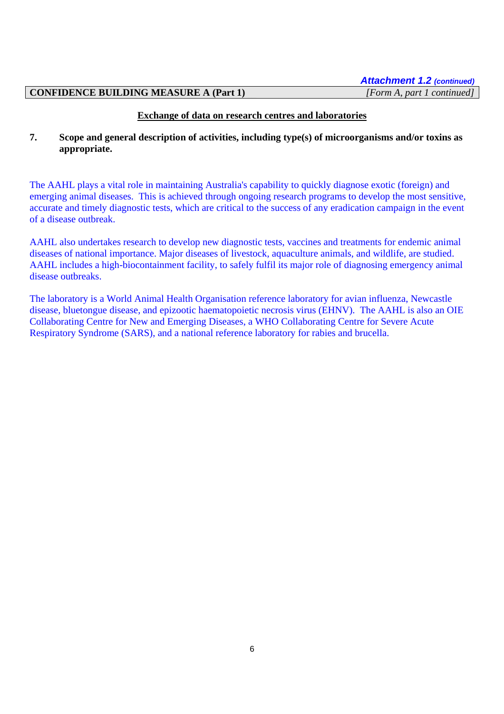### **CONFIDENCE BUILDING MEASURE A (Part 1)** *[Form A, part 1 continued]*

### **Exchange of data on research centres and laboratories**

# **7. Scope and general description of activities, including type(s) of microorganisms and/or toxins as appropriate.**

The AAHL plays a vital role in maintaining Australia's capability to quickly diagnose exotic (foreign) and emerging animal diseases. This is achieved through ongoing research programs to develop the most sensitive, accurate and timely diagnostic tests, which are critical to the success of any eradication campaign in the event of a disease outbreak.

AAHL also undertakes research to develop new diagnostic tests, vaccines and treatments for endemic animal diseases of national importance. Major diseases of livestock, aquaculture animals, and wildlife, are studied. AAHL includes a high-biocontainment facility, to safely fulfil its major role of diagnosing emergency animal disease outbreaks.

The laboratory is a World Animal Health Organisation reference laboratory for avian influenza, Newcastle disease, bluetongue disease, and epizootic haematopoietic necrosis virus (EHNV). The AAHL is also an OIE Collaborating Centre for New and Emerging Diseases, a WHO Collaborating Centre for Severe Acute Respiratory Syndrome (SARS), and a national reference laboratory for rabies and brucella.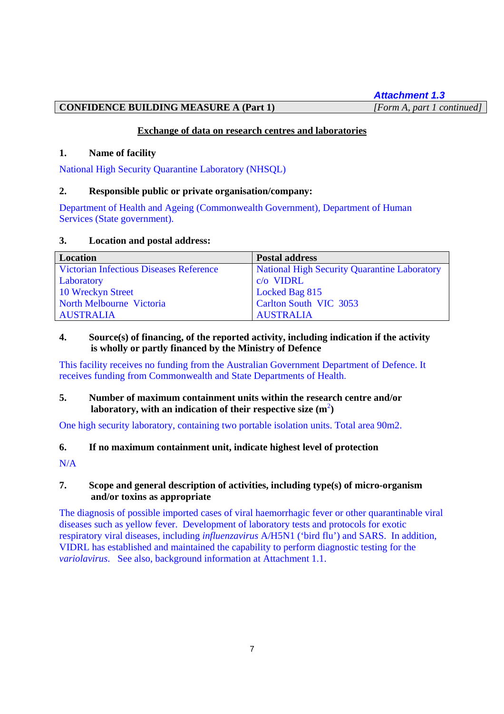*Attachment 1.3*

**CONFIDENCE BUILDING MEASURE A (Part 1)** *[Form A, part 1 continued]*

# **Exchange of data on research centres and laboratories**

# **1. Name of facility**

National High Security Quarantine Laboratory (NHSQL)

# **2. Responsible public or private organisation/company:**

Department of Health and Ageing (Commonwealth Government), Department of Human Services (State government).

# **3. Location and postal address:**

| Location                                       | <b>Postal address</b>                               |
|------------------------------------------------|-----------------------------------------------------|
| <b>Victorian Infectious Diseases Reference</b> | <b>National High Security Quarantine Laboratory</b> |
| Laboratory                                     | c/o VIDRL                                           |
| 10 Wreckyn Street                              | Locked Bag 815                                      |
| North Melbourne Victoria                       | Carlton South VIC 3053                              |
| <b>AUSTRALIA</b>                               | <b>AUSTRALIA</b>                                    |

# **4. Source(s) of financing, of the reported activity, including indication if the activity is wholly or partly financed by the Ministry of Defence**

This facility receives no funding from the Australian Government Department of Defence. It receives funding from Commonwealth and State Departments of Health.

# **5. Number of maximum containment units within the research centre and/or**  laboratory, with an indication of their respective size  $(m^2)$

One high security laboratory, containing two portable isolation units. Total area 90m2.

# **6. If no maximum containment unit, indicate highest level of protection**

N/A

# **7. Scope and general description of activities, including type(s) of micro-organism and/or toxins as appropriate**

The diagnosis of possible imported cases of viral haemorrhagic fever or other quarantinable viral diseases such as yellow fever. Development of laboratory tests and protocols for exotic respiratory viral diseases, including *influenzavirus* A/H5N1 ('bird flu') and SARS. In addition, VIDRL has established and maintained the capability to perform diagnostic testing for the *variolavirus*. See also, background information at Attachment 1.1.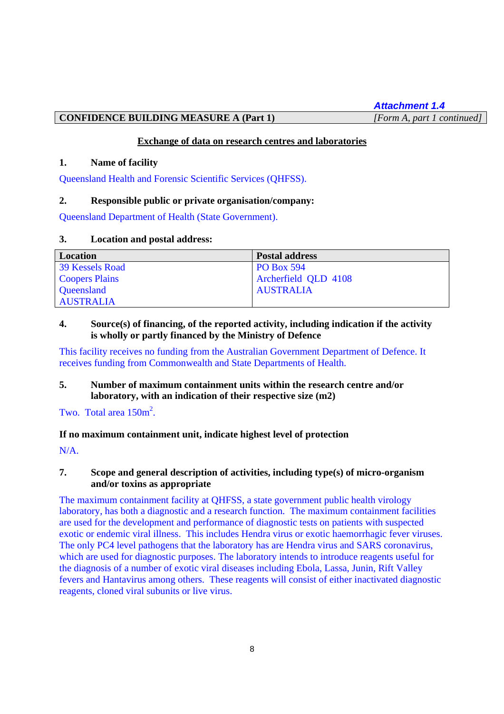*Attachment 1.4*

## **CONFIDENCE BUILDING MEASURE A (Part 1)** *[Form A, part 1 continued]*

### **Exchange of data on research centres and laboratories**

### **1. Name of facility**

Queensland Health and Forensic Scientific Services (QHFSS).

# **2. Responsible public or private organisation/company:**

Queensland Department of Health (State Government).

### **3. Location and postal address:**

| Location               | <b>Postal address</b> |
|------------------------|-----------------------|
| <b>39 Kessels Road</b> | <b>PO Box 594</b>     |
| <b>Coopers Plains</b>  | Archerfield QLD 4108  |
| Queensland             | <b>AUSTRALIA</b>      |
| <b>AUSTRALIA</b>       |                       |

# **4. Source(s) of financing, of the reported activity, including indication if the activity is wholly or partly financed by the Ministry of Defence**

This facility receives no funding from the Australian Government Department of Defence. It receives funding from Commonwealth and State Departments of Health.

# **5. Number of maximum containment units within the research centre and/or laboratory, with an indication of their respective size (m2)**

Two. Total area  $150m^2$ .

# **If no maximum containment unit, indicate highest level of protection**

N/A.

# **7. Scope and general description of activities, including type(s) of micro-organism and/or toxins as appropriate**

The maximum containment facility at QHFSS, a state government public health virology laboratory, has both a diagnostic and a research function. The maximum containment facilities are used for the development and performance of diagnostic tests on patients with suspected exotic or endemic viral illness. This includes Hendra virus or exotic haemorrhagic fever viruses. The only PC4 level pathogens that the laboratory has are Hendra virus and SARS coronavirus, which are used for diagnostic purposes. The laboratory intends to introduce reagents useful for the diagnosis of a number of exotic viral diseases including Ebola, Lassa, Junin, Rift Valley fevers and Hantavirus among others. These reagents will consist of either inactivated diagnostic reagents, cloned viral subunits or live virus.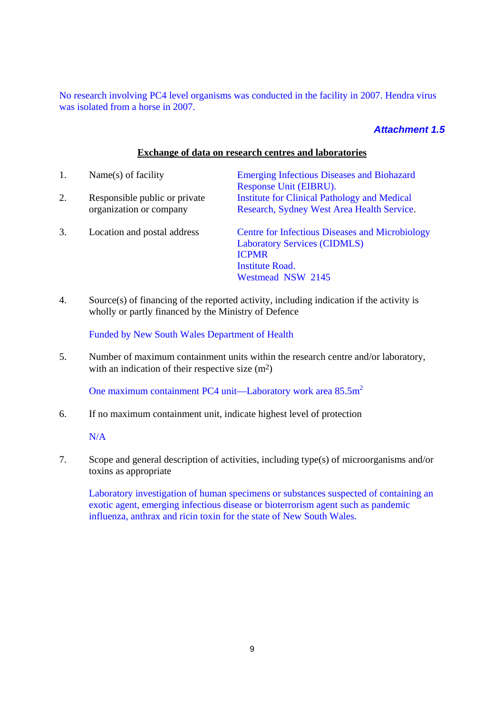No research involving PC4 level organisms was conducted in the facility in 2007. Hendra virus was isolated from a horse in 2007.

# *Attachment 1.5*

### **Exchange of data on research centres and laboratories**

| 1. | Name $(s)$ of facility                                   | <b>Emerging Infectious Diseases and Biohazard</b><br>Response Unit (EIBRU).                                                                                  |
|----|----------------------------------------------------------|--------------------------------------------------------------------------------------------------------------------------------------------------------------|
| 2. | Responsible public or private<br>organization or company | <b>Institute for Clinical Pathology and Medical</b><br>Research, Sydney West Area Health Service.                                                            |
| 3. | Location and postal address                              | <b>Centre for Infectious Diseases and Microbiology</b><br><b>Laboratory Services (CIDMLS)</b><br><b>ICPMR</b><br><b>Institute Road.</b><br>Westmead NSW 2145 |

4. Source(s) of financing of the reported activity, including indication if the activity is wholly or partly financed by the Ministry of Defence

Funded by New South Wales Department of Health

5. Number of maximum containment units within the research centre and/or laboratory, with an indication of their respective size  $(m^2)$ 

One maximum containment PC4 unit—Laboratory work area  $85.5 \text{m}^2$ 

6. If no maximum containment unit, indicate highest level of protection

N/A

7. Scope and general description of activities, including type(s) of microorganisms and/or toxins as appropriate

Laboratory investigation of human specimens or substances suspected of containing an exotic agent, emerging infectious disease or bioterrorism agent such as pandemic influenza, anthrax and ricin toxin for the state of New South Wales.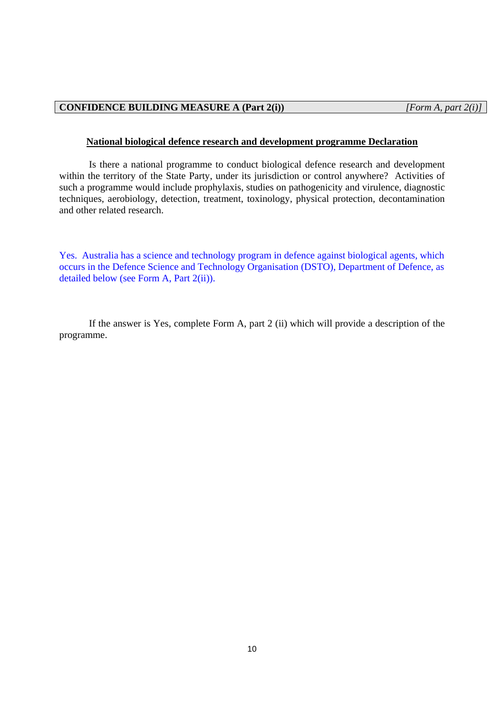# **CONFIDENCE BUILDING MEASURE A (Part 2(i))** *[Form A, part 2(i)]*

### **National biological defence research and development programme Declaration**

Is there a national programme to conduct biological defence research and development within the territory of the State Party, under its jurisdiction or control anywhere? Activities of such a programme would include prophylaxis, studies on pathogenicity and virulence, diagnostic techniques, aerobiology, detection, treatment, toxinology, physical protection, decontamination and other related research.

Yes. Australia has a science and technology program in defence against biological agents, which occurs in the Defence Science and Technology Organisation (DSTO), Department of Defence, as detailed below (see Form A, Part 2(ii)).

If the answer is Yes, complete Form A, part 2 (ii) which will provide a description of the programme.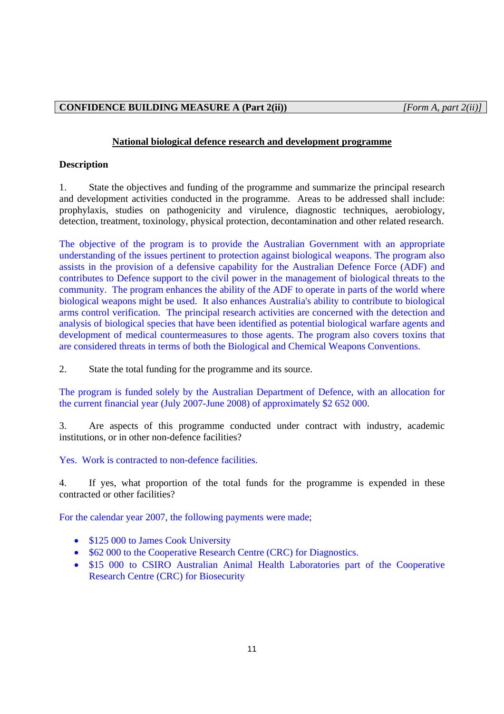# **CONFIDENCE BUILDING MEASURE A (Part 2(ii))** *[Form A, part 2(ii)]*

## **National biological defence research and development programme**

## **Description**

1. State the objectives and funding of the programme and summarize the principal research and development activities conducted in the programme. Areas to be addressed shall include: prophylaxis, studies on pathogenicity and virulence, diagnostic techniques, aerobiology, detection, treatment, toxinology, physical protection, decontamination and other related research.

The objective of the program is to provide the Australian Government with an appropriate understanding of the issues pertinent to protection against biological weapons. The program also assists in the provision of a defensive capability for the Australian Defence Force (ADF) and contributes to Defence support to the civil power in the management of biological threats to the community. The program enhances the ability of the ADF to operate in parts of the world where biological weapons might be used. It also enhances Australia's ability to contribute to biological arms control verification. The principal research activities are concerned with the detection and analysis of biological species that have been identified as potential biological warfare agents and development of medical countermeasures to those agents. The program also covers toxins that are considered threats in terms of both the Biological and Chemical Weapons Conventions.

2. State the total funding for the programme and its source.

The program is funded solely by the Australian Department of Defence, with an allocation for the current financial year (July 2007-June 2008) of approximately \$2 652 000.

3. Are aspects of this programme conducted under contract with industry, academic institutions, or in other non-defence facilities?

Yes. Work is contracted to non-defence facilities.

4. If yes, what proportion of the total funds for the programme is expended in these contracted or other facilities?

For the calendar year 2007, the following payments were made;

- \$125 000 to James Cook University
- \$62 000 to the Cooperative Research Centre (CRC) for Diagnostics.
- \$15 000 to CSIRO Australian Animal Health Laboratories part of the Cooperative Research Centre (CRC) for Biosecurity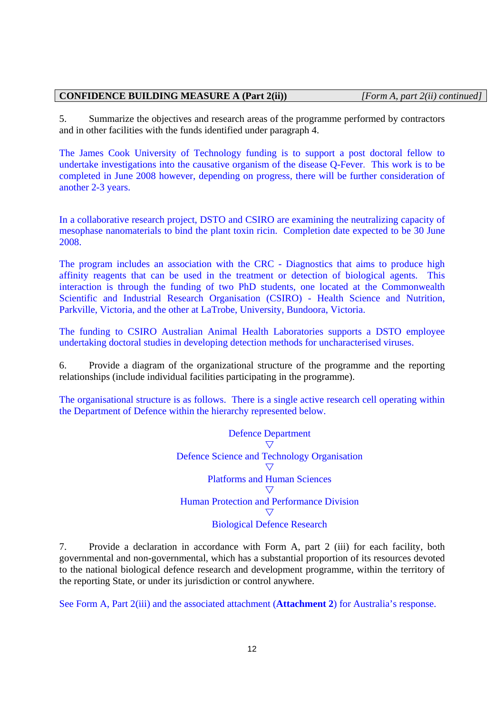### **CONFIDENCE BUILDING MEASURE A (Part 2(ii))** *[Form A, part 2(ii) continued]*

5. Summarize the objectives and research areas of the programme performed by contractors and in other facilities with the funds identified under paragraph 4.

The James Cook University of Technology funding is to support a post doctoral fellow to undertake investigations into the causative organism of the disease Q-Fever. This work is to be completed in June 2008 however, depending on progress, there will be further consideration of another 2-3 years.

In a collaborative research project, DSTO and CSIRO are examining the neutralizing capacity of mesophase nanomaterials to bind the plant toxin ricin. Completion date expected to be 30 June 2008.

The program includes an association with the CRC - Diagnostics that aims to produce high affinity reagents that can be used in the treatment or detection of biological agents. This interaction is through the funding of two PhD students, one located at the Commonwealth Scientific and Industrial Research Organisation (CSIRO) - Health Science and Nutrition, Parkville, Victoria, and the other at LaTrobe, University, Bundoora, Victoria.

The funding to CSIRO Australian Animal Health Laboratories supports a DSTO employee undertaking doctoral studies in developing detection methods for uncharacterised viruses.

6. Provide a diagram of the organizational structure of the programme and the reporting relationships (include individual facilities participating in the programme).

The organisational structure is as follows. There is a single active research cell operating within the Department of Defence within the hierarchy represented below.

> Defence Department  $\triangledown$ Defence Science and Technology Organisation  $\bigtriangledown$ Platforms and Human Sciences  $\nabla$ Human Protection and Performance Division  $\nabla$ Biological Defence Research

7. Provide a declaration in accordance with Form A, part 2 (iii) for each facility, both governmental and non-governmental, which has a substantial proportion of its resources devoted to the national biological defence research and development programme, within the territory of the reporting State, or under its jurisdiction or control anywhere.

See Form A, Part 2(iii) and the associated attachment (**Attachment 2**) for Australia's response.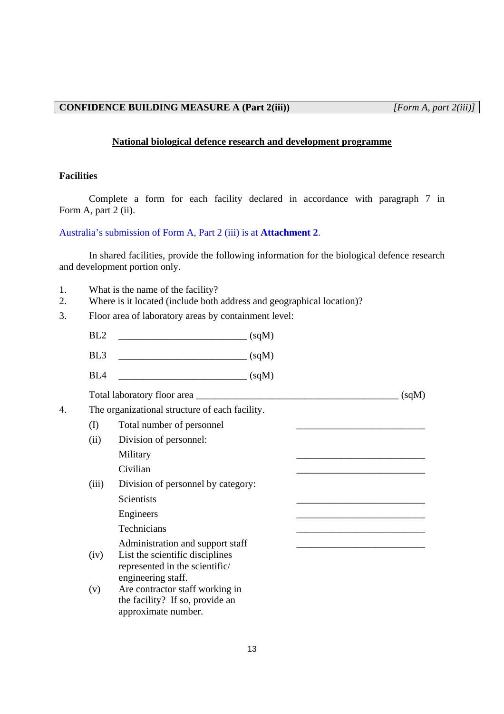### **National biological defence research and development programme**

### **Facilities**

Complete a form for each facility declared in accordance with paragraph 7 in Form A, part 2 (ii).

# Australia's submission of Form A, Part 2 (iii) is at **Attachment 2**.

In shared facilities, provide the following information for the biological defence research and development portion only.

- 1. What is the name of the facility?
- 2. Where is it located (include both address and geographical location)?
- 3. Floor area of laboratory areas by containment level:
	- BL2 \_\_\_\_\_\_\_\_\_\_\_\_\_\_\_\_\_\_\_\_\_\_\_\_\_\_ (sqM)
	- $BL3$   $(sqM)$
	- $BL4$  (sqM)

Total laboratory floor area \_\_\_\_\_\_\_\_\_\_\_\_\_\_\_\_\_\_\_\_\_\_\_\_\_\_\_\_\_\_\_\_\_\_\_\_\_\_\_\_\_ (sqM)

- 4. The organizational structure of each facility.
	- (I) Total number of personnel
	- (ii) Division of personnel: Military \_\_\_\_\_\_\_\_\_\_\_\_\_\_\_\_\_\_\_\_\_\_\_\_\_\_
		- $Civilian$
	- (iii) Division of personnel by category: Scientists Engineers

Technicians

Administration and support staff

- (iv) List the scientific disciplines represented in the scientific/ engineering staff.
- (v) Are contractor staff working in the facility? If so, provide an approximate number.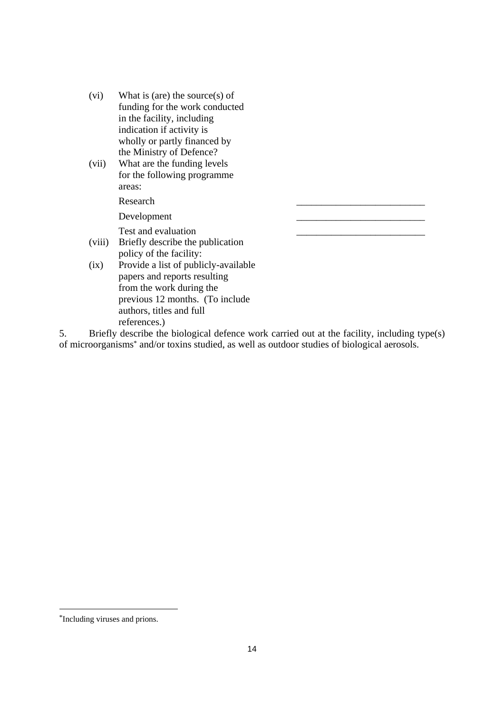- (vi) What is (are) the source(s) of funding for the work conducted in the facility, including indication if activity is wholly or partly financed by the Ministry of Defence?
- (vii) What are the funding levels for the following programme areas:

Research

Development

Test and evaluation

- (viii) Briefly describe the publication policy of the facility:
- (ix) Provide a list of publicly-available papers and reports resulting from the work during the previous 12 months. (To include authors, titles and full references.)

5. Briefly describe the biological defence work carried out at the facility, including type(s) of microorganisms\* and/or toxins studied, as well as outdoor studies of biological aerosols.

-

<sup>\*</sup>Including viruses and prions.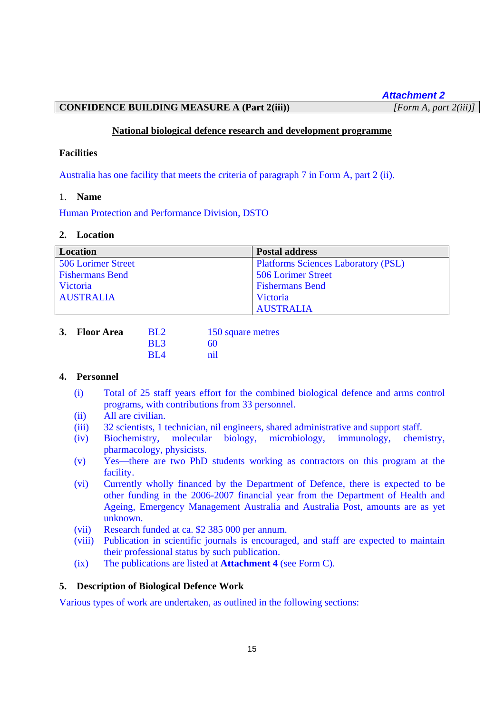*Attachment 2*

# **CONFIDENCE BUILDING MEASURE A (Part 2(iii))** *[Form A, part 2(iii)]*

### **National biological defence research and development programme**

### **Facilities**

Australia has one facility that meets the criteria of paragraph 7 in Form A, part 2 (ii).

### 1. **Name**

Human Protection and Performance Division, DSTO

### **2. Location**

| <b>Location</b>        | <b>Postal address</b>                      |
|------------------------|--------------------------------------------|
| 506 Lorimer Street     | <b>Platforms Sciences Laboratory (PSL)</b> |
| <b>Fishermans Bend</b> | 506 Lorimer Street                         |
| Victoria               | <b>Fishermans Bend</b>                     |
| <b>AUSTRALIA</b>       | Victoria                                   |
|                        | <b>AUSTRALIA</b>                           |

| 3. Floor Area | $\mathbf{R}$ $\mathbf{L}$ | 150 square metres |
|---------------|---------------------------|-------------------|
|               | BL <sub>3</sub>           | 60                |
|               | $\overline{BIA}$          | nil               |

# **4. Personnel**

- (i) Total of 25 staff years effort for the combined biological defence and arms control programs, with contributions from 33 personnel.
- (ii) All are civilian.
- (iii) 32 scientists, 1 technician, nil engineers, shared administrative and support staff.
- (iv) Biochemistry, molecular biology, microbiology, immunology, chemistry, pharmacology, physicists.
- (v) Yes**—**there are two PhD students working as contractors on this program at the facility.
- (vi) Currently wholly financed by the Department of Defence, there is expected to be other funding in the 2006-2007 financial year from the Department of Health and Ageing, Emergency Management Australia and Australia Post, amounts are as yet unknown.
- (vii) Research funded at ca. \$2 385 000 per annum.
- (viii) Publication in scientific journals is encouraged, and staff are expected to maintain their professional status by such publication.
- (ix) The publications are listed at **Attachment 4** (see Form C).

### **5. Description of Biological Defence Work**

Various types of work are undertaken, as outlined in the following sections: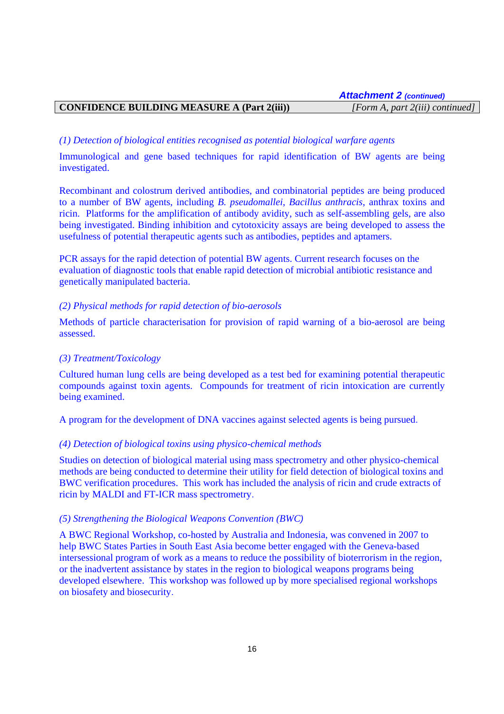# **CONFIDENCE BUILDING MEASURE A (Part 2(iii))** *[Form A, part 2(iii) continued]*

### *(1) Detection of biological entities recognised as potential biological warfare agents*

Immunological and gene based techniques for rapid identification of BW agents are being investigated.

Recombinant and colostrum derived antibodies, and combinatorial peptides are being produced to a number of BW agents, including *B. pseudomallei*, *Bacillus anthracis*, anthrax toxins and ricin. Platforms for the amplification of antibody avidity, such as self-assembling gels, are also being investigated. Binding inhibition and cytotoxicity assays are being developed to assess the usefulness of potential therapeutic agents such as antibodies, peptides and aptamers.

PCR assays for the rapid detection of potential BW agents. Current research focuses on the evaluation of diagnostic tools that enable rapid detection of microbial antibiotic resistance and genetically manipulated bacteria.

### *(2) Physical methods for rapid detection of bio-aerosols*

Methods of particle characterisation for provision of rapid warning of a bio-aerosol are being assessed.

### *(3) Treatment/Toxicology*

Cultured human lung cells are being developed as a test bed for examining potential therapeutic compounds against toxin agents. Compounds for treatment of ricin intoxication are currently being examined.

A program for the development of DNA vaccines against selected agents is being pursued.

### *(4) Detection of biological toxins using physico-chemical methods*

Studies on detection of biological material using mass spectrometry and other physico-chemical methods are being conducted to determine their utility for field detection of biological toxins and BWC verification procedures. This work has included the analysis of ricin and crude extracts of ricin by MALDI and FT-ICR mass spectrometry.

### *(5) Strengthening the Biological Weapons Convention (BWC)*

A BWC Regional Workshop, co-hosted by Australia and Indonesia, was convened in 2007 to help BWC States Parties in South East Asia become better engaged with the Geneva-based intersessional program of work as a means to reduce the possibility of bioterrorism in the region, or the inadvertent assistance by states in the region to biological weapons programs being developed elsewhere. This workshop was followed up by more specialised regional workshops on biosafety and biosecurity.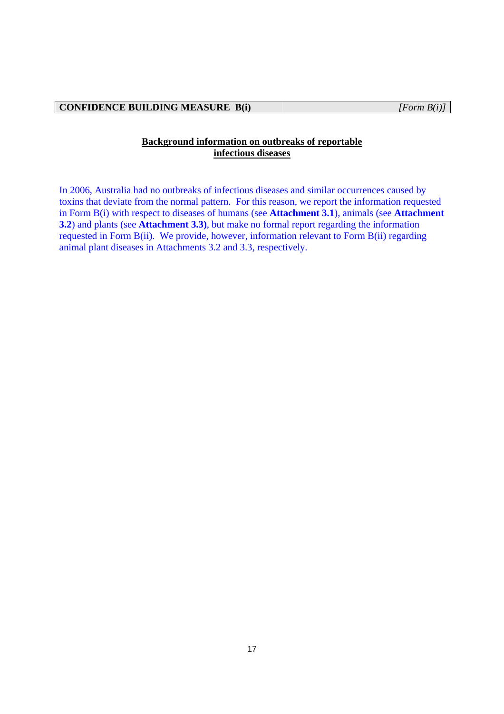# **Background information on outbreaks of reportable infectious diseases**

In 2006, Australia had no outbreaks of infectious diseases and similar occurrences caused by toxins that deviate from the normal pattern. For this reason, we report the information requested in Form B(i) with respect to diseases of humans (see **Attachment 3.1**), animals (see **Attachment 3.2**) and plants (see **Attachment 3.3)**, but make no formal report regarding the information requested in Form B(ii). We provide, however, information relevant to Form B(ii) regarding animal plant diseases in Attachments 3.2 and 3.3, respectively.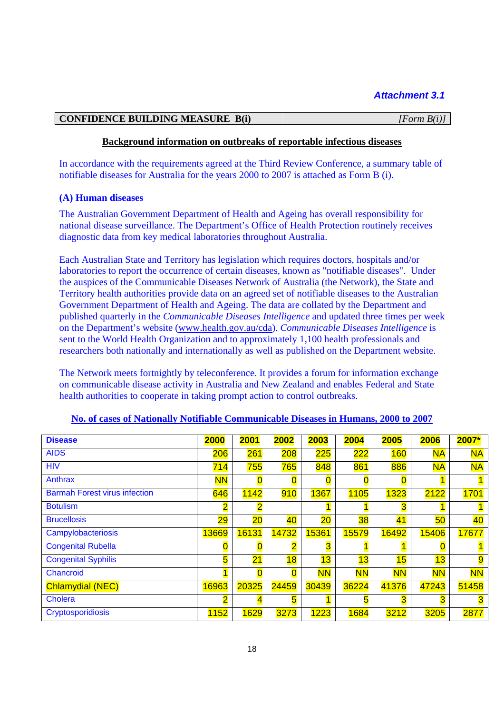# **CONFIDENCE BUILDING MEASURE B(i)** *[Form B(i)]*

### **Background information on outbreaks of reportable infectious diseases**

In accordance with the requirements agreed at the Third Review Conference, a summary table of notifiable diseases for Australia for the years 2000 to 2007 is attached as Form B (i).

### **(A) Human diseases**

The Australian Government Department of Health and Ageing has overall responsibility for national disease surveillance. The Department's Office of Health Protection routinely receives diagnostic data from key medical laboratories throughout Australia.

Each Australian State and Territory has legislation which requires doctors, hospitals and/or laboratories to report the occurrence of certain diseases, known as "notifiable diseases". Under the auspices of the Communicable Diseases Network of Australia (the Network), the State and Territory health authorities provide data on an agreed set of notifiable diseases to the Australian Government Department of Health and Ageing. The data are collated by the Department and published quarterly in the *Communicable Diseases Intelligence* and updated three times per week on the Department's website (www.health.gov.au/cda). *Communicable Diseases Intelligence* is sent to the World Health Organization and to approximately 1,100 health professionals and researchers both nationally and internationally as well as published on the Department website.

The Network meets fortnightly by teleconference. It provides a forum for information exchange on communicable disease activity in Australia and New Zealand and enables Federal and State health authorities to cooperate in taking prompt action to control outbreaks.

| <b>Disease</b>                       | 2000                    | 2001                    | 2002  | 2003      | 2004      | 2005      | 2006      | $2007*$        |
|--------------------------------------|-------------------------|-------------------------|-------|-----------|-----------|-----------|-----------|----------------|
| <b>AIDS</b>                          | 206                     | 261                     | 208   | 225       | 222       | 160       | <b>NA</b> | <b>NA</b>      |
| <b>HIV</b>                           | 714                     | 755                     | 765   | 848       | 861       | 886       | <b>NA</b> | <b>NA</b>      |
| Anthrax                              | <b>NN</b>               | 0                       | 0     | 0         | 0         | 0         |           |                |
| <b>Barmah Forest virus infection</b> | 646                     | 1142                    | 910   | 1367      | 1105      | 1323      | 2122      | 1701           |
| <b>Botulism</b>                      | $\overline{\mathbf{2}}$ | $\overline{\mathbf{2}}$ |       | 1         |           | 3         |           |                |
| <b>Brucellosis</b>                   | 29                      | 20                      | 40    | 20        | 38        | 41        | 50        | 40             |
| Campylobacteriosis                   | 13669                   | 16131                   | 14732 | 15361     | 15579     | 16492     | 15406     | 17677          |
| <b>Congenital Rubella</b>            |                         | $\overline{\mathbf{0}}$ | 2     | 3         |           |           | 0         |                |
| <b>Congenital Syphilis</b>           | 5                       | 21                      | 18    | 13        | 13        | 15        | 13        | $\overline{9}$ |
| Chancroid                            |                         | $\overline{0}$          | 0     | <b>NN</b> | <b>NN</b> | <b>NN</b> | <b>NN</b> | <b>NN</b>      |
| <b>Chlamydial (NEC)</b>              | 16963                   | 20325                   | 24459 | 30439     | 36224     | 41376     | 47243     | 51458          |
| Cholera                              | 2                       | 4                       | 5     |           | 5         | 3         | 3         | 3              |
| Cryptosporidiosis                    | 1152                    | 1629                    | 3273  | 1223      | 1684      | 3212      | 3205      | 2877           |

### **No. of cases of Nationally Notifiable Communicable Diseases in Humans, 2000 to 2007**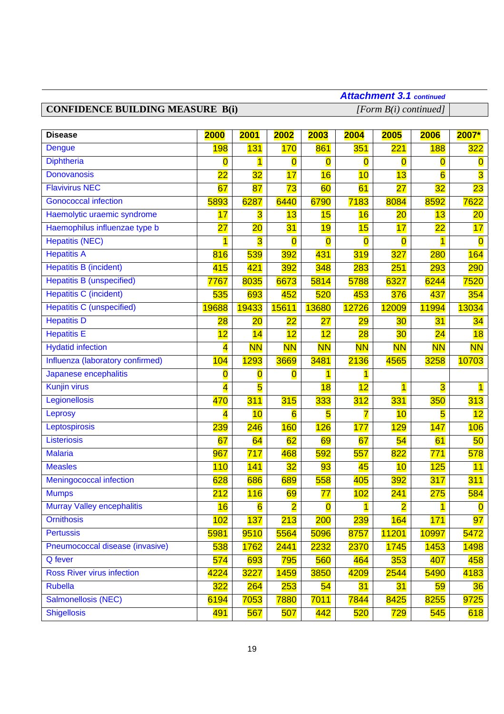# **CONFIDENCE BUILDING MEASURE B(i)** *[Form B(i) continued]*

# *Attachment 3.1 continued*

| <b>Disease</b>                    | 2000                    | 2001                    | 2002                    | 2003                    | 2004                                  | 2005                    | 2006                    | 2007*                   |
|-----------------------------------|-------------------------|-------------------------|-------------------------|-------------------------|---------------------------------------|-------------------------|-------------------------|-------------------------|
| <b>Dengue</b>                     | 198                     | 131                     | <b>170</b>              | 861                     | 351                                   | 221                     | <b>188</b>              | 322                     |
| <b>Diphtheria</b>                 | 0                       | $\overline{1}$          | $\overline{\text{o}}$   | $\overline{\mathbf{0}}$ | $\overline{\mathbf{0}}$               | $\overline{\mathbf{0}}$ | $\overline{0}$          | $\overline{\mathbf{0}}$ |
| <b>Donovanosis</b>                | $\overline{22}$         | 32                      | 17                      | 16                      | 10                                    | 13                      | $\overline{6}$          | $\overline{\textbf{3}}$ |
| <b>Flavivirus NEC</b>             | 67                      | 87                      | 73                      | 60                      | 61                                    | $\overline{27}$         | 32                      | $\overline{23}$         |
| <b>Gonococcal infection</b>       | 5893                    | 6287                    | 6440                    | 6790                    | 7183                                  | 8084                    | 8592                    | 7622                    |
| Haemolytic uraemic syndrome       | 17                      | $\overline{\mathbf{3}}$ | 13                      | 15                      | 16                                    | 20                      | 13                      | 20                      |
| Haemophilus influenzae type b     | $\overline{27}$         | $\overline{20}$         | 31                      | 19                      | 15                                    | 17                      | $\overline{22}$         | 17                      |
| <b>Hepatitis (NEC)</b>            |                         | $\overline{\mathbf{3}}$ | $\overline{\mathbf{0}}$ | $\overline{\mathbf{0}}$ | $\overline{\mathbf{0}}$               | $\overline{\mathbf{0}}$ | 1                       | $\overline{\mathbf{0}}$ |
| <b>Hepatitis A</b>                | 816                     | 539                     | 392                     | 431                     | 319                                   | $\overline{327}$        | <b>280</b>              | 164                     |
| <b>Hepatitis B (incident)</b>     | 415                     | 421                     | 392                     | 348                     | 283                                   | 251                     | <b>293</b>              | 290                     |
| <b>Hepatitis B (unspecified)</b>  | 7767                    | 8035                    | 6673                    | 5814                    | 5788                                  | 6327                    | 6244                    | 7520                    |
| <b>Hepatitis C (incident)</b>     | 535                     | 693                     | 452                     | 520                     | 453                                   | 376                     | 437                     | 354                     |
| <b>Hepatitis C (unspecified)</b>  | 19688                   | 19433                   | 15611                   | 13680                   | 12726                                 | 12009                   | 11994                   | 13034                   |
| <b>Hepatitis D</b>                | $\overline{28}$         | 20                      | $\overline{22}$         | 27                      | 29                                    | 30                      | 31                      | 34                      |
| <b>Hepatitis E</b>                | 12                      | 14                      | 12                      | 12                      | $\overline{28}$                       | 30                      | 24                      | 18                      |
| <b>Hydatid infection</b>          | 4                       | <b>NN</b>               | <b>NN</b>               | <b>NN</b>               | <b>NN</b>                             | <b>NN</b>               | <b>NN</b>               | <b>NN</b>               |
| Influenza (laboratory confirmed)  | 104                     | <b>1293</b>             | 3669                    | 3481                    | 2136                                  | 4565                    | 3258                    | 10703                   |
| Japanese encephalitis             | $\overline{\mathbf{0}}$ | $\overline{\mathbf{0}}$ | $\overline{\mathbf{0}}$ | $\overline{\mathbf{1}}$ | $\overline{\mathbf{1}}$               |                         |                         |                         |
| <b>Kunjin virus</b>               | 4                       | $\overline{\mathbf{5}}$ |                         | 18                      | 12                                    | $\overline{1}$          | $\overline{\mathbf{3}}$ | $\overline{\mathbf{1}}$ |
| Legionellosis                     | 470                     | 311                     | 315                     | 333                     | 312                                   | 331                     | 350                     | 313                     |
| Leprosy                           | 4                       | 10                      | 6                       | 5                       | 7                                     | 10                      | 5                       | 12                      |
| Leptospirosis                     | 239                     | $\overline{246}$        | <b>160</b>              | 126                     | 177                                   | 129                     | 147                     | 106                     |
| Listeriosis                       | 67                      | 64                      | 62                      | 69                      | 67                                    | 54                      | 61                      | 50                      |
| <b>Malaria</b>                    | 967                     | 717                     | 468                     | 592                     | 557                                   | 822                     | 771                     | 578                     |
| <b>Measles</b>                    | 110                     | 141                     | 32                      | 93                      | 45                                    | 10                      | 125                     | 11                      |
| Meningococcal infection           | 628                     | 686                     | 689                     | 558                     | 405                                   | 392                     | 317                     | 311                     |
| <b>Mumps</b>                      | 212                     | 116                     | 69                      | 77                      | 102                                   | 241                     | 275                     | 584                     |
| Murray Valley encephalitis        | 16                      | $6\overline{6}$         | $\overline{\mathbf{2}}$ | $\overline{\mathbf{0}}$ | $\overline{\mathbf{1}}$<br><u>e d</u> | $\overline{\mathbf{2}}$ | $\overline{\mathbf{1}}$ | $\overline{\mathbf{0}}$ |
| <b>Ornithosis</b>                 | 102                     | 137                     | 213                     | 200                     | <b>239</b>                            | 164                     | 171                     | 97                      |
| <b>Pertussis</b>                  | 5981                    | 9510                    | 5564                    | 5096                    | 8757                                  | <b>11201</b>            | 10997                   | 5472                    |
| Pneumococcal disease (invasive)   | 538                     | 1762                    | 2441                    | 2232                    | 2370                                  | <b>1745</b>             | 1453                    | <b>1498</b>             |
| Q fever                           | 574                     | 693                     | 795                     | 560                     | 464                                   | 353                     | 407                     | 458                     |
| <b>Ross River virus infection</b> | 4224                    | 3227                    | <b>1459</b>             | 3850                    | 4209                                  | 2544                    | 5490                    | 4183                    |
| <b>Rubella</b>                    | 322                     | 264                     | <b>253</b>              | 54                      | 31                                    | 31                      | 59                      | 36                      |
| <b>Salmonellosis (NEC)</b>        | 6194                    | 7053                    | 7880                    | 7011                    | 7844                                  | 8425                    | 8255                    | 9725                    |
| <b>Shigellosis</b>                | 491                     | 567                     | 507                     | <mark>442</mark>        | 520                                   | 729                     | 545                     | 618                     |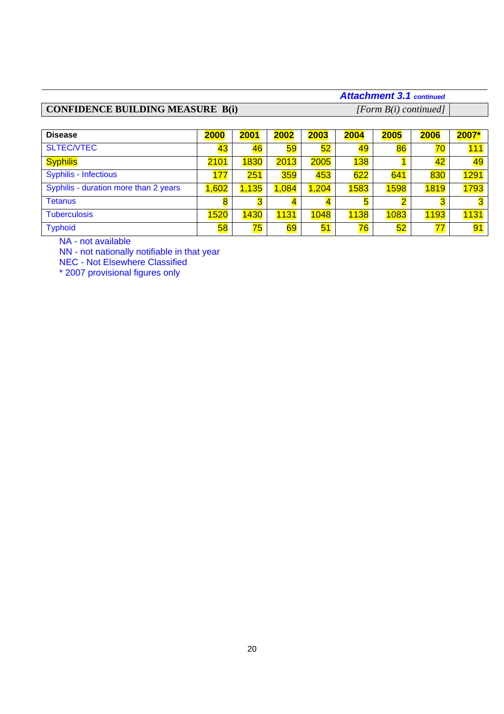# **CONFIDENCE BUILDING MEASURE B(i)** *[Form B(i) continued]*

# *Attachment 3.1 continued*

| <b>Disease</b>                        | 2000  | 2001           | 2002                | 2003                    | 2004        | 2005 | 2006           | 2007*                   |
|---------------------------------------|-------|----------------|---------------------|-------------------------|-------------|------|----------------|-------------------------|
| <b>SLTEC/VTEC</b>                     | 43    | 46             | 59                  | 52                      | 49          | 86   | 70             | 111                     |
| <b>Syphilis</b>                       | 2101  | 1830           | <b>2013</b>         | 2005                    | 138         |      | 42             | 49                      |
| <b>Syphilis - Infectious</b>          | 177   | 251            | 359                 | 453                     | 622         | 641  | 830            | <b>1291</b>             |
| Syphilis - duration more than 2 years | 1,602 | 1,135          | 1,084               | 1,204                   | 1583        | 1598 | <b>1819</b>    | 1793                    |
| <b>Tetanus</b>                        | 8     | <mark>3</mark> | $\overline{\bf{4}}$ | $\overline{\mathbf{4}}$ | 5           |      | <mark>3</mark> | $\overline{\mathbf{3}}$ |
| <b>Tuberculosis</b>                   | 1520  | 1430           | 1131                | 1048                    | <b>1138</b> | 1083 | 1193           | <b>1131</b>             |
| <b>Typhoid</b>                        | 58    | 75             | <mark>69</mark>     | 51                      | 76          | 52   | 77             | 91                      |

NA - not available

NN - not nationally notifiable in that year

NEC - Not Elsewhere Classified

\* 2007 provisional figures only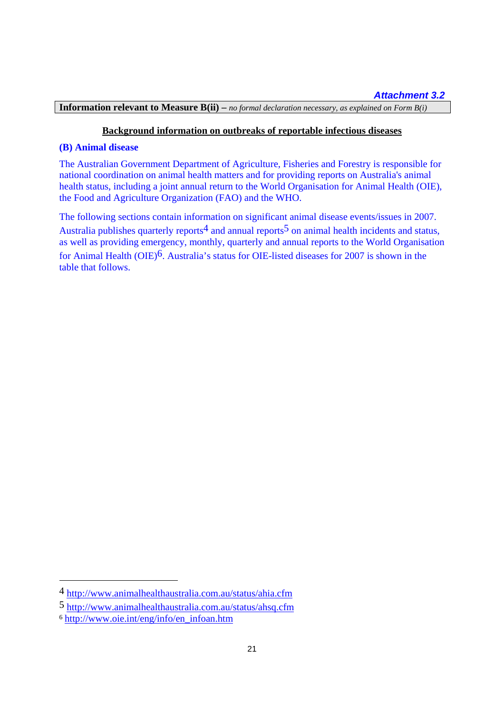**Information relevant to Measure B(ii) –** *no formal declaration necessary, as explained on Form B(i)*

# **Background information on outbreaks of reportable infectious diseases**

### **(B) Animal disease**

The Australian Government Department of Agriculture, Fisheries and Forestry is responsible for national coordination on animal health matters and for providing reports on Australia's animal health status, including a joint annual return to the World Organisation for Animal Health (OIE), the Food and Agriculture Organization (FAO) and the WHO.

The following sections contain information on significant animal disease events/issues in 2007. Australia publishes quarterly reports<sup>4</sup> and annual reports<sup>5</sup> on animal health incidents and status, as well as providing emergency, monthly, quarterly and annual reports to the World Organisation for Animal Health (OIE)6. Australia's status for OIE-listed diseases for 2007 is shown in the table that follows.

 $\overline{a}$ 

<sup>4</sup> http://www.animalhealthaustralia.com.au/status/ahia.cfm

<sup>5</sup> http://www.animalhealthaustralia.com.au/status/ahsq.cfm

<sup>6</sup> http://www.oie.int/eng/info/en\_infoan.htm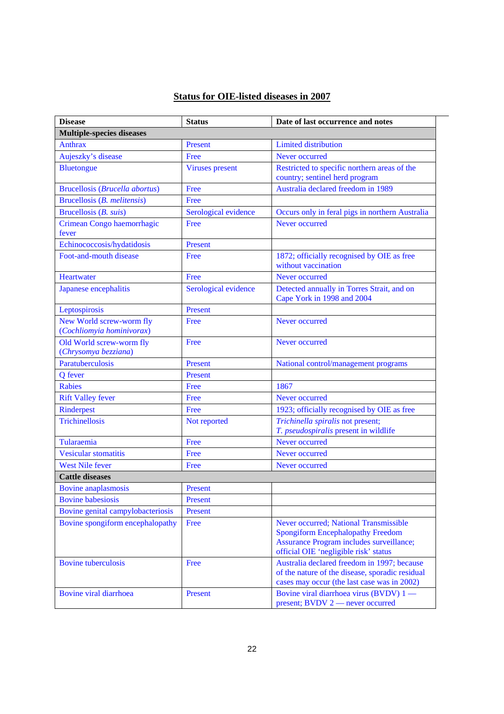# **Status for OIE-listed diseases in 2007**

| <b>Disease</b>                                        | <b>Status</b>          | Date of last occurrence and notes                                                                                                                                       |
|-------------------------------------------------------|------------------------|-------------------------------------------------------------------------------------------------------------------------------------------------------------------------|
| <b>Multiple-species diseases</b>                      |                        |                                                                                                                                                                         |
| <b>Anthrax</b>                                        | Present                | <b>Limited distribution</b>                                                                                                                                             |
| Aujeszky's disease                                    | Free                   | Never occurred                                                                                                                                                          |
| <b>Bluetongue</b>                                     | <b>Viruses</b> present | Restricted to specific northern areas of the<br>country; sentinel herd program                                                                                          |
| <b>Brucellosis (Brucella abortus)</b>                 | Free                   | Australia declared freedom in 1989                                                                                                                                      |
| Brucellosis (B. melitensis)                           | Free                   |                                                                                                                                                                         |
| Brucellosis (B. suis)                                 | Serological evidence   | Occurs only in feral pigs in northern Australia                                                                                                                         |
| Crimean Congo haemorrhagic<br>fever                   | Free                   | Never occurred                                                                                                                                                          |
| Echinococcosis/hydatidosis                            | Present                |                                                                                                                                                                         |
| Foot-and-mouth disease                                | Free                   | 1872; officially recognised by OIE as free<br>without vaccination                                                                                                       |
| Heartwater                                            | Free                   | Never occurred                                                                                                                                                          |
| Japanese encephalitis                                 | Serological evidence   | Detected annually in Torres Strait, and on<br>Cape York in 1998 and 2004                                                                                                |
| Leptospirosis                                         | Present                |                                                                                                                                                                         |
| New World screw-worm fly<br>(Cochliomyia hominivorax) | Free                   | Never occurred                                                                                                                                                          |
| Old World screw-worm fly<br>(Chrysomya bezziana)      | Free                   | Never occurred                                                                                                                                                          |
| Paratuberculosis                                      | Present                | National control/management programs                                                                                                                                    |
| Q fever                                               | Present                |                                                                                                                                                                         |
| <b>Rabies</b>                                         | Free                   | 1867                                                                                                                                                                    |
| <b>Rift Valley fever</b>                              | Free                   | Never occurred                                                                                                                                                          |
| Rinderpest                                            | Free                   | 1923; officially recognised by OIE as free                                                                                                                              |
| Trichinellosis                                        | Not reported           | Trichinella spiralis not present;<br>T. pseudospiralis present in wildlife                                                                                              |
| Tularaemia                                            | Free                   | Never occurred                                                                                                                                                          |
| <b>Vesicular stomatitis</b>                           | Free                   | Never occurred                                                                                                                                                          |
| <b>West Nile fever</b>                                | Free                   | Never occurred                                                                                                                                                          |
| <b>Cattle diseases</b>                                |                        |                                                                                                                                                                         |
| <b>Bovine</b> anaplasmosis                            | Present                |                                                                                                                                                                         |
| <b>Bovine</b> babesiosis                              | Present                |                                                                                                                                                                         |
| Bovine genital campylobacteriosis                     | Present                |                                                                                                                                                                         |
| Bovine spongiform encephalopathy                      | Free                   | Never occurred; National Transmissible<br><b>Spongiform Encephalopathy Freedom</b><br>Assurance Program includes surveillance;<br>official OIE 'negligible risk' status |
| <b>Bovine</b> tuberculosis                            | Free                   | Australia declared freedom in 1997; because<br>of the nature of the disease, sporadic residual<br>cases may occur (the last case was in 2002)                           |
| Bovine viral diarrhoea                                | Present                | Bovine viral diarrhoea virus (BVDV) 1 —<br>present; BVDV 2 — never occurred                                                                                             |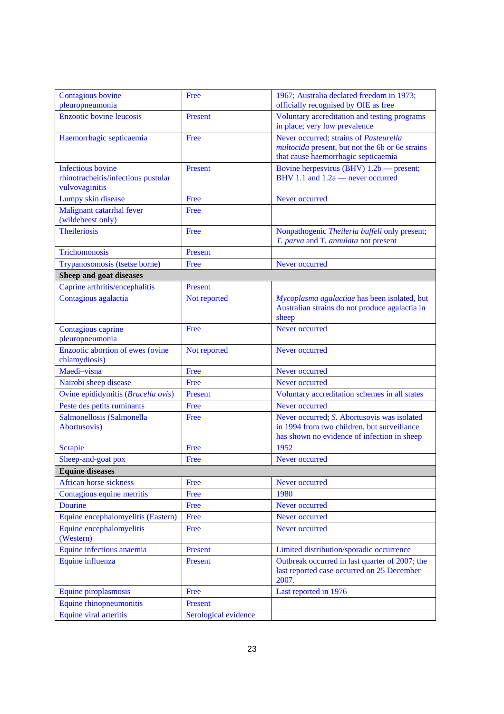| Contagious bovine<br>pleuropneumonia                                              | Free                 | 1967; Australia declared freedom in 1973;<br>officially recognised by OIE as free                                                         |
|-----------------------------------------------------------------------------------|----------------------|-------------------------------------------------------------------------------------------------------------------------------------------|
| <b>Enzootic bovine leucosis</b>                                                   | Present              | Voluntary accreditation and testing programs<br>in place; very low prevalence                                                             |
| Haemorrhagic septicaemia                                                          | Free                 | Never occurred; strains of Pasteurella<br><i>multocida</i> present, but not the 6b or 6e strains<br>that cause haemorrhagic septicaemia   |
| <b>Infectious</b> bovine<br>rhinotracheitis/infectious pustular<br>vulvovaginitis | Present              | Bovine herpesvirus (BHV) 1.2b — present;<br>BHV 1.1 and 1.2a - never occurred                                                             |
| Lumpy skin disease                                                                | Free                 | Never occurred                                                                                                                            |
| Malignant catarrhal fever<br>(wildebeest only)                                    | Free                 |                                                                                                                                           |
| <b>Theileriosis</b>                                                               | Free                 | Nonpathogenic Theileria buffeli only present;<br>T. parva and T. annulata not present                                                     |
| <b>Trichomonosis</b>                                                              | Present              |                                                                                                                                           |
| Trypanosomosis (tsetse borne)                                                     | Free                 | Never occurred                                                                                                                            |
| Sheep and goat diseases                                                           |                      |                                                                                                                                           |
| Caprine arthritis/encephalitis                                                    | Present              |                                                                                                                                           |
| Contagious agalactia                                                              | Not reported         | Mycoplasma agalactiae has been isolated, but<br>Australian strains do not produce agalactia in<br>sheep                                   |
| Contagious caprine<br>pleuropneumonia                                             | Free                 | Never occurred                                                                                                                            |
| Enzootic abortion of ewes (ovine<br>chlamydiosis)                                 | Not reported         | Never occurred                                                                                                                            |
| Maedi-visna                                                                       | Free                 | Never occurred                                                                                                                            |
| Nairobi sheep disease                                                             | Free                 | Never occurred                                                                                                                            |
| Ovine epididymitis (Brucella ovis)                                                | Present              | Voluntary accreditation schemes in all states                                                                                             |
| Peste des petits ruminants                                                        | Free                 | Never occurred                                                                                                                            |
| Salmonellosis (Salmonella<br>Abortusovis)                                         | Free                 | Never occurred; S. Abortusovis was isolated<br>in 1994 from two children, but surveillance<br>has shown no evidence of infection in sheep |
| <b>Scrapie</b>                                                                    | Free                 | 1952                                                                                                                                      |
| Sheep-and-goat pox                                                                | Free                 | Never occurred                                                                                                                            |
| <b>Equine diseases</b>                                                            |                      |                                                                                                                                           |
| African horse sickness                                                            | Free                 | Never occurred                                                                                                                            |
| Contagious equine metritis                                                        | Free                 | 1980                                                                                                                                      |
| <b>Dourine</b>                                                                    | Free                 | Never occurred                                                                                                                            |
| Equine encephalomyelitis (Eastern)                                                | Free                 | Never occurred                                                                                                                            |
| Equine encephalomyelitis<br>(Western)                                             | Free                 | Never occurred                                                                                                                            |
| Equine infectious anaemia                                                         | Present              | Limited distribution/sporadic occurrence                                                                                                  |
| Equine influenza                                                                  | Present              | Outbreak occurred in last quarter of 2007; the<br>last reported case occurred on 25 December<br>2007.                                     |
| Equine piroplasmosis                                                              | Free                 | Last reported in 1976                                                                                                                     |
| Equine rhinopneumonitis                                                           | Present              |                                                                                                                                           |
| Equine viral arteritis                                                            | Serological evidence |                                                                                                                                           |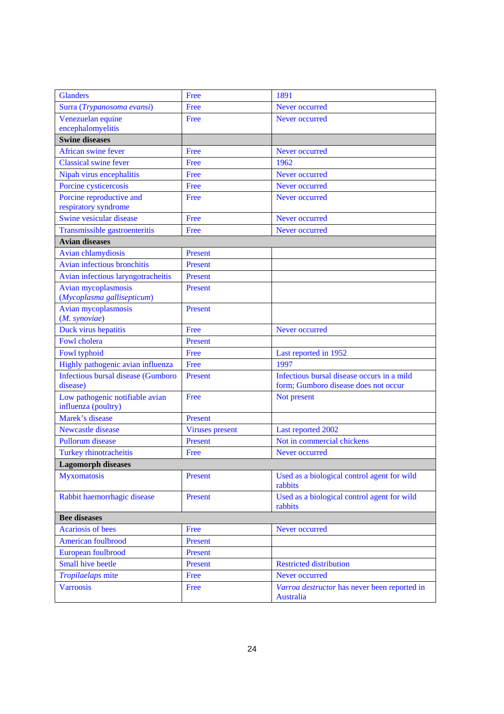| <b>Glanders</b>                                        | Free                   | 1891                                                                               |
|--------------------------------------------------------|------------------------|------------------------------------------------------------------------------------|
| Surra (Trypanosoma evansi)                             | Free                   | Never occurred                                                                     |
| Venezuelan equine                                      | Free                   | Never occurred                                                                     |
| encephalomyelitis                                      |                        |                                                                                    |
| <b>Swine diseases</b>                                  |                        |                                                                                    |
| African swine fever                                    | Free                   | Never occurred                                                                     |
| <b>Classical swine fever</b>                           | Free                   | 1962                                                                               |
| Nipah virus encephalitis                               | Free                   | Never occurred                                                                     |
| Porcine cysticercosis                                  | Free                   | Never occurred                                                                     |
| Porcine reproductive and                               | Free                   | Never occurred                                                                     |
| respiratory syndrome                                   |                        |                                                                                    |
| Swine vesicular disease                                | Free                   | Never occurred                                                                     |
| Transmissible gastroenteritis                          | Free                   | Never occurred                                                                     |
| <b>Avian diseases</b>                                  |                        |                                                                                    |
| Avian chlamydiosis                                     | Present                |                                                                                    |
| Avian infectious bronchitis                            | Present                |                                                                                    |
| Avian infectious laryngotracheitis                     | Present                |                                                                                    |
| Avian mycoplasmosis<br>(Mycoplasma gallisepticum)      | Present                |                                                                                    |
| Avian mycoplasmosis<br>(M. synoviae)                   | Present                |                                                                                    |
| Duck virus hepatitis                                   | Free                   | Never occurred                                                                     |
| Fowl cholera                                           | Present                |                                                                                    |
| Fowl typhoid                                           | Free                   | Last reported in 1952                                                              |
| Highly pathogenic avian influenza                      | Free                   | 1997                                                                               |
| <b>Infectious bursal disease (Gumboro</b><br>disease)  | Present                | Infectious bursal disease occurs in a mild<br>form; Gumboro disease does not occur |
| Low pathogenic notifiable avian<br>influenza (poultry) | Free                   | Not present                                                                        |
| Marek's disease                                        | Present                |                                                                                    |
| <b>Newcastle disease</b>                               | <b>Viruses</b> present | Last reported 2002                                                                 |
| <b>Pullorum</b> disease                                | Present                | Not in commercial chickens                                                         |
| <b>Turkey rhinotracheitis</b>                          | Free                   | Never occurred                                                                     |
| <b>Lagomorph diseases</b>                              |                        |                                                                                    |
| <b>Myxomatosis</b>                                     | Present                | Used as a biological control agent for wild<br>rabbits                             |
| Rabbit haemorrhagic disease                            | Present                | Used as a biological control agent for wild<br>rabbits                             |
| <b>Bee diseases</b>                                    |                        |                                                                                    |
| <b>Acariosis of bees</b>                               | Free                   | Never occurred                                                                     |
| American foulbrood                                     | Present                |                                                                                    |
| European foulbrood                                     | Present                |                                                                                    |
| <b>Small hive beetle</b>                               | Present                | <b>Restricted distribution</b>                                                     |
| Tropilaelaps mite                                      | Free                   | Never occurred                                                                     |
| <b>Varroosis</b>                                       | Free                   | Varroa destructor has never been reported in<br><b>Australia</b>                   |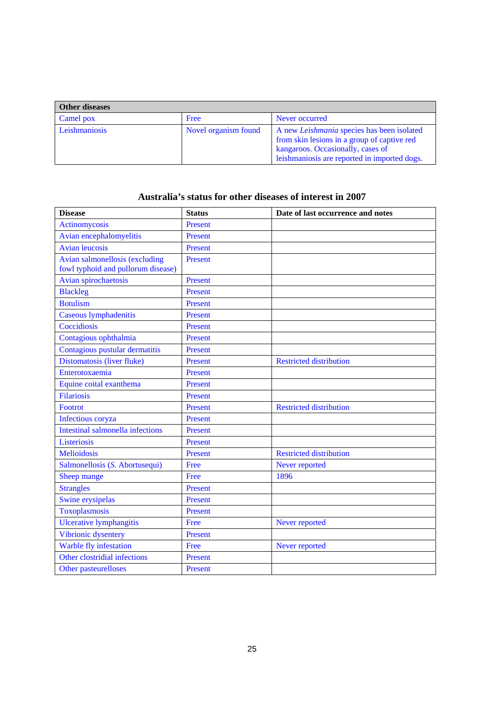| Other diseases |                      |                                                                                                                                                                                |  |
|----------------|----------------------|--------------------------------------------------------------------------------------------------------------------------------------------------------------------------------|--|
| Camel pox      | Free                 | Never occurred                                                                                                                                                                 |  |
| Leishmaniosis  | Novel organism found | A new Leishmania species has been isolated<br>from skin lesions in a group of captive red<br>kangaroos. Occasionally, cases of<br>leishmaniosis are reported in imported dogs. |  |

# **Australia's status for other diseases of interest in 2007**

| <b>Disease</b>                                                       | <b>Status</b>  | Date of last occurrence and notes |
|----------------------------------------------------------------------|----------------|-----------------------------------|
| <b>Actinomycosis</b>                                                 | Present        |                                   |
| Avian encephalomyelitis                                              | Present        |                                   |
| <b>Avian leucosis</b>                                                | Present        |                                   |
| Avian salmonellosis (excluding<br>fowl typhoid and pullorum disease) | <b>Present</b> |                                   |
| Avian spirochaetosis                                                 | Present        |                                   |
| <b>Blackleg</b>                                                      | Present        |                                   |
| <b>Botulism</b>                                                      | Present        |                                   |
| Caseous lymphadenitis                                                | Present        |                                   |
| Coccidiosis                                                          | Present        |                                   |
| Contagious ophthalmia                                                | Present        |                                   |
| Contagious pustular dermatitis                                       | <b>Present</b> |                                   |
| Distomatosis (liver fluke)                                           | Present        | <b>Restricted distribution</b>    |
| Enterotoxaemia                                                       | <b>Present</b> |                                   |
| Equine coital exanthema                                              | Present        |                                   |
| <b>Filariosis</b>                                                    | Present        |                                   |
| <b>Footrot</b>                                                       | Present        | <b>Restricted distribution</b>    |
| Infectious coryza                                                    | Present        |                                   |
| Intestinal salmonella infections                                     | Present        |                                   |
| Listeriosis                                                          | <b>Present</b> |                                   |
| <b>Melioidosis</b>                                                   | Present        | <b>Restricted distribution</b>    |
| Salmonellosis (S. Abortusequi)                                       | Free           | Never reported                    |
| Sheep mange                                                          | Free           | 1896                              |
| <b>Strangles</b>                                                     | Present        |                                   |
| Swine erysipelas                                                     | Present        |                                   |
| Toxoplasmosis                                                        | Present        |                                   |
| <b>Ulcerative lymphangitis</b>                                       | Free           | Never reported                    |
| Vibrionic dysentery                                                  | Present        |                                   |
| Warble fly infestation                                               | Free           | Never reported                    |
| Other clostridial infections                                         | Present        |                                   |
| Other pasteurelloses                                                 | Present        |                                   |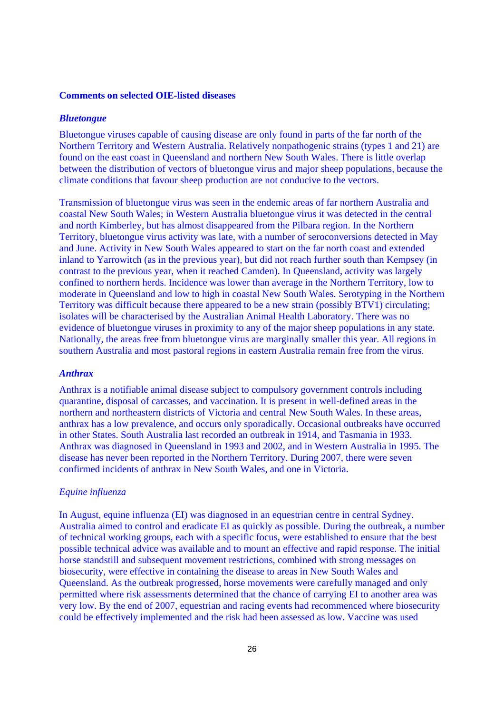#### **Comments on selected OIE-listed diseases**

### *Bluetongue*

Bluetongue viruses capable of causing disease are only found in parts of the far north of the Northern Territory and Western Australia. Relatively nonpathogenic strains (types 1 and 21) are found on the east coast in Queensland and northern New South Wales. There is little overlap between the distribution of vectors of bluetongue virus and major sheep populations, because the climate conditions that favour sheep production are not conducive to the vectors.

Transmission of bluetongue virus was seen in the endemic areas of far northern Australia and coastal New South Wales; in Western Australia bluetongue virus it was detected in the central and north Kimberley, but has almost disappeared from the Pilbara region. In the Northern Territory, bluetongue virus activity was late, with a number of seroconversions detected in May and June. Activity in New South Wales appeared to start on the far north coast and extended inland to Yarrowitch (as in the previous year), but did not reach further south than Kempsey (in contrast to the previous year, when it reached Camden). In Queensland, activity was largely confined to northern herds. Incidence was lower than average in the Northern Territory, low to moderate in Queensland and low to high in coastal New South Wales. Serotyping in the Northern Territory was difficult because there appeared to be a new strain (possibly BTV1) circulating; isolates will be characterised by the Australian Animal Health Laboratory. There was no evidence of bluetongue viruses in proximity to any of the major sheep populations in any state. Nationally, the areas free from bluetongue virus are marginally smaller this year. All regions in southern Australia and most pastoral regions in eastern Australia remain free from the virus.

#### *Anthrax*

Anthrax is a notifiable animal disease subject to compulsory government controls including quarantine, disposal of carcasses, and vaccination. It is present in well-defined areas in the northern and northeastern districts of Victoria and central New South Wales. In these areas, anthrax has a low prevalence, and occurs only sporadically. Occasional outbreaks have occurred in other States. South Australia last recorded an outbreak in 1914, and Tasmania in 1933. Anthrax was diagnosed in Queensland in 1993 and 2002, and in Western Australia in 1995. The disease has never been reported in the Northern Territory. During 2007, there were seven confirmed incidents of anthrax in New South Wales, and one in Victoria.

#### *Equine influenza*

In August, equine influenza (EI) was diagnosed in an equestrian centre in central Sydney. Australia aimed to control and eradicate EI as quickly as possible. During the outbreak, a number of technical working groups, each with a specific focus, were established to ensure that the best possible technical advice was available and to mount an effective and rapid response. The initial horse standstill and subsequent movement restrictions, combined with strong messages on biosecurity, were effective in containing the disease to areas in New South Wales and Queensland. As the outbreak progressed, horse movements were carefully managed and only permitted where risk assessments determined that the chance of carrying EI to another area was very low. By the end of 2007, equestrian and racing events had recommenced where biosecurity could be effectively implemented and the risk had been assessed as low. Vaccine was used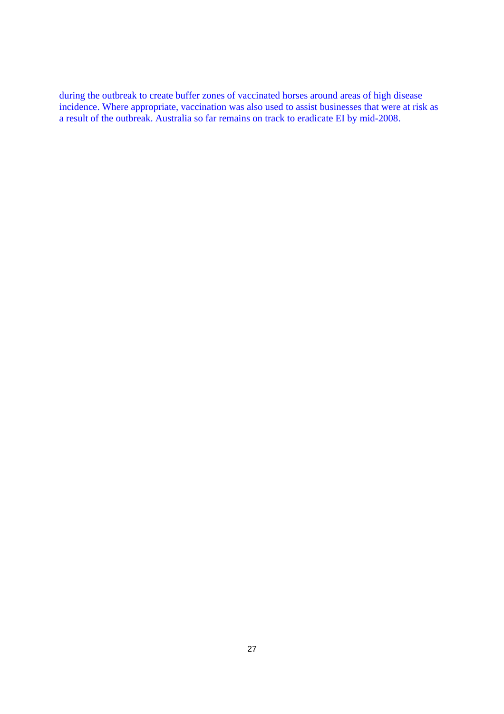during the outbreak to create buffer zones of vaccinated horses around areas of high disease incidence. Where appropriate, vaccination was also used to assist businesses that were at risk as a result of the outbreak. Australia so far remains on track to eradicate EI by mid-2008.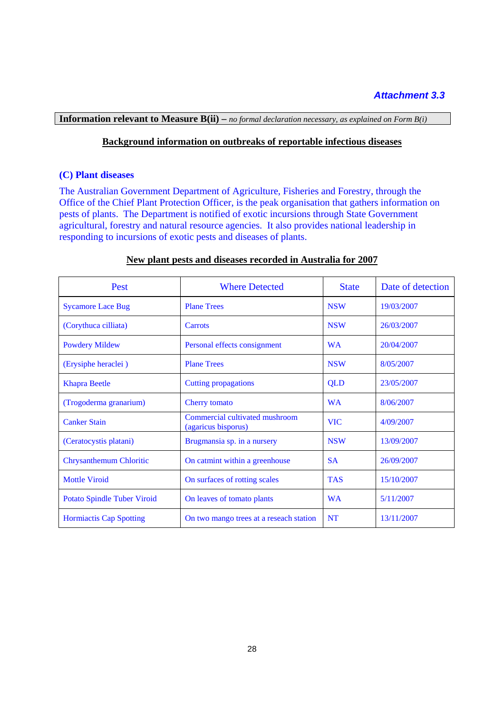# *Attachment 3.3*

# **Information relevant to Measure B(ii) –** *no formal declaration necessary, as explained on Form B(i)*

# **Background information on outbreaks of reportable infectious diseases**

### **(C) Plant diseases**

The Australian Government Department of Agriculture, Fisheries and Forestry, through the Office of the Chief Plant Protection Officer, is the peak organisation that gathers information on pests of plants. The Department is notified of exotic incursions through State Government agricultural, forestry and natural resource agencies. It also provides national leadership in responding to incursions of exotic pests and diseases of plants.

| Pest                               | <b>Where Detected</b>                                 | <b>State</b> | Date of detection |
|------------------------------------|-------------------------------------------------------|--------------|-------------------|
| <b>Sycamore Lace Bug</b>           | <b>Plane Trees</b>                                    | <b>NSW</b>   | 19/03/2007        |
| (Corythuca cilliata)               | <b>Carrots</b>                                        | <b>NSW</b>   | 26/03/2007        |
| <b>Powdery Mildew</b>              | Personal effects consignment                          | <b>WA</b>    | 20/04/2007        |
| (Erysiphe heraclei)                | <b>Plane Trees</b>                                    | <b>NSW</b>   | 8/05/2007         |
| <b>Khapra Beetle</b>               | <b>Cutting propagations</b>                           |              | 23/05/2007        |
| (Trogoderma granarium)             | <b>Cherry</b> tomato                                  |              | 8/06/2007         |
| <b>Canker Stain</b>                | Commercial cultivated mushroom<br>(agaricus bisporus) |              | 4/09/2007         |
| (Ceratocystis platani)             | Brugmansia sp. in a nursery                           | <b>NSW</b>   | 13/09/2007        |
| <b>Chrysanthemum Chloritic</b>     | On catmint within a greenhouse                        | <b>SA</b>    | 26/09/2007        |
| <b>Mottle Viroid</b>               | On surfaces of rotting scales                         | <b>TAS</b>   | 15/10/2007        |
| <b>Potato Spindle Tuber Viroid</b> | On leaves of tomato plants                            |              | 5/11/2007         |
| <b>Hormiactis Cap Spotting</b>     | On two mango trees at a reseach station               | <b>NT</b>    | 13/11/2007        |

### **New plant pests and diseases recorded in Australia for 2007**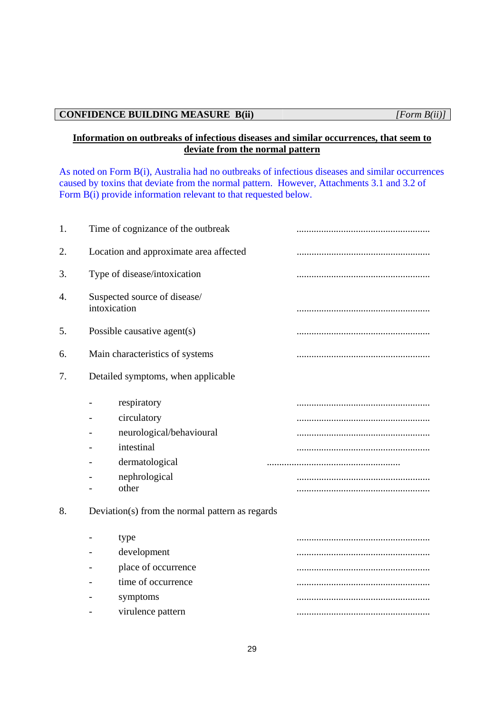### **CONFIDENCE BUILDING MEASURE B(ii)** *[Form B(ii)]*

# **Information on outbreaks of infectious diseases and similar occurrences, that seem to deviate from the normal pattern**

As noted on Form B(i), Australia had no outbreaks of infectious diseases and similar occurrences caused by toxins that deviate from the normal pattern. However, Attachments 3.1 and 3.2 of Form B(i) provide information relevant to that requested below.

| 1. | Time of cognizance of the outbreak              |  |
|----|-------------------------------------------------|--|
| 2. | Location and approximate area affected          |  |
| 3. | Type of disease/intoxication                    |  |
| 4. | Suspected source of disease/<br>intoxication    |  |
| 5. | Possible causative agent(s)                     |  |
| 6. | Main characteristics of systems                 |  |
| 7. | Detailed symptoms, when applicable              |  |
|    | respiratory<br>circulatory                      |  |
|    | neurological/behavioural                        |  |
|    | intestinal                                      |  |
|    | dermatological                                  |  |
|    | nephrological<br>other                          |  |
| 8. | Deviation(s) from the normal pattern as regards |  |
|    | type                                            |  |
|    | development                                     |  |
|    | place of occurrence                             |  |
|    | time of occurrence                              |  |
|    | symptoms                                        |  |
|    | virulence pattern                               |  |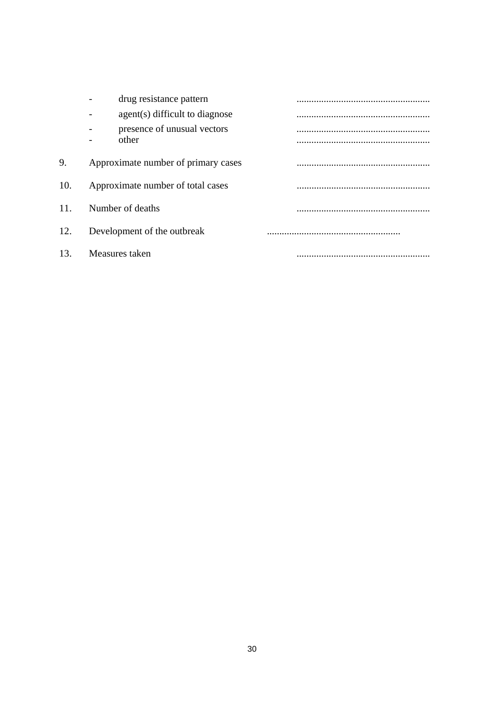|     | drug resistance pattern              |  |
|-----|--------------------------------------|--|
|     | agent(s) difficult to diagnose       |  |
|     | presence of unusual vectors<br>other |  |
|     |                                      |  |
| 9.  | Approximate number of primary cases  |  |
| 10. | Approximate number of total cases    |  |
| 11. | Number of deaths                     |  |
| 12. | Development of the outbreak          |  |
| 13. | Measures taken                       |  |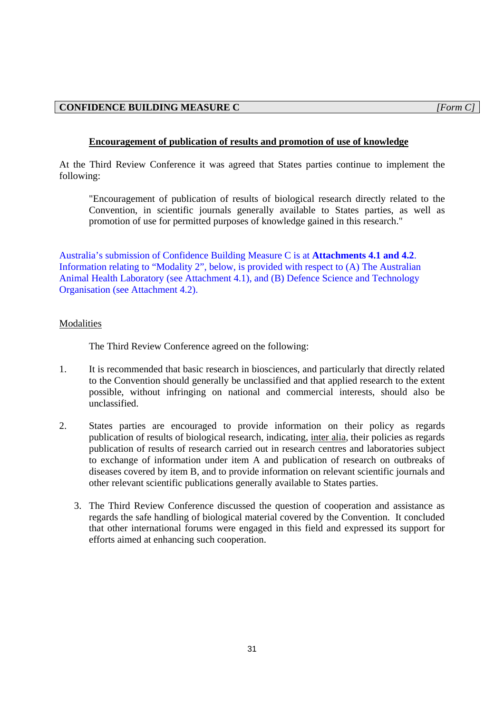# **Encouragement of publication of results and promotion of use of knowledge**

At the Third Review Conference it was agreed that States parties continue to implement the following:

"Encouragement of publication of results of biological research directly related to the Convention, in scientific journals generally available to States parties, as well as promotion of use for permitted purposes of knowledge gained in this research."

Australia's submission of Confidence Building Measure C is at **Attachments 4.1 and 4.2**. Information relating to "Modality 2", below, is provided with respect to (A) The Australian Animal Health Laboratory (see Attachment 4.1), and (B) Defence Science and Technology Organisation (see Attachment 4.2).

### Modalities

The Third Review Conference agreed on the following:

- 1. It is recommended that basic research in biosciences, and particularly that directly related to the Convention should generally be unclassified and that applied research to the extent possible, without infringing on national and commercial interests, should also be unclassified.
- 2. States parties are encouraged to provide information on their policy as regards publication of results of biological research, indicating, inter alia*,* their policies as regards publication of results of research carried out in research centres and laboratories subject to exchange of information under item A and publication of research on outbreaks of diseases covered by item B, and to provide information on relevant scientific journals and other relevant scientific publications generally available to States parties.
	- 3. The Third Review Conference discussed the question of cooperation and assistance as regards the safe handling of biological material covered by the Convention. It concluded that other international forums were engaged in this field and expressed its support for efforts aimed at enhancing such cooperation.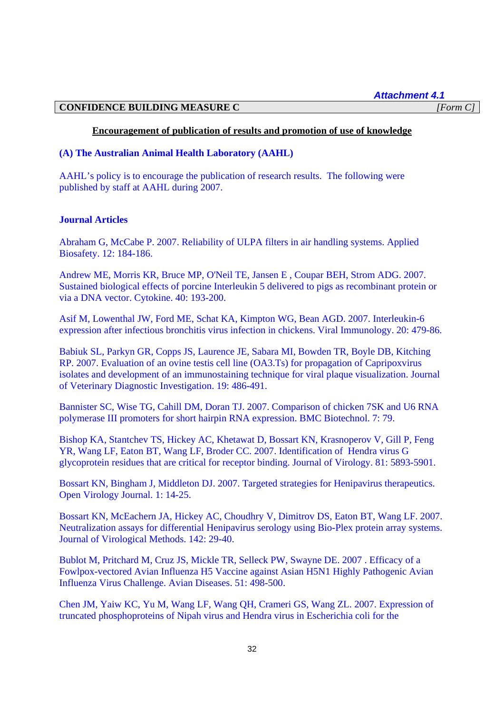*Attachment 4.1* 

## **CONFIDENCE BUILDING MEASURE C** *[Form C]*

### **Encouragement of publication of results and promotion of use of knowledge**

# **(A) The Australian Animal Health Laboratory (AAHL)**

AAHL's policy is to encourage the publication of research results. The following were published by staff at AAHL during 2007.

### **Journal Articles**

Abraham G, McCabe P. 2007. Reliability of ULPA filters in air handling systems. Applied Biosafety. 12: 184-186.

Andrew ME, Morris KR, Bruce MP, O'Neil TE, Jansen E , Coupar BEH, Strom ADG. 2007. Sustained biological effects of porcine Interleukin 5 delivered to pigs as recombinant protein or via a DNA vector. Cytokine. 40: 193-200.

Asif M, Lowenthal JW, Ford ME, Schat KA, Kimpton WG, Bean AGD. 2007. Interleukin-6 expression after infectious bronchitis virus infection in chickens. Viral Immunology. 20: 479-86.

Babiuk SL, Parkyn GR, Copps JS, Laurence JE, Sabara MI, Bowden TR, Boyle DB, Kitching RP. 2007. Evaluation of an ovine testis cell line (OA3.Ts) for propagation of Capripoxvirus isolates and development of an immunostaining technique for viral plaque visualization. Journal of Veterinary Diagnostic Investigation. 19: 486-491.

Bannister SC, Wise TG, Cahill DM, Doran TJ. 2007. Comparison of chicken 7SK and U6 RNA polymerase III promoters for short hairpin RNA expression. BMC Biotechnol. 7: 79.

Bishop KA, Stantchev TS, Hickey AC, Khetawat D, Bossart KN, Krasnoperov V, Gill P, Feng YR, Wang LF, Eaton BT, Wang LF, Broder CC. 2007. Identification of Hendra virus G glycoprotein residues that are critical for receptor binding. Journal of Virology. 81: 5893-5901.

Bossart KN, Bingham J, Middleton DJ. 2007. Targeted strategies for Henipavirus therapeutics. Open Virology Journal. 1: 14-25.

Bossart KN, McEachern JA, Hickey AC, Choudhry V, Dimitrov DS, Eaton BT, Wang LF. 2007. Neutralization assays for differential Henipavirus serology using Bio-Plex protein array systems. Journal of Virological Methods. 142: 29-40.

Bublot M, Pritchard M, Cruz JS, Mickle TR, Selleck PW, Swayne DE. 2007 . Efficacy of a Fowlpox-vectored Avian Influenza H5 Vaccine against Asian H5N1 Highly Pathogenic Avian Influenza Virus Challenge. Avian Diseases. 51: 498-500.

Chen JM, Yaiw KC, Yu M, Wang LF, Wang QH, Crameri GS, Wang ZL. 2007. Expression of truncated phosphoproteins of Nipah virus and Hendra virus in Escherichia coli for the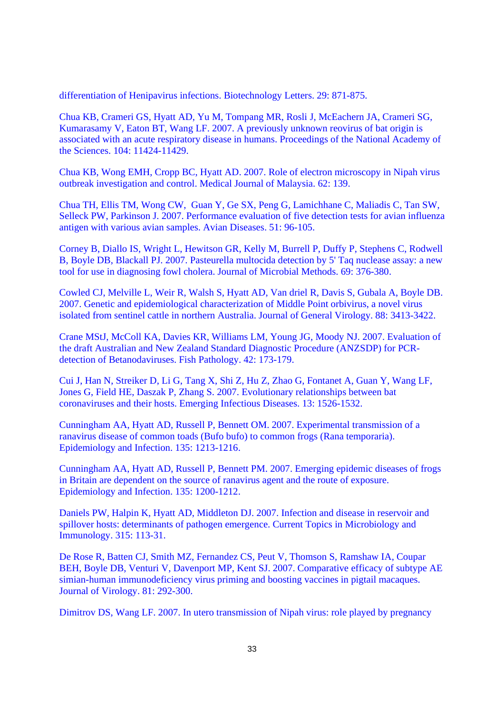differentiation of Henipavirus infections. Biotechnology Letters. 29: 871-875.

Chua KB, Crameri GS, Hyatt AD, Yu M, Tompang MR, Rosli J, McEachern JA, Crameri SG, Kumarasamy V, Eaton BT, Wang LF. 2007. A previously unknown reovirus of bat origin is associated with an acute respiratory disease in humans. Proceedings of the National Academy of the Sciences. 104: 11424-11429.

Chua KB, Wong EMH, Cropp BC, Hyatt AD. 2007. Role of electron microscopy in Nipah virus outbreak investigation and control. Medical Journal of Malaysia. 62: 139.

Chua TH, Ellis TM, Wong CW, Guan Y, Ge SX, Peng G, Lamichhane C, Maliadis C, Tan SW, Selleck PW, Parkinson J. 2007. Performance evaluation of five detection tests for avian influenza antigen with various avian samples. Avian Diseases. 51: 96-105.

Corney B, Diallo IS, Wright L, Hewitson GR, Kelly M, Burrell P, Duffy P, Stephens C, Rodwell B, Boyle DB, Blackall PJ. 2007. Pasteurella multocida detection by 5' Taq nuclease assay: a new tool for use in diagnosing fowl cholera. Journal of Microbial Methods. 69: 376-380.

Cowled CJ, Melville L, Weir R, Walsh S, Hyatt AD, Van driel R, Davis S, Gubala A, Boyle DB. 2007. Genetic and epidemiological characterization of Middle Point orbivirus, a novel virus isolated from sentinel cattle in northern Australia. Journal of General Virology. 88: 3413-3422.

Crane MStJ, McColl KA, Davies KR, Williams LM, Young JG, Moody NJ. 2007. Evaluation of the draft Australian and New Zealand Standard Diagnostic Procedure (ANZSDP) for PCRdetection of Betanodaviruses. Fish Pathology. 42: 173-179.

Cui J, Han N, Streiker D, Li G, Tang X, Shi Z, Hu Z, Zhao G, Fontanet A, Guan Y, Wang LF, Jones G, Field HE, Daszak P, Zhang S. 2007. Evolutionary relationships between bat coronaviruses and their hosts. Emerging Infectious Diseases. 13: 1526-1532.

Cunningham AA, Hyatt AD, Russell P, Bennett OM. 2007. Experimental transmission of a ranavirus disease of common toads (Bufo bufo) to common frogs (Rana temporaria). Epidemiology and Infection. 135: 1213-1216.

Cunningham AA, Hyatt AD, Russell P, Bennett PM. 2007. Emerging epidemic diseases of frogs in Britain are dependent on the source of ranavirus agent and the route of exposure. Epidemiology and Infection. 135: 1200-1212.

Daniels PW, Halpin K, Hyatt AD, Middleton DJ. 2007. Infection and disease in reservoir and spillover hosts: determinants of pathogen emergence. Current Topics in Microbiology and Immunology. 315: 113-31.

De Rose R, Batten CJ, Smith MZ, Fernandez CS, Peut V, Thomson S, Ramshaw IA, Coupar BEH, Boyle DB, Venturi V, Davenport MP, Kent SJ. 2007. Comparative efficacy of subtype AE simian-human immunodeficiency virus priming and boosting vaccines in pigtail macaques. Journal of Virology. 81: 292-300.

Dimitrov DS, Wang LF. 2007. In utero transmission of Nipah virus: role played by pregnancy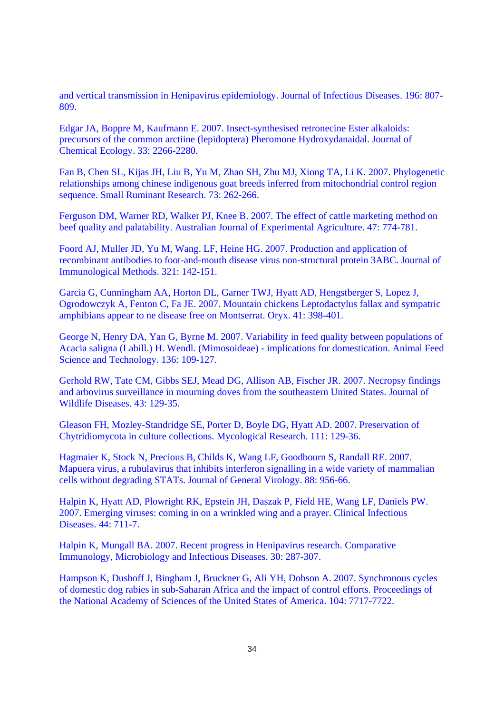and vertical transmission in Henipavirus epidemiology. Journal of Infectious Diseases. 196: 807- 809.

Edgar JA, Boppre M, Kaufmann E. 2007. Insect-synthesised retronecine Ester alkaloids: precursors of the common arctiine (lepidoptera) Pheromone Hydroxydanaidal. Journal of Chemical Ecology. 33: 2266-2280.

Fan B, Chen SL, Kijas JH, Liu B, Yu M, Zhao SH, Zhu MJ, Xiong TA, Li K. 2007. Phylogenetic relationships among chinese indigenous goat breeds inferred from mitochondrial control region sequence. Small Ruminant Research. 73: 262-266.

Ferguson DM, Warner RD, Walker PJ, Knee B. 2007. The effect of cattle marketing method on beef quality and palatability. Australian Journal of Experimental Agriculture. 47: 774-781.

Foord AJ, Muller JD, Yu M, Wang. LF, Heine HG. 2007. Production and application of recombinant antibodies to foot-and-mouth disease virus non-structural protein 3ABC. Journal of Immunological Methods. 321: 142-151.

Garcia G, Cunningham AA, Horton DL, Garner TWJ, Hyatt AD, Hengstberger S, Lopez J, Ogrodowczyk A, Fenton C, Fa JE. 2007. Mountain chickens Leptodactylus fallax and sympatric amphibians appear to ne disease free on Montserrat. Oryx. 41: 398-401.

George N, Henry DA, Yan G, Byrne M. 2007. Variability in feed quality between populations of Acacia saligna (Labill.) H. Wendl. (Mimosoideae) - implications for domestication. Animal Feed Science and Technology. 136: 109-127.

Gerhold RW, Tate CM, Gibbs SEJ, Mead DG, Allison AB, Fischer JR. 2007. Necropsy findings and arbovirus surveillance in mourning doves from the southeastern United States. Journal of Wildlife Diseases. 43: 129-35.

Gleason FH, Mozley-Standridge SE, Porter D, Boyle DG, Hyatt AD. 2007. Preservation of Chytridiomycota in culture collections. Mycological Research. 111: 129-36.

Hagmaier K, Stock N, Precious B, Childs K, Wang LF, Goodbourn S, Randall RE. 2007. Mapuera virus, a rubulavirus that inhibits interferon signalling in a wide variety of mammalian cells without degrading STATs. Journal of General Virology. 88: 956-66.

Halpin K, Hyatt AD, Plowright RK, Epstein JH, Daszak P, Field HE, Wang LF, Daniels PW. 2007. Emerging viruses: coming in on a wrinkled wing and a prayer. Clinical Infectious Diseases. 44: 711-7.

Halpin K, Mungall BA. 2007. Recent progress in Henipavirus research. Comparative Immunology, Microbiology and Infectious Diseases. 30: 287-307.

Hampson K, Dushoff J, Bingham J, Bruckner G, Ali YH, Dobson A. 2007. Synchronous cycles of domestic dog rabies in sub-Saharan Africa and the impact of control efforts. Proceedings of the National Academy of Sciences of the United States of America. 104: 7717-7722.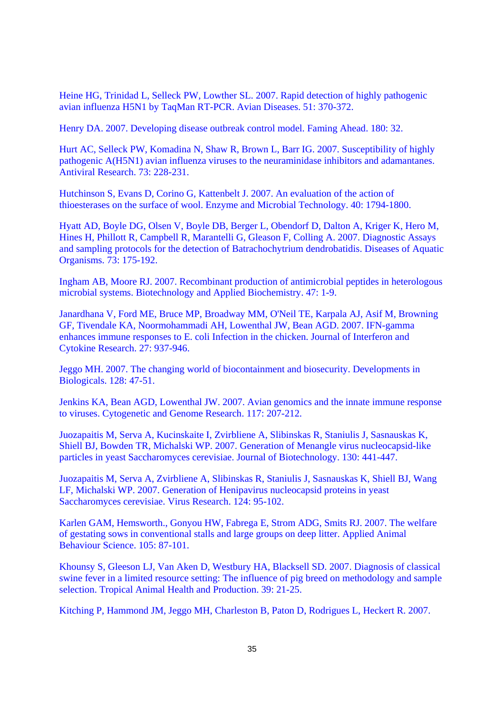Heine HG, Trinidad L, Selleck PW, Lowther SL. 2007. Rapid detection of highly pathogenic avian influenza H5N1 by TaqMan RT-PCR. Avian Diseases. 51: 370-372.

Henry DA. 2007. Developing disease outbreak control model. Faming Ahead. 180: 32.

Hurt AC, Selleck PW, Komadina N, Shaw R, Brown L, Barr IG. 2007. Susceptibility of highly pathogenic A(H5N1) avian influenza viruses to the neuraminidase inhibitors and adamantanes. Antiviral Research. 73: 228-231.

Hutchinson S, Evans D, Corino G, Kattenbelt J. 2007. An evaluation of the action of thioesterases on the surface of wool. Enzyme and Microbial Technology. 40: 1794-1800.

Hyatt AD, Boyle DG, Olsen V, Boyle DB, Berger L, Obendorf D, Dalton A, Kriger K, Hero M, Hines H, Phillott R, Campbell R, Marantelli G, Gleason F, Colling A. 2007. Diagnostic Assays and sampling protocols for the detection of Batrachochytrium dendrobatidis. Diseases of Aquatic Organisms. 73: 175-192.

Ingham AB, Moore RJ. 2007. Recombinant production of antimicrobial peptides in heterologous microbial systems. Biotechnology and Applied Biochemistry. 47: 1-9.

Janardhana V, Ford ME, Bruce MP, Broadway MM, O'Neil TE, Karpala AJ, Asif M, Browning GF, Tivendale KA, Noormohammadi AH, Lowenthal JW, Bean AGD. 2007. IFN-gamma enhances immune responses to E. coli Infection in the chicken. Journal of Interferon and Cytokine Research. 27: 937-946.

Jeggo MH. 2007. The changing world of biocontainment and biosecurity. Developments in Biologicals. 128: 47-51.

Jenkins KA, Bean AGD, Lowenthal JW. 2007. Avian genomics and the innate immune response to viruses. Cytogenetic and Genome Research. 117: 207-212.

Juozapaitis M, Serva A, Kucinskaite I, Zvirbliene A, Slibinskas R, Staniulis J, Sasnauskas K, Shiell BJ, Bowden TR, Michalski WP. 2007. Generation of Menangle virus nucleocapsid-like particles in yeast Saccharomyces cerevisiae. Journal of Biotechnology. 130: 441-447.

Juozapaitis M, Serva A, Zvirbliene A, Slibinskas R, Staniulis J, Sasnauskas K, Shiell BJ, Wang LF, Michalski WP. 2007. Generation of Henipavirus nucleocapsid proteins in yeast Saccharomyces cerevisiae. Virus Research. 124: 95-102.

Karlen GAM, Hemsworth., Gonyou HW, Fabrega E, Strom ADG, Smits RJ. 2007. The welfare of gestating sows in conventional stalls and large groups on deep litter. Applied Animal Behaviour Science. 105: 87-101.

Khounsy S, Gleeson LJ, Van Aken D, Westbury HA, Blacksell SD. 2007. Diagnosis of classical swine fever in a limited resource setting: The influence of pig breed on methodology and sample selection. Tropical Animal Health and Production. 39: 21-25.

Kitching P, Hammond JM, Jeggo MH, Charleston B, Paton D, Rodrigues L, Heckert R. 2007.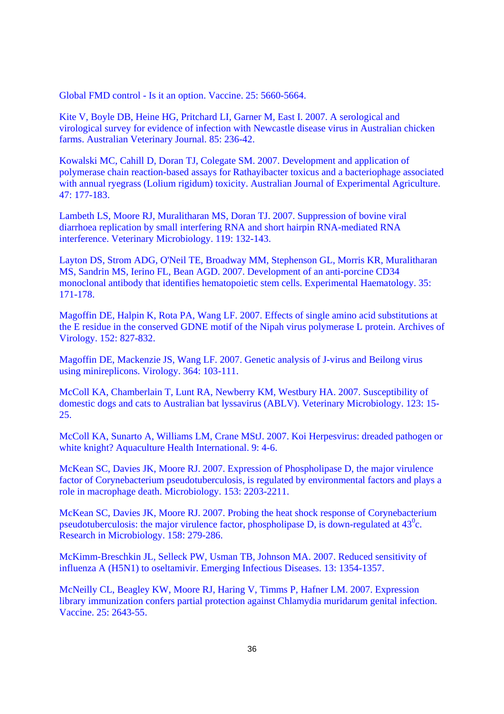Global FMD control - Is it an option. Vaccine. 25: 5660-5664.

Kite V, Boyle DB, Heine HG, Pritchard LI, Garner M, East I. 2007. A serological and virological survey for evidence of infection with Newcastle disease virus in Australian chicken farms. Australian Veterinary Journal. 85: 236-42.

Kowalski MC, Cahill D, Doran TJ, Colegate SM. 2007. Development and application of polymerase chain reaction-based assays for Rathayibacter toxicus and a bacteriophage associated with annual ryegrass (Lolium rigidum) toxicity. Australian Journal of Experimental Agriculture. 47: 177-183.

Lambeth LS, Moore RJ, Muralitharan MS, Doran TJ. 2007. Suppression of bovine viral diarrhoea replication by small interfering RNA and short hairpin RNA-mediated RNA interference. Veterinary Microbiology. 119: 132-143.

Layton DS, Strom ADG, O'Neil TE, Broadway MM, Stephenson GL, Morris KR, Muralitharan MS, Sandrin MS, Ierino FL, Bean AGD. 2007. Development of an anti-porcine CD34 monoclonal antibody that identifies hematopoietic stem cells. Experimental Haematology. 35: 171-178.

Magoffin DE, Halpin K, Rota PA, Wang LF. 2007. Effects of single amino acid substitutions at the E residue in the conserved GDNE motif of the Nipah virus polymerase L protein. Archives of Virology. 152: 827-832.

Magoffin DE, Mackenzie JS, Wang LF. 2007. Genetic analysis of J-virus and Beilong virus using minireplicons. Virology. 364: 103-111.

McColl KA, Chamberlain T, Lunt RA, Newberry KM, Westbury HA. 2007. Susceptibility of domestic dogs and cats to Australian bat lyssavirus (ABLV). Veterinary Microbiology. 123: 15- 25.

McColl KA, Sunarto A, Williams LM, Crane MStJ. 2007. Koi Herpesvirus: dreaded pathogen or white knight? Aquaculture Health International. 9: 4-6.

McKean SC, Davies JK, Moore RJ. 2007. Expression of Phospholipase D, the major virulence factor of Corynebacterium pseudotuberculosis, is regulated by environmental factors and plays a role in macrophage death. Microbiology. 153: 2203-2211.

McKean SC, Davies JK, Moore RJ. 2007. Probing the heat shock response of Corynebacterium pseudotuberculosis: the major virulence factor, phospholipase D, is down-regulated at  $43^{\circ}$ c. Research in Microbiology. 158: 279-286.

McKimm-Breschkin JL, Selleck PW, Usman TB, Johnson MA. 2007. Reduced sensitivity of influenza A (H5N1) to oseltamivir. Emerging Infectious Diseases. 13: 1354-1357.

McNeilly CL, Beagley KW, Moore RJ, Haring V, Timms P, Hafner LM. 2007. Expression library immunization confers partial protection against Chlamydia muridarum genital infection. Vaccine. 25: 2643-55.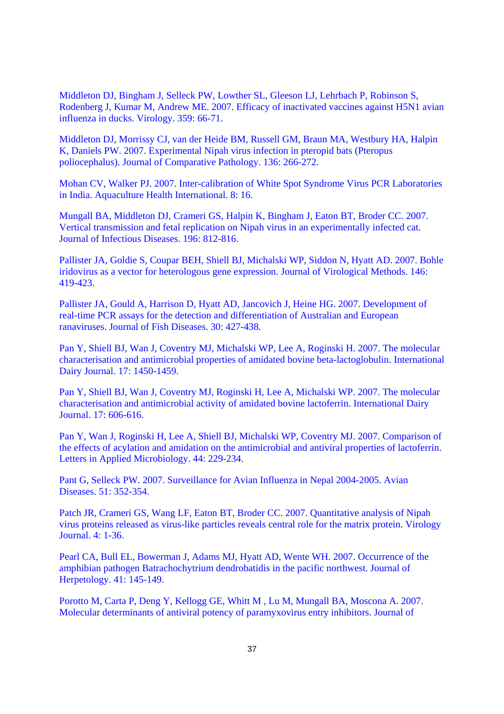Middleton DJ, Bingham J, Selleck PW, Lowther SL, Gleeson LJ, Lehrbach P, Robinson S, Rodenberg J, Kumar M, Andrew ME. 2007. Efficacy of inactivated vaccines against H5N1 avian influenza in ducks. Virology. 359: 66-71.

Middleton DJ, Morrissy CJ, van der Heide BM, Russell GM, Braun MA, Westbury HA, Halpin K, Daniels PW. 2007. Experimental Nipah virus infection in pteropid bats (Pteropus poliocephalus). Journal of Comparative Pathology. 136: 266-272.

Mohan CV, Walker PJ. 2007. Inter-calibration of White Spot Syndrome Virus PCR Laboratories in India. Aquaculture Health International. 8: 16.

Mungall BA, Middleton DJ, Crameri GS, Halpin K, Bingham J, Eaton BT, Broder CC. 2007. Vertical transmission and fetal replication on Nipah virus in an experimentally infected cat. Journal of Infectious Diseases. 196: 812-816.

Pallister JA, Goldie S, Coupar BEH, Shiell BJ, Michalski WP, Siddon N, Hyatt AD. 2007. Bohle iridovirus as a vector for heterologous gene expression. Journal of Virological Methods. 146: 419-423.

Pallister JA, Gould A, Harrison D, Hyatt AD, Jancovich J, Heine HG. 2007. Development of real-time PCR assays for the detection and differentiation of Australian and European ranaviruses. Journal of Fish Diseases. 30: 427-438.

Pan Y, Shiell BJ, Wan J, Coventry MJ, Michalski WP, Lee A, Roginski H. 2007. The molecular characterisation and antimicrobial properties of amidated bovine beta-lactoglobulin. International Dairy Journal. 17: 1450-1459.

Pan Y, Shiell BJ, Wan J, Coventry MJ, Roginski H, Lee A, Michalski WP. 2007. The molecular characterisation and antimicrobial activity of amidated bovine lactoferrin. International Dairy Journal. 17: 606-616.

Pan Y, Wan J, Roginski H, Lee A, Shiell BJ, Michalski WP, Coventry MJ. 2007. Comparison of the effects of acylation and amidation on the antimicrobial and antiviral properties of lactoferrin. Letters in Applied Microbiology. 44: 229-234.

Pant G, Selleck PW. 2007. Surveillance for Avian Influenza in Nepal 2004-2005. Avian Diseases. 51: 352-354.

Patch JR, Crameri GS, Wang LF, Eaton BT, Broder CC. 2007. Quantitative analysis of Nipah virus proteins released as virus-like particles reveals central role for the matrix protein. Virology Journal. 4: 1-36.

Pearl CA, Bull EL, Bowerman J, Adams MJ, Hyatt AD, Wente WH. 2007. Occurrence of the amphibian pathogen Batrachochytrium dendrobatidis in the pacific northwest. Journal of Herpetology. 41: 145-149.

Porotto M, Carta P, Deng Y, Kellogg GE, Whitt M , Lu M, Mungall BA, Moscona A. 2007. Molecular determinants of antiviral potency of paramyxovirus entry inhibitors. Journal of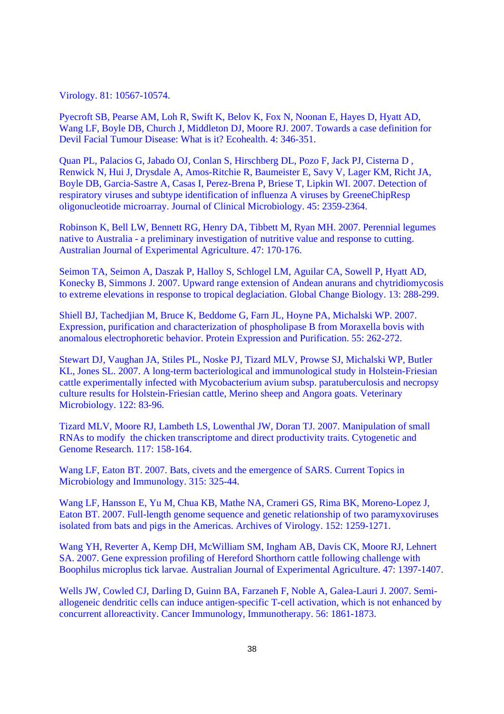Virology. 81: 10567-10574.

Pyecroft SB, Pearse AM, Loh R, Swift K, Belov K, Fox N, Noonan E, Hayes D, Hyatt AD, Wang LF, Boyle DB, Church J, Middleton DJ, Moore RJ. 2007. Towards a case definition for Devil Facial Tumour Disease: What is it? Ecohealth. 4: 346-351.

Quan PL, Palacios G, Jabado OJ, Conlan S, Hirschberg DL, Pozo F, Jack PJ, Cisterna D , Renwick N, Hui J, Drysdale A, Amos-Ritchie R, Baumeister E, Savy V, Lager KM, Richt JA, Boyle DB, Garcia-Sastre A, Casas I, Perez-Brena P, Briese T, Lipkin WI. 2007. Detection of respiratory viruses and subtype identification of influenza A viruses by GreeneChipResp oligonucleotide microarray. Journal of Clinical Microbiology. 45: 2359-2364.

Robinson K, Bell LW, Bennett RG, Henry DA, Tibbett M, Ryan MH. 2007. Perennial legumes native to Australia - a preliminary investigation of nutritive value and response to cutting. Australian Journal of Experimental Agriculture. 47: 170-176.

Seimon TA, Seimon A, Daszak P, Halloy S, Schlogel LM, Aguilar CA, Sowell P, Hyatt AD, Konecky B, Simmons J. 2007. Upward range extension of Andean anurans and chytridiomycosis to extreme elevations in response to tropical deglaciation. Global Change Biology. 13: 288-299.

Shiell BJ, Tachedjian M, Bruce K, Beddome G, Farn JL, Hoyne PA, Michalski WP. 2007. Expression, purification and characterization of phospholipase B from Moraxella bovis with anomalous electrophoretic behavior. Protein Expression and Purification. 55: 262-272.

Stewart DJ, Vaughan JA, Stiles PL, Noske PJ, Tizard MLV, Prowse SJ, Michalski WP, Butler KL, Jones SL. 2007. A long-term bacteriological and immunological study in Holstein-Friesian cattle experimentally infected with Mycobacterium avium subsp. paratuberculosis and necropsy culture results for Holstein-Friesian cattle, Merino sheep and Angora goats. Veterinary Microbiology. 122: 83-96.

Tizard MLV, Moore RJ, Lambeth LS, Lowenthal JW, Doran TJ. 2007. Manipulation of small RNAs to modify the chicken transcriptome and direct productivity traits. Cytogenetic and Genome Research. 117: 158-164.

Wang LF, Eaton BT. 2007. Bats, civets and the emergence of SARS. Current Topics in Microbiology and Immunology. 315: 325-44.

Wang LF, Hansson E, Yu M, Chua KB, Mathe NA, Crameri GS, Rima BK, Moreno-Lopez J, Eaton BT. 2007. Full-length genome sequence and genetic relationship of two paramyxoviruses isolated from bats and pigs in the Americas. Archives of Virology. 152: 1259-1271.

Wang YH, Reverter A, Kemp DH, McWilliam SM, Ingham AB, Davis CK, Moore RJ, Lehnert SA. 2007. Gene expression profiling of Hereford Shorthorn cattle following challenge with Boophilus microplus tick larvae. Australian Journal of Experimental Agriculture. 47: 1397-1407.

Wells JW, Cowled CJ, Darling D, Guinn BA, Farzaneh F, Noble A, Galea-Lauri J. 2007. Semiallogeneic dendritic cells can induce antigen-specific T-cell activation, which is not enhanced by concurrent alloreactivity. Cancer Immunology, Immunotherapy. 56: 1861-1873.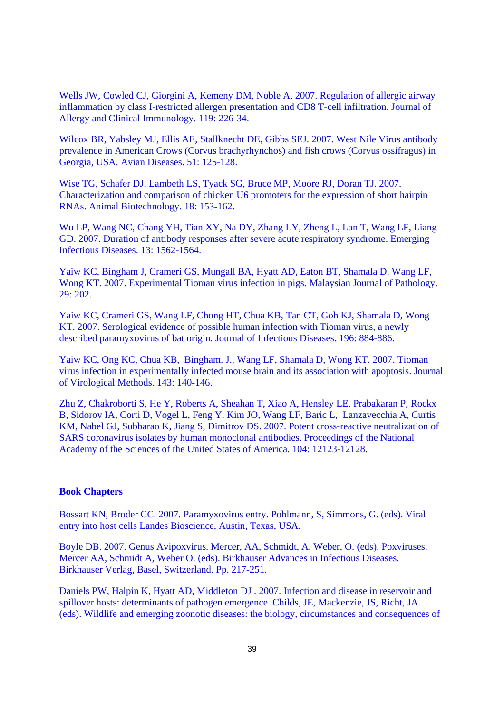Wells JW, Cowled CJ, Giorgini A, Kemeny DM, Noble A. 2007. Regulation of allergic airway inflammation by class I-restricted allergen presentation and CD8 T-cell infiltration. Journal of Allergy and Clinical Immunology. 119: 226-34.

Wilcox BR, Yabsley MJ, Ellis AE, Stallknecht DE, Gibbs SEJ. 2007. West Nile Virus antibody prevalence in American Crows (Corvus brachyrhynchos) and fish crows (Corvus ossifragus) in Georgia, USA. Avian Diseases. 51: 125-128.

Wise TG, Schafer DJ, Lambeth LS, Tyack SG, Bruce MP, Moore RJ, Doran TJ. 2007. Characterization and comparison of chicken U6 promoters for the expression of short hairpin RNAs. Animal Biotechnology. 18: 153-162.

Wu LP, Wang NC, Chang YH, Tian XY, Na DY, Zhang LY, Zheng L, Lan T, Wang LF, Liang GD. 2007. Duration of antibody responses after severe acute respiratory syndrome. Emerging Infectious Diseases. 13: 1562-1564.

Yaiw KC, Bingham J, Crameri GS, Mungall BA, Hyatt AD, Eaton BT, Shamala D, Wang LF, Wong KT. 2007. Experimental Tioman virus infection in pigs. Malaysian Journal of Pathology. 29: 202.

Yaiw KC, Crameri GS, Wang LF, Chong HT, Chua KB, Tan CT, Goh KJ, Shamala D, Wong KT. 2007. Serological evidence of possible human infection with Tioman virus, a newly described paramyxovirus of bat origin. Journal of Infectious Diseases. 196: 884-886.

Yaiw KC, Ong KC, Chua KB, Bingham. J., Wang LF, Shamala D, Wong KT. 2007. Tioman virus infection in experimentally infected mouse brain and its association with apoptosis. Journal of Virological Methods. 143: 140-146.

Zhu Z, Chakroborti S, He Y, Roberts A, Sheahan T, Xiao A, Hensley LE, Prabakaran P, Rockx B, Sidorov IA, Corti D, Vogel L, Feng Y, Kim JO, Wang LF, Baric L, Lanzavecchia A, Curtis KM, Nabel GJ, Subbarao K, Jiang S, Dimitrov DS. 2007. Potent cross-reactive neutralization of SARS coronavirus isolates by human monoclonal antibodies. Proceedings of the National Academy of the Sciences of the United States of America. 104: 12123-12128.

#### **Book Chapters**

Bossart KN, Broder CC. 2007. Paramyxovirus entry. Pohlmann, S, Simmons, G. (eds). Viral entry into host cells Landes Bioscience, Austin, Texas, USA.

Boyle DB. 2007. Genus Avipoxvirus. Mercer, AA, Schmidt, A, Weber, O. (eds). Poxviruses. Mercer AA, Schmidt A, Weber O. (eds). Birkhauser Advances in Infectious Diseases. Birkhauser Verlag, Basel, Switzerland. Pp. 217-251.

Daniels PW, Halpin K, Hyatt AD, Middleton DJ . 2007. Infection and disease in reservoir and spillover hosts: determinants of pathogen emergence. Childs, JE, Mackenzie, JS, Richt, JA. (eds). Wildlife and emerging zoonotic diseases: the biology, circumstances and consequences of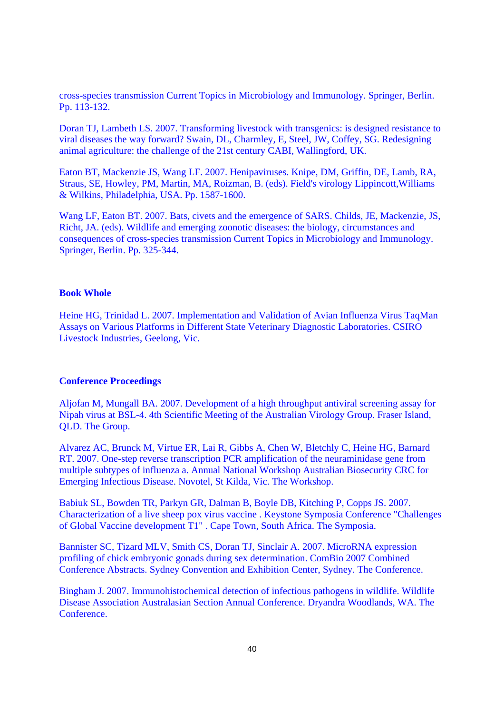cross-species transmission Current Topics in Microbiology and Immunology. Springer, Berlin. Pp. 113-132.

Doran TJ, Lambeth LS. 2007. Transforming livestock with transgenics: is designed resistance to viral diseases the way forward? Swain, DL, Charmley, E, Steel, JW, Coffey, SG. Redesigning animal agriculture: the challenge of the 21st century CABI, Wallingford, UK.

Eaton BT, Mackenzie JS, Wang LF. 2007. Henipaviruses. Knipe, DM, Griffin, DE, Lamb, RA, Straus, SE, Howley, PM, Martin, MA, Roizman, B. (eds). Field's virology Lippincott,Williams & Wilkins, Philadelphia, USA. Pp. 1587-1600.

Wang LF, Eaton BT. 2007. Bats, civets and the emergence of SARS. Childs, JE, Mackenzie, JS, Richt, JA. (eds). Wildlife and emerging zoonotic diseases: the biology, circumstances and consequences of cross-species transmission Current Topics in Microbiology and Immunology. Springer, Berlin. Pp. 325-344.

### **Book Whole**

Heine HG, Trinidad L. 2007. Implementation and Validation of Avian Influenza Virus TaqMan Assays on Various Platforms in Different State Veterinary Diagnostic Laboratories. CSIRO Livestock Industries, Geelong, Vic.

### **Conference Proceedings**

Aljofan M, Mungall BA. 2007. Development of a high throughput antiviral screening assay for Nipah virus at BSL-4. 4th Scientific Meeting of the Australian Virology Group. Fraser Island, QLD. The Group.

Alvarez AC, Brunck M, Virtue ER, Lai R, Gibbs A, Chen W, Bletchly C, Heine HG, Barnard RT. 2007. One-step reverse transcription PCR amplification of the neuraminidase gene from multiple subtypes of influenza a. Annual National Workshop Australian Biosecurity CRC for Emerging Infectious Disease. Novotel, St Kilda, Vic. The Workshop.

Babiuk SL, Bowden TR, Parkyn GR, Dalman B, Boyle DB, Kitching P, Copps JS. 2007. Characterization of a live sheep pox virus vaccine . Keystone Symposia Conference "Challenges of Global Vaccine development T1" . Cape Town, South Africa. The Symposia.

Bannister SC, Tizard MLV, Smith CS, Doran TJ, Sinclair A. 2007. MicroRNA expression profiling of chick embryonic gonads during sex determination. ComBio 2007 Combined Conference Abstracts. Sydney Convention and Exhibition Center, Sydney. The Conference.

Bingham J. 2007. Immunohistochemical detection of infectious pathogens in wildlife. Wildlife Disease Association Australasian Section Annual Conference. Dryandra Woodlands, WA. The Conference.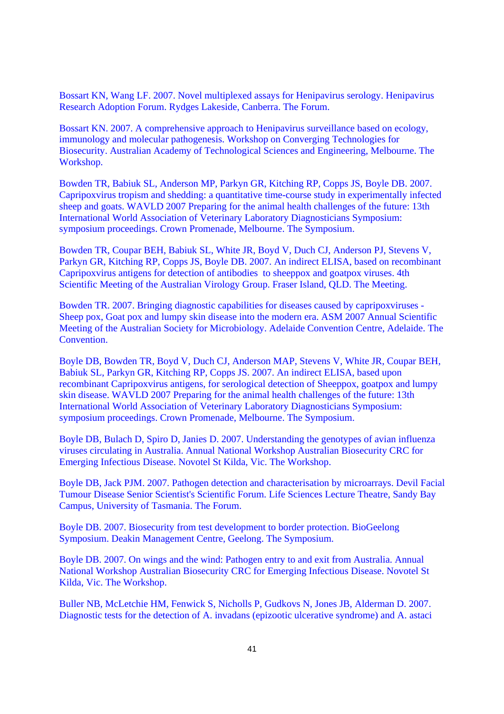Bossart KN, Wang LF. 2007. Novel multiplexed assays for Henipavirus serology. Henipavirus Research Adoption Forum. Rydges Lakeside, Canberra. The Forum.

Bossart KN. 2007. A comprehensive approach to Henipavirus surveillance based on ecology, immunology and molecular pathogenesis. Workshop on Converging Technologies for Biosecurity. Australian Academy of Technological Sciences and Engineering, Melbourne. The Workshop.

Bowden TR, Babiuk SL, Anderson MP, Parkyn GR, Kitching RP, Copps JS, Boyle DB. 2007. Capripoxvirus tropism and shedding: a quantitative time-course study in experimentally infected sheep and goats. WAVLD 2007 Preparing for the animal health challenges of the future: 13th International World Association of Veterinary Laboratory Diagnosticians Symposium: symposium proceedings. Crown Promenade, Melbourne. The Symposium.

Bowden TR, Coupar BEH, Babiuk SL, White JR, Boyd V, Duch CJ, Anderson PJ, Stevens V, Parkyn GR, Kitching RP, Copps JS, Boyle DB. 2007. An indirect ELISA, based on recombinant Capripoxvirus antigens for detection of antibodies to sheeppox and goatpox viruses. 4th Scientific Meeting of the Australian Virology Group. Fraser Island, QLD. The Meeting.

Bowden TR. 2007. Bringing diagnostic capabilities for diseases caused by capripoxviruses - Sheep pox, Goat pox and lumpy skin disease into the modern era. ASM 2007 Annual Scientific Meeting of the Australian Society for Microbiology. Adelaide Convention Centre, Adelaide. The Convention.

Boyle DB, Bowden TR, Boyd V, Duch CJ, Anderson MAP, Stevens V, White JR, Coupar BEH, Babiuk SL, Parkyn GR, Kitching RP, Copps JS. 2007. An indirect ELISA, based upon recombinant Capripoxvirus antigens, for serological detection of Sheeppox, goatpox and lumpy skin disease. WAVLD 2007 Preparing for the animal health challenges of the future: 13th International World Association of Veterinary Laboratory Diagnosticians Symposium: symposium proceedings. Crown Promenade, Melbourne. The Symposium.

Boyle DB, Bulach D, Spiro D, Janies D. 2007. Understanding the genotypes of avian influenza viruses circulating in Australia. Annual National Workshop Australian Biosecurity CRC for Emerging Infectious Disease. Novotel St Kilda, Vic. The Workshop.

Boyle DB, Jack PJM. 2007. Pathogen detection and characterisation by microarrays. Devil Facial Tumour Disease Senior Scientist's Scientific Forum. Life Sciences Lecture Theatre, Sandy Bay Campus, University of Tasmania. The Forum.

Boyle DB. 2007. Biosecurity from test development to border protection. BioGeelong Symposium. Deakin Management Centre, Geelong. The Symposium.

Boyle DB. 2007. On wings and the wind: Pathogen entry to and exit from Australia. Annual National Workshop Australian Biosecurity CRC for Emerging Infectious Disease. Novotel St Kilda, Vic. The Workshop.

Buller NB, McLetchie HM, Fenwick S, Nicholls P, Gudkovs N, Jones JB, Alderman D. 2007. Diagnostic tests for the detection of A. invadans (epizootic ulcerative syndrome) and A. astaci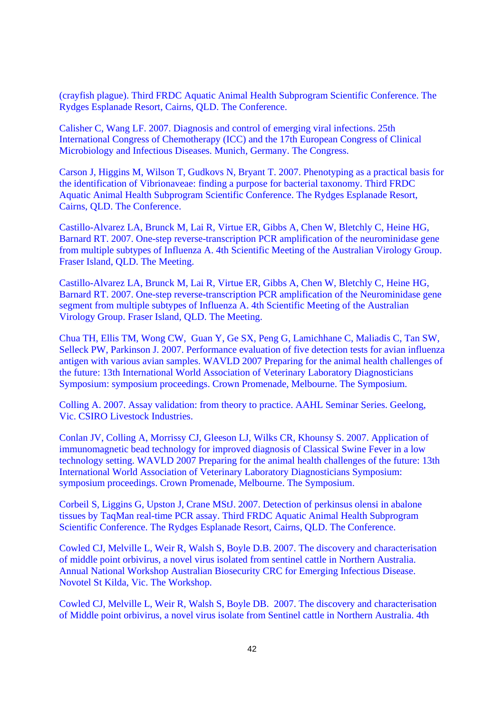(crayfish plague). Third FRDC Aquatic Animal Health Subprogram Scientific Conference. The Rydges Esplanade Resort, Cairns, QLD. The Conference.

Calisher C, Wang LF. 2007. Diagnosis and control of emerging viral infections. 25th International Congress of Chemotherapy (ICC) and the 17th European Congress of Clinical Microbiology and Infectious Diseases. Munich, Germany. The Congress.

Carson J, Higgins M, Wilson T, Gudkovs N, Bryant T. 2007. Phenotyping as a practical basis for the identification of Vibrionaveae: finding a purpose for bacterial taxonomy. Third FRDC Aquatic Animal Health Subprogram Scientific Conference. The Rydges Esplanade Resort, Cairns, QLD. The Conference.

Castillo-Alvarez LA, Brunck M, Lai R, Virtue ER, Gibbs A, Chen W, Bletchly C, Heine HG, Barnard RT. 2007. One-step reverse-transcription PCR amplification of the neurominidase gene from multiple subtypes of Influenza A. 4th Scientific Meeting of the Australian Virology Group. Fraser Island, QLD. The Meeting.

Castillo-Alvarez LA, Brunck M, Lai R, Virtue ER, Gibbs A, Chen W, Bletchly C, Heine HG, Barnard RT. 2007. One-step reverse-transcription PCR amplification of the Neurominidase gene segment from multiple subtypes of Influenza A. 4th Scientific Meeting of the Australian Virology Group. Fraser Island, QLD. The Meeting.

Chua TH, Ellis TM, Wong CW, Guan Y, Ge SX, Peng G, Lamichhane C, Maliadis C, Tan SW, Selleck PW, Parkinson J. 2007. Performance evaluation of five detection tests for avian influenza antigen with various avian samples. WAVLD 2007 Preparing for the animal health challenges of the future: 13th International World Association of Veterinary Laboratory Diagnosticians Symposium: symposium proceedings. Crown Promenade, Melbourne. The Symposium.

Colling A. 2007. Assay validation: from theory to practice. AAHL Seminar Series. Geelong, Vic. CSIRO Livestock Industries.

Conlan JV, Colling A, Morrissy CJ, Gleeson LJ, Wilks CR, Khounsy S. 2007. Application of immunomagnetic bead technology for improved diagnosis of Classical Swine Fever in a low technology setting. WAVLD 2007 Preparing for the animal health challenges of the future: 13th International World Association of Veterinary Laboratory Diagnosticians Symposium: symposium proceedings. Crown Promenade, Melbourne. The Symposium.

Corbeil S, Liggins G, Upston J, Crane MStJ. 2007. Detection of perkinsus olensi in abalone tissues by TaqMan real-time PCR assay. Third FRDC Aquatic Animal Health Subprogram Scientific Conference. The Rydges Esplanade Resort, Cairns, QLD. The Conference.

Cowled CJ, Melville L, Weir R, Walsh S, Boyle D.B. 2007. The discovery and characterisation of middle point orbivirus, a novel virus isolated from sentinel cattle in Northern Australia. Annual National Workshop Australian Biosecurity CRC for Emerging Infectious Disease. Novotel St Kilda, Vic. The Workshop.

Cowled CJ, Melville L, Weir R, Walsh S, Boyle DB. 2007. The discovery and characterisation of Middle point orbivirus, a novel virus isolate from Sentinel cattle in Northern Australia. 4th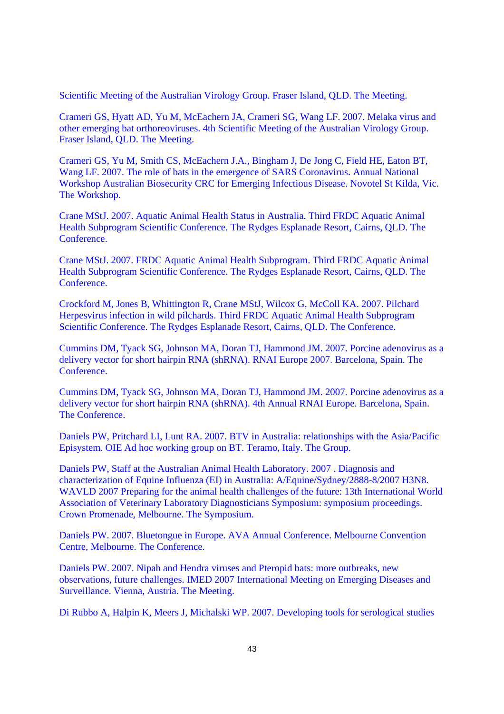Scientific Meeting of the Australian Virology Group. Fraser Island, QLD. The Meeting.

Crameri GS, Hyatt AD, Yu M, McEachern JA, Crameri SG, Wang LF. 2007. Melaka virus and other emerging bat orthoreoviruses. 4th Scientific Meeting of the Australian Virology Group. Fraser Island, QLD. The Meeting.

Crameri GS, Yu M, Smith CS, McEachern J.A., Bingham J, De Jong C, Field HE, Eaton BT, Wang LF. 2007. The role of bats in the emergence of SARS Coronavirus. Annual National Workshop Australian Biosecurity CRC for Emerging Infectious Disease. Novotel St Kilda, Vic. The Workshop.

Crane MStJ. 2007. Aquatic Animal Health Status in Australia. Third FRDC Aquatic Animal Health Subprogram Scientific Conference. The Rydges Esplanade Resort, Cairns, QLD. The **Conference** 

Crane MStJ. 2007. FRDC Aquatic Animal Health Subprogram. Third FRDC Aquatic Animal Health Subprogram Scientific Conference. The Rydges Esplanade Resort, Cairns, QLD. The Conference.

Crockford M, Jones B, Whittington R, Crane MStJ, Wilcox G, McColl KA. 2007. Pilchard Herpesvirus infection in wild pilchards. Third FRDC Aquatic Animal Health Subprogram Scientific Conference. The Rydges Esplanade Resort, Cairns, QLD. The Conference.

Cummins DM, Tyack SG, Johnson MA, Doran TJ, Hammond JM. 2007. Porcine adenovirus as a delivery vector for short hairpin RNA (shRNA). RNAI Europe 2007. Barcelona, Spain. The Conference.

Cummins DM, Tyack SG, Johnson MA, Doran TJ, Hammond JM. 2007. Porcine adenovirus as a delivery vector for short hairpin RNA (shRNA). 4th Annual RNAI Europe. Barcelona, Spain. The Conference.

Daniels PW, Pritchard LI, Lunt RA. 2007. BTV in Australia: relationships with the Asia/Pacific Episystem. OIE Ad hoc working group on BT. Teramo, Italy. The Group.

Daniels PW, Staff at the Australian Animal Health Laboratory. 2007 . Diagnosis and characterization of Equine Influenza (EI) in Australia: A/Equine/Sydney/2888-8/2007 H3N8. WAVLD 2007 Preparing for the animal health challenges of the future: 13th International World Association of Veterinary Laboratory Diagnosticians Symposium: symposium proceedings. Crown Promenade, Melbourne. The Symposium.

Daniels PW. 2007. Bluetongue in Europe. AVA Annual Conference. Melbourne Convention Centre, Melbourne. The Conference.

Daniels PW. 2007. Nipah and Hendra viruses and Pteropid bats: more outbreaks, new observations, future challenges. IMED 2007 International Meeting on Emerging Diseases and Surveillance. Vienna, Austria. The Meeting.

Di Rubbo A, Halpin K, Meers J, Michalski WP. 2007. Developing tools for serological studies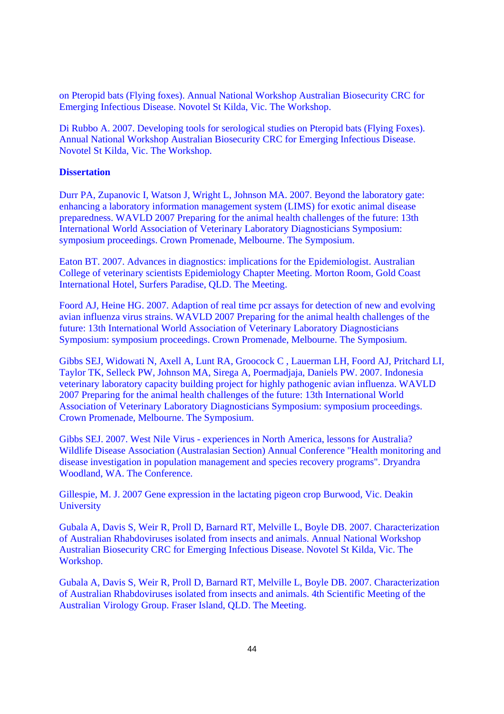on Pteropid bats (Flying foxes). Annual National Workshop Australian Biosecurity CRC for Emerging Infectious Disease. Novotel St Kilda, Vic. The Workshop.

Di Rubbo A. 2007. Developing tools for serological studies on Pteropid bats (Flying Foxes). Annual National Workshop Australian Biosecurity CRC for Emerging Infectious Disease. Novotel St Kilda, Vic. The Workshop.

# **Dissertation**

Durr PA, Zupanovic I, Watson J, Wright L, Johnson MA. 2007. Beyond the laboratory gate: enhancing a laboratory information management system (LIMS) for exotic animal disease preparedness. WAVLD 2007 Preparing for the animal health challenges of the future: 13th International World Association of Veterinary Laboratory Diagnosticians Symposium: symposium proceedings. Crown Promenade, Melbourne. The Symposium.

Eaton BT. 2007. Advances in diagnostics: implications for the Epidemiologist. Australian College of veterinary scientists Epidemiology Chapter Meeting. Morton Room, Gold Coast International Hotel, Surfers Paradise, QLD. The Meeting.

Foord AJ, Heine HG. 2007. Adaption of real time pcr assays for detection of new and evolving avian influenza virus strains. WAVLD 2007 Preparing for the animal health challenges of the future: 13th International World Association of Veterinary Laboratory Diagnosticians Symposium: symposium proceedings. Crown Promenade, Melbourne. The Symposium.

Gibbs SEJ, Widowati N, Axell A, Lunt RA, Groocock C , Lauerman LH, Foord AJ, Pritchard LI, Taylor TK, Selleck PW, Johnson MA, Sirega A, Poermadjaja, Daniels PW. 2007. Indonesia veterinary laboratory capacity building project for highly pathogenic avian influenza. WAVLD 2007 Preparing for the animal health challenges of the future: 13th International World Association of Veterinary Laboratory Diagnosticians Symposium: symposium proceedings. Crown Promenade, Melbourne. The Symposium.

Gibbs SEJ. 2007. West Nile Virus - experiences in North America, lessons for Australia? Wildlife Disease Association (Australasian Section) Annual Conference "Health monitoring and disease investigation in population management and species recovery programs". Dryandra Woodland, WA. The Conference.

Gillespie, M. J. 2007 Gene expression in the lactating pigeon crop Burwood, Vic. Deakin **University** 

Gubala A, Davis S, Weir R, Proll D, Barnard RT, Melville L, Boyle DB. 2007. Characterization of Australian Rhabdoviruses isolated from insects and animals. Annual National Workshop Australian Biosecurity CRC for Emerging Infectious Disease. Novotel St Kilda, Vic. The Workshop.

Gubala A, Davis S, Weir R, Proll D, Barnard RT, Melville L, Boyle DB. 2007. Characterization of Australian Rhabdoviruses isolated from insects and animals. 4th Scientific Meeting of the Australian Virology Group. Fraser Island, QLD. The Meeting.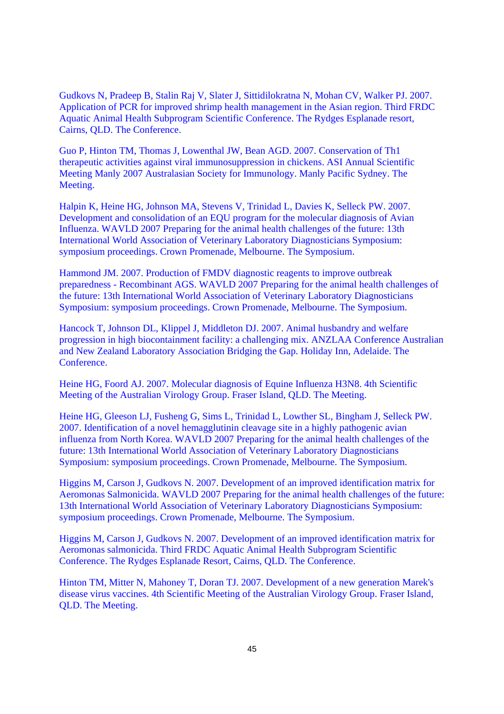Gudkovs N, Pradeep B, Stalin Raj V, Slater J, Sittidilokratna N, Mohan CV, Walker PJ. 2007. Application of PCR for improved shrimp health management in the Asian region. Third FRDC Aquatic Animal Health Subprogram Scientific Conference. The Rydges Esplanade resort, Cairns, QLD. The Conference.

Guo P, Hinton TM, Thomas J, Lowenthal JW, Bean AGD. 2007. Conservation of Th1 therapeutic activities against viral immunosuppression in chickens. ASI Annual Scientific Meeting Manly 2007 Australasian Society for Immunology. Manly Pacific Sydney. The Meeting.

Halpin K, Heine HG, Johnson MA, Stevens V, Trinidad L, Davies K, Selleck PW. 2007. Development and consolidation of an EQU program for the molecular diagnosis of Avian Influenza. WAVLD 2007 Preparing for the animal health challenges of the future: 13th International World Association of Veterinary Laboratory Diagnosticians Symposium: symposium proceedings. Crown Promenade, Melbourne. The Symposium.

Hammond JM. 2007. Production of FMDV diagnostic reagents to improve outbreak preparedness - Recombinant AGS. WAVLD 2007 Preparing for the animal health challenges of the future: 13th International World Association of Veterinary Laboratory Diagnosticians Symposium: symposium proceedings. Crown Promenade, Melbourne. The Symposium.

Hancock T, Johnson DL, Klippel J, Middleton DJ. 2007. Animal husbandry and welfare progression in high biocontainment facility: a challenging mix. ANZLAA Conference Australian and New Zealand Laboratory Association Bridging the Gap. Holiday Inn, Adelaide. The **Conference** 

Heine HG, Foord AJ. 2007. Molecular diagnosis of Equine Influenza H3N8. 4th Scientific Meeting of the Australian Virology Group. Fraser Island, QLD. The Meeting.

Heine HG, Gleeson LJ, Fusheng G, Sims L, Trinidad L, Lowther SL, Bingham J, Selleck PW. 2007. Identification of a novel hemagglutinin cleavage site in a highly pathogenic avian influenza from North Korea. WAVLD 2007 Preparing for the animal health challenges of the future: 13th International World Association of Veterinary Laboratory Diagnosticians Symposium: symposium proceedings. Crown Promenade, Melbourne. The Symposium.

Higgins M, Carson J, Gudkovs N. 2007. Development of an improved identification matrix for Aeromonas Salmonicida. WAVLD 2007 Preparing for the animal health challenges of the future: 13th International World Association of Veterinary Laboratory Diagnosticians Symposium: symposium proceedings. Crown Promenade, Melbourne. The Symposium.

Higgins M, Carson J, Gudkovs N. 2007. Development of an improved identification matrix for Aeromonas salmonicida. Third FRDC Aquatic Animal Health Subprogram Scientific Conference. The Rydges Esplanade Resort, Cairns, QLD. The Conference.

Hinton TM, Mitter N, Mahoney T, Doran TJ. 2007. Development of a new generation Marek's disease virus vaccines. 4th Scientific Meeting of the Australian Virology Group. Fraser Island, QLD. The Meeting.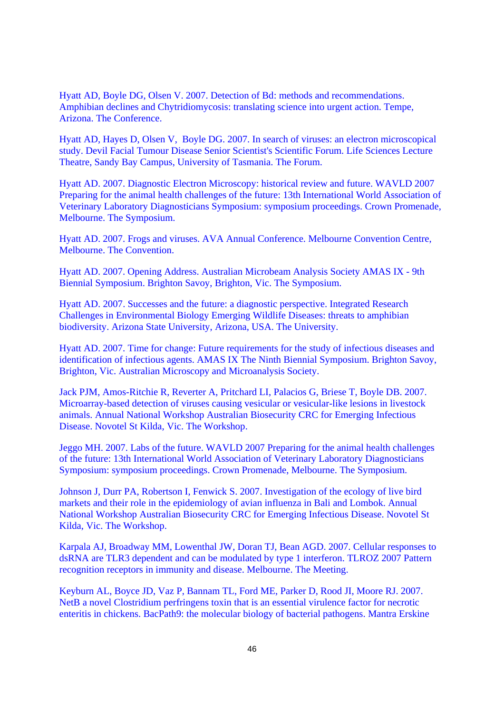Hyatt AD, Boyle DG, Olsen V. 2007. Detection of Bd: methods and recommendations. Amphibian declines and Chytridiomycosis: translating science into urgent action. Tempe, Arizona. The Conference.

Hyatt AD, Hayes D, Olsen V, Boyle DG. 2007. In search of viruses: an electron microscopical study. Devil Facial Tumour Disease Senior Scientist's Scientific Forum. Life Sciences Lecture Theatre, Sandy Bay Campus, University of Tasmania. The Forum.

Hyatt AD. 2007. Diagnostic Electron Microscopy: historical review and future. WAVLD 2007 Preparing for the animal health challenges of the future: 13th International World Association of Veterinary Laboratory Diagnosticians Symposium: symposium proceedings. Crown Promenade, Melbourne. The Symposium.

Hyatt AD. 2007. Frogs and viruses. AVA Annual Conference. Melbourne Convention Centre, Melbourne. The Convention.

Hyatt AD. 2007. Opening Address. Australian Microbeam Analysis Society AMAS IX - 9th Biennial Symposium. Brighton Savoy, Brighton, Vic. The Symposium.

Hyatt AD. 2007. Successes and the future: a diagnostic perspective. Integrated Research Challenges in Environmental Biology Emerging Wildlife Diseases: threats to amphibian biodiversity. Arizona State University, Arizona, USA. The University.

Hyatt AD. 2007. Time for change: Future requirements for the study of infectious diseases and identification of infectious agents. AMAS IX The Ninth Biennial Symposium. Brighton Savoy, Brighton, Vic. Australian Microscopy and Microanalysis Society.

Jack PJM, Amos-Ritchie R, Reverter A, Pritchard LI, Palacios G, Briese T, Boyle DB. 2007. Microarray-based detection of viruses causing vesicular or vesicular-like lesions in livestock animals. Annual National Workshop Australian Biosecurity CRC for Emerging Infectious Disease. Novotel St Kilda, Vic. The Workshop.

Jeggo MH. 2007. Labs of the future. WAVLD 2007 Preparing for the animal health challenges of the future: 13th International World Association of Veterinary Laboratory Diagnosticians Symposium: symposium proceedings. Crown Promenade, Melbourne. The Symposium.

Johnson J, Durr PA, Robertson I, Fenwick S. 2007. Investigation of the ecology of live bird markets and their role in the epidemiology of avian influenza in Bali and Lombok. Annual National Workshop Australian Biosecurity CRC for Emerging Infectious Disease. Novotel St Kilda, Vic. The Workshop.

Karpala AJ, Broadway MM, Lowenthal JW, Doran TJ, Bean AGD. 2007. Cellular responses to dsRNA are TLR3 dependent and can be modulated by type 1 interferon. TLROZ 2007 Pattern recognition receptors in immunity and disease. Melbourne. The Meeting.

Keyburn AL, Boyce JD, Vaz P, Bannam TL, Ford ME, Parker D, Rood JI, Moore RJ. 2007. NetB a novel Clostridium perfringens toxin that is an essential virulence factor for necrotic enteritis in chickens. BacPath9: the molecular biology of bacterial pathogens. Mantra Erskine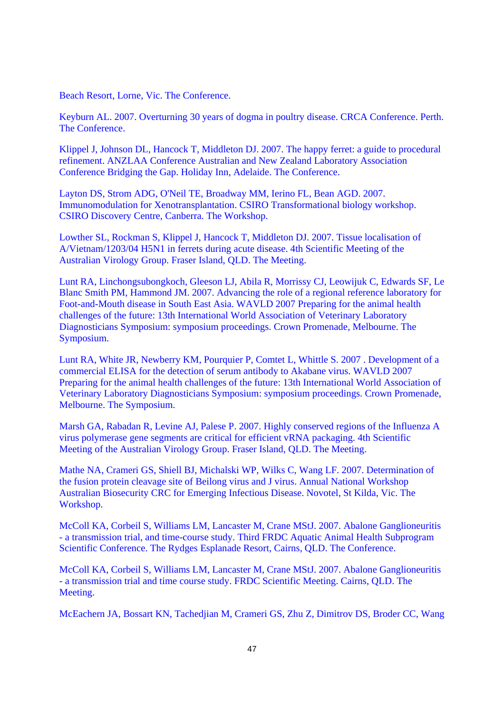Beach Resort, Lorne, Vic. The Conference.

Keyburn AL. 2007. Overturning 30 years of dogma in poultry disease. CRCA Conference. Perth. The Conference.

Klippel J, Johnson DL, Hancock T, Middleton DJ. 2007. The happy ferret: a guide to procedural refinement. ANZLAA Conference Australian and New Zealand Laboratory Association Conference Bridging the Gap. Holiday Inn, Adelaide. The Conference.

Layton DS, Strom ADG, O'Neil TE, Broadway MM, Ierino FL, Bean AGD. 2007. Immunomodulation for Xenotransplantation. CSIRO Transformational biology workshop. CSIRO Discovery Centre, Canberra. The Workshop.

Lowther SL, Rockman S, Klippel J, Hancock T, Middleton DJ. 2007. Tissue localisation of A/Vietnam/1203/04 H5N1 in ferrets during acute disease. 4th Scientific Meeting of the Australian Virology Group. Fraser Island, QLD. The Meeting.

Lunt RA, Linchongsubongkoch, Gleeson LJ, Abila R, Morrissy CJ, Leowijuk C, Edwards SF, Le Blanc Smith PM, Hammond JM. 2007. Advancing the role of a regional reference laboratory for Foot-and-Mouth disease in South East Asia. WAVLD 2007 Preparing for the animal health challenges of the future: 13th International World Association of Veterinary Laboratory Diagnosticians Symposium: symposium proceedings. Crown Promenade, Melbourne. The Symposium.

Lunt RA, White JR, Newberry KM, Pourquier P, Comtet L, Whittle S. 2007 . Development of a commercial ELISA for the detection of serum antibody to Akabane virus. WAVLD 2007 Preparing for the animal health challenges of the future: 13th International World Association of Veterinary Laboratory Diagnosticians Symposium: symposium proceedings. Crown Promenade, Melbourne. The Symposium.

Marsh GA, Rabadan R, Levine AJ, Palese P. 2007. Highly conserved regions of the Influenza A virus polymerase gene segments are critical for efficient vRNA packaging. 4th Scientific Meeting of the Australian Virology Group. Fraser Island, QLD. The Meeting.

Mathe NA, Crameri GS, Shiell BJ, Michalski WP, Wilks C, Wang LF. 2007. Determination of the fusion protein cleavage site of Beilong virus and J virus. Annual National Workshop Australian Biosecurity CRC for Emerging Infectious Disease. Novotel, St Kilda, Vic. The Workshop.

McColl KA, Corbeil S, Williams LM, Lancaster M, Crane MStJ. 2007. Abalone Ganglioneuritis - a transmission trial, and time-course study. Third FRDC Aquatic Animal Health Subprogram Scientific Conference. The Rydges Esplanade Resort, Cairns, QLD. The Conference.

McColl KA, Corbeil S, Williams LM, Lancaster M, Crane MStJ. 2007. Abalone Ganglioneuritis - a transmission trial and time course study. FRDC Scientific Meeting. Cairns, QLD. The Meeting.

McEachern JA, Bossart KN, Tachedjian M, Crameri GS, Zhu Z, Dimitrov DS, Broder CC, Wang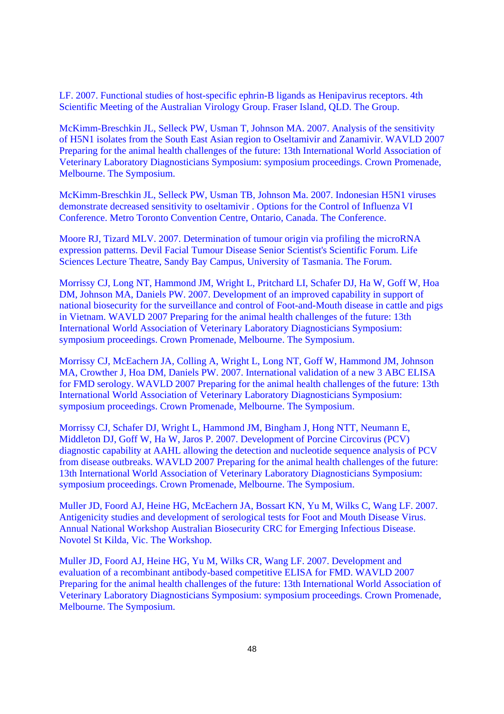LF. 2007. Functional studies of host-specific ephrin-B ligands as Henipavirus receptors. 4th Scientific Meeting of the Australian Virology Group. Fraser Island, OLD. The Group.

McKimm-Breschkin JL, Selleck PW, Usman T, Johnson MA. 2007. Analysis of the sensitivity of H5N1 isolates from the South East Asian region to Oseltamivir and Zanamivir. WAVLD 2007 Preparing for the animal health challenges of the future: 13th International World Association of Veterinary Laboratory Diagnosticians Symposium: symposium proceedings. Crown Promenade, Melbourne. The Symposium.

McKimm-Breschkin JL, Selleck PW, Usman TB, Johnson Ma. 2007. Indonesian H5N1 viruses demonstrate decreased sensitivity to oseltamivir . Options for the Control of Influenza VI Conference. Metro Toronto Convention Centre, Ontario, Canada. The Conference.

Moore RJ, Tizard MLV. 2007. Determination of tumour origin via profiling the microRNA expression patterns. Devil Facial Tumour Disease Senior Scientist's Scientific Forum. Life Sciences Lecture Theatre, Sandy Bay Campus, University of Tasmania. The Forum.

Morrissy CJ, Long NT, Hammond JM, Wright L, Pritchard LI, Schafer DJ, Ha W, Goff W, Hoa DM, Johnson MA, Daniels PW. 2007. Development of an improved capability in support of national biosecurity for the surveillance and control of Foot-and-Mouth disease in cattle and pigs in Vietnam. WAVLD 2007 Preparing for the animal health challenges of the future: 13th International World Association of Veterinary Laboratory Diagnosticians Symposium: symposium proceedings. Crown Promenade, Melbourne. The Symposium.

Morrissy CJ, McEachern JA, Colling A, Wright L, Long NT, Goff W, Hammond JM, Johnson MA, Crowther J, Hoa DM, Daniels PW. 2007. International validation of a new 3 ABC ELISA for FMD serology. WAVLD 2007 Preparing for the animal health challenges of the future: 13th International World Association of Veterinary Laboratory Diagnosticians Symposium: symposium proceedings. Crown Promenade, Melbourne. The Symposium.

Morrissy CJ, Schafer DJ, Wright L, Hammond JM, Bingham J, Hong NTT, Neumann E, Middleton DJ, Goff W, Ha W, Jaros P. 2007. Development of Porcine Circovirus (PCV) diagnostic capability at AAHL allowing the detection and nucleotide sequence analysis of PCV from disease outbreaks. WAVLD 2007 Preparing for the animal health challenges of the future: 13th International World Association of Veterinary Laboratory Diagnosticians Symposium: symposium proceedings. Crown Promenade, Melbourne. The Symposium.

Muller JD, Foord AJ, Heine HG, McEachern JA, Bossart KN, Yu M, Wilks C, Wang LF. 2007. Antigenicity studies and development of serological tests for Foot and Mouth Disease Virus. Annual National Workshop Australian Biosecurity CRC for Emerging Infectious Disease. Novotel St Kilda, Vic. The Workshop.

Muller JD, Foord AJ, Heine HG, Yu M, Wilks CR, Wang LF. 2007. Development and evaluation of a recombinant antibody-based competitive ELISA for FMD. WAVLD 2007 Preparing for the animal health challenges of the future: 13th International World Association of Veterinary Laboratory Diagnosticians Symposium: symposium proceedings. Crown Promenade, Melbourne. The Symposium.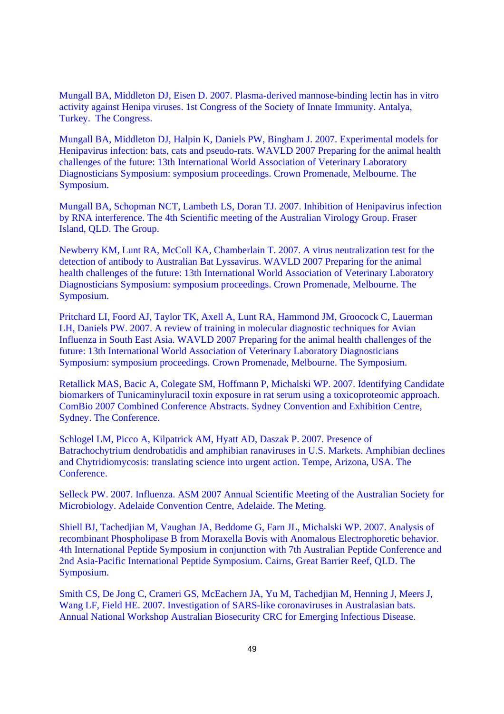Mungall BA, Middleton DJ, Eisen D. 2007. Plasma-derived mannose-binding lectin has in vitro activity against Henipa viruses. 1st Congress of the Society of Innate Immunity. Antalya, Turkey. The Congress.

Mungall BA, Middleton DJ, Halpin K, Daniels PW, Bingham J. 2007. Experimental models for Henipavirus infection: bats, cats and pseudo-rats. WAVLD 2007 Preparing for the animal health challenges of the future: 13th International World Association of Veterinary Laboratory Diagnosticians Symposium: symposium proceedings. Crown Promenade, Melbourne. The Symposium.

Mungall BA, Schopman NCT, Lambeth LS, Doran TJ. 2007. Inhibition of Henipavirus infection by RNA interference. The 4th Scientific meeting of the Australian Virology Group. Fraser Island, QLD. The Group.

Newberry KM, Lunt RA, McColl KA, Chamberlain T. 2007. A virus neutralization test for the detection of antibody to Australian Bat Lyssavirus. WAVLD 2007 Preparing for the animal health challenges of the future: 13th International World Association of Veterinary Laboratory Diagnosticians Symposium: symposium proceedings. Crown Promenade, Melbourne. The Symposium.

Pritchard LI, Foord AJ, Taylor TK, Axell A, Lunt RA, Hammond JM, Groocock C, Lauerman LH, Daniels PW. 2007. A review of training in molecular diagnostic techniques for Avian Influenza in South East Asia. WAVLD 2007 Preparing for the animal health challenges of the future: 13th International World Association of Veterinary Laboratory Diagnosticians Symposium: symposium proceedings. Crown Promenade, Melbourne. The Symposium.

Retallick MAS, Bacic A, Colegate SM, Hoffmann P, Michalski WP. 2007. Identifying Candidate biomarkers of Tunicaminyluracil toxin exposure in rat serum using a toxicoproteomic approach. ComBio 2007 Combined Conference Abstracts. Sydney Convention and Exhibition Centre, Sydney. The Conference.

Schlogel LM, Picco A, Kilpatrick AM, Hyatt AD, Daszak P. 2007. Presence of Batrachochytrium dendrobatidis and amphibian ranaviruses in U.S. Markets. Amphibian declines and Chytridiomycosis: translating science into urgent action. Tempe, Arizona, USA. The Conference.

Selleck PW. 2007. Influenza. ASM 2007 Annual Scientific Meeting of the Australian Society for Microbiology. Adelaide Convention Centre, Adelaide. The Meting.

Shiell BJ, Tachedjian M, Vaughan JA, Beddome G, Farn JL, Michalski WP. 2007. Analysis of recombinant Phospholipase B from Moraxella Bovis with Anomalous Electrophoretic behavior. 4th International Peptide Symposium in conjunction with 7th Australian Peptide Conference and 2nd Asia-Pacific International Peptide Symposium. Cairns, Great Barrier Reef, QLD. The Symposium.

Smith CS, De Jong C, Crameri GS, McEachern JA, Yu M, Tachedjian M, Henning J, Meers J, Wang LF, Field HE. 2007. Investigation of SARS-like coronaviruses in Australasian bats. Annual National Workshop Australian Biosecurity CRC for Emerging Infectious Disease.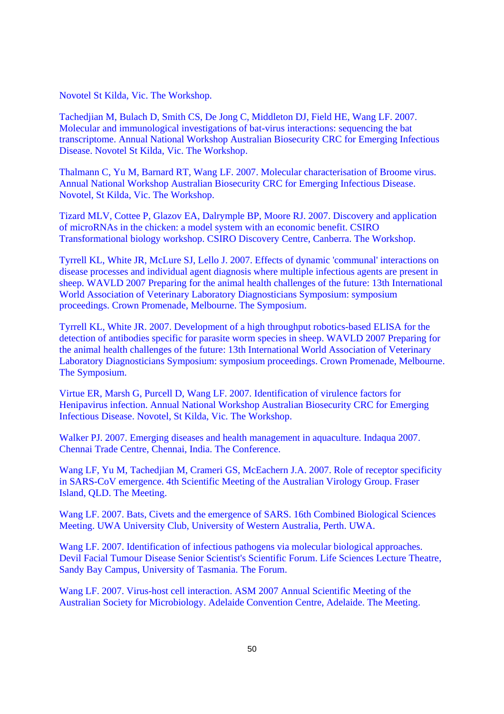Novotel St Kilda, Vic. The Workshop.

Tachedjian M, Bulach D, Smith CS, De Jong C, Middleton DJ, Field HE, Wang LF. 2007. Molecular and immunological investigations of bat-virus interactions: sequencing the bat transcriptome. Annual National Workshop Australian Biosecurity CRC for Emerging Infectious Disease. Novotel St Kilda, Vic. The Workshop.

Thalmann C, Yu M, Barnard RT, Wang LF. 2007. Molecular characterisation of Broome virus. Annual National Workshop Australian Biosecurity CRC for Emerging Infectious Disease. Novotel, St Kilda, Vic. The Workshop.

Tizard MLV, Cottee P, Glazov EA, Dalrymple BP, Moore RJ. 2007. Discovery and application of microRNAs in the chicken: a model system with an economic benefit. CSIRO Transformational biology workshop. CSIRO Discovery Centre, Canberra. The Workshop.

Tyrrell KL, White JR, McLure SJ, Lello J. 2007. Effects of dynamic 'communal' interactions on disease processes and individual agent diagnosis where multiple infectious agents are present in sheep. WAVLD 2007 Preparing for the animal health challenges of the future: 13th International World Association of Veterinary Laboratory Diagnosticians Symposium: symposium proceedings. Crown Promenade, Melbourne. The Symposium.

Tyrrell KL, White JR. 2007. Development of a high throughput robotics-based ELISA for the detection of antibodies specific for parasite worm species in sheep. WAVLD 2007 Preparing for the animal health challenges of the future: 13th International World Association of Veterinary Laboratory Diagnosticians Symposium: symposium proceedings. Crown Promenade, Melbourne. The Symposium.

Virtue ER, Marsh G, Purcell D, Wang LF. 2007. Identification of virulence factors for Henipavirus infection. Annual National Workshop Australian Biosecurity CRC for Emerging Infectious Disease. Novotel, St Kilda, Vic. The Workshop.

Walker PJ. 2007. Emerging diseases and health management in aquaculture. Indaqua 2007. Chennai Trade Centre, Chennai, India. The Conference.

Wang LF, Yu M, Tachedjian M, Crameri GS, McEachern J.A. 2007. Role of receptor specificity in SARS-CoV emergence. 4th Scientific Meeting of the Australian Virology Group. Fraser Island, QLD. The Meeting.

Wang LF. 2007. Bats, Civets and the emergence of SARS. 16th Combined Biological Sciences Meeting. UWA University Club, University of Western Australia, Perth. UWA.

Wang LF. 2007. Identification of infectious pathogens via molecular biological approaches. Devil Facial Tumour Disease Senior Scientist's Scientific Forum. Life Sciences Lecture Theatre, Sandy Bay Campus, University of Tasmania. The Forum.

Wang LF. 2007. Virus-host cell interaction. ASM 2007 Annual Scientific Meeting of the Australian Society for Microbiology. Adelaide Convention Centre, Adelaide. The Meeting.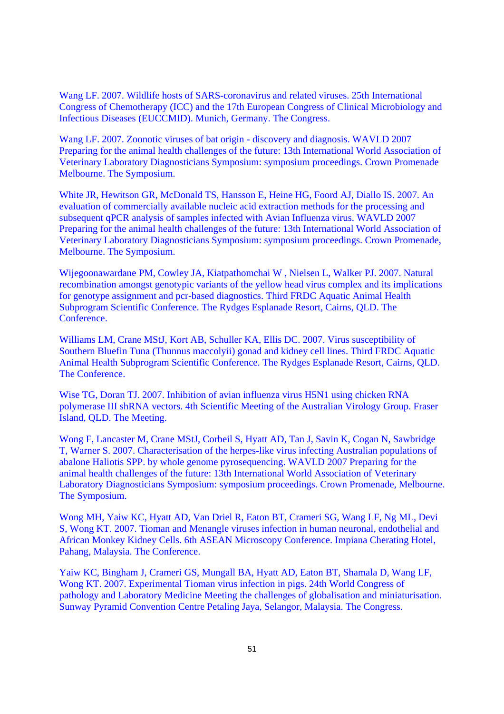Wang LF. 2007. Wildlife hosts of SARS-coronavirus and related viruses. 25th International Congress of Chemotherapy (ICC) and the 17th European Congress of Clinical Microbiology and Infectious Diseases (EUCCMID). Munich, Germany. The Congress.

Wang LF. 2007. Zoonotic viruses of bat origin - discovery and diagnosis. WAVLD 2007 Preparing for the animal health challenges of the future: 13th International World Association of Veterinary Laboratory Diagnosticians Symposium: symposium proceedings. Crown Promenade Melbourne. The Symposium.

White JR, Hewitson GR, McDonald TS, Hansson E, Heine HG, Foord AJ, Diallo IS. 2007. An evaluation of commercially available nucleic acid extraction methods for the processing and subsequent qPCR analysis of samples infected with Avian Influenza virus. WAVLD 2007 Preparing for the animal health challenges of the future: 13th International World Association of Veterinary Laboratory Diagnosticians Symposium: symposium proceedings. Crown Promenade, Melbourne. The Symposium.

Wijegoonawardane PM, Cowley JA, Kiatpathomchai W , Nielsen L, Walker PJ. 2007. Natural recombination amongst genotypic variants of the yellow head virus complex and its implications for genotype assignment and pcr-based diagnostics. Third FRDC Aquatic Animal Health Subprogram Scientific Conference. The Rydges Esplanade Resort, Cairns, QLD. The Conference.

Williams LM, Crane MStJ, Kort AB, Schuller KA, Ellis DC. 2007. Virus susceptibility of Southern Bluefin Tuna (Thunnus maccolyii) gonad and kidney cell lines. Third FRDC Aquatic Animal Health Subprogram Scientific Conference. The Rydges Esplanade Resort, Cairns, QLD. The Conference.

Wise TG, Doran TJ. 2007. Inhibition of avian influenza virus H5N1 using chicken RNA polymerase III shRNA vectors. 4th Scientific Meeting of the Australian Virology Group. Fraser Island, QLD. The Meeting.

Wong F, Lancaster M, Crane MStJ, Corbeil S, Hyatt AD, Tan J, Savin K, Cogan N, Sawbridge T, Warner S. 2007. Characterisation of the herpes-like virus infecting Australian populations of abalone Haliotis SPP. by whole genome pyrosequencing. WAVLD 2007 Preparing for the animal health challenges of the future: 13th International World Association of Veterinary Laboratory Diagnosticians Symposium: symposium proceedings. Crown Promenade, Melbourne. The Symposium.

Wong MH, Yaiw KC, Hyatt AD, Van Driel R, Eaton BT, Crameri SG, Wang LF, Ng ML, Devi S, Wong KT. 2007. Tioman and Menangle viruses infection in human neuronal, endothelial and African Monkey Kidney Cells. 6th ASEAN Microscopy Conference. Impiana Cherating Hotel, Pahang, Malaysia. The Conference.

Yaiw KC, Bingham J, Crameri GS, Mungall BA, Hyatt AD, Eaton BT, Shamala D, Wang LF, Wong KT. 2007. Experimental Tioman virus infection in pigs. 24th World Congress of pathology and Laboratory Medicine Meeting the challenges of globalisation and miniaturisation. Sunway Pyramid Convention Centre Petaling Jaya, Selangor, Malaysia. The Congress.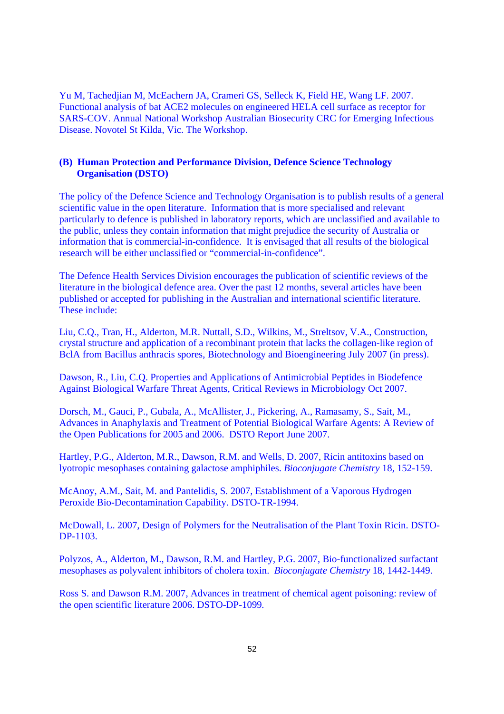Yu M, Tachedjian M, McEachern JA, Crameri GS, Selleck K, Field HE, Wang LF. 2007. Functional analysis of bat ACE2 molecules on engineered HELA cell surface as receptor for SARS-COV. Annual National Workshop Australian Biosecurity CRC for Emerging Infectious Disease. Novotel St Kilda, Vic. The Workshop.

## **(B) Human Protection and Performance Division, Defence Science Technology Organisation (DSTO)**

The policy of the Defence Science and Technology Organisation is to publish results of a general scientific value in the open literature. Information that is more specialised and relevant particularly to defence is published in laboratory reports, which are unclassified and available to the public, unless they contain information that might prejudice the security of Australia or information that is commercial-in-confidence. It is envisaged that all results of the biological research will be either unclassified or "commercial-in-confidence".

The Defence Health Services Division encourages the publication of scientific reviews of the literature in the biological defence area. Over the past 12 months, several articles have been published or accepted for publishing in the Australian and international scientific literature. These include:

Liu, C.Q., Tran, H., Alderton, M.R. Nuttall, S.D., Wilkins, M., Streltsov, V.A., Construction, crystal structure and application of a recombinant protein that lacks the collagen-like region of BclA from Bacillus anthracis spores, Biotechnology and Bioengineering July 2007 (in press).

Dawson, R., Liu, C.Q. Properties and Applications of Antimicrobial Peptides in Biodefence Against Biological Warfare Threat Agents, Critical Reviews in Microbiology Oct 2007.

Dorsch, M., Gauci, P., Gubala, A., McAllister, J., Pickering, A., Ramasamy, S., Sait, M., Advances in Anaphylaxis and Treatment of Potential Biological Warfare Agents: A Review of the Open Publications for 2005 and 2006. DSTO Report June 2007.

Hartley, P.G., Alderton, M.R., Dawson, R.M. and Wells, D. 2007, Ricin antitoxins based on lyotropic mesophases containing galactose amphiphiles. *Bioconjugate Chemistry* 18, 152-159.

McAnoy, A.M., Sait, M. and Pantelidis, S. 2007, Establishment of a Vaporous Hydrogen Peroxide Bio-Decontamination Capability. DSTO-TR-1994.

McDowall, L. 2007, Design of Polymers for the Neutralisation of the Plant Toxin Ricin. DSTO-DP-1103.

Polyzos, A., Alderton, M., Dawson, R.M. and Hartley, P.G. 2007, Bio-functionalized surfactant mesophases as polyvalent inhibitors of cholera toxin. *Bioconjugate Chemistry* 18, 1442-1449.

Ross S. and Dawson R.M. 2007, Advances in treatment of chemical agent poisoning: review of the open scientific literature 2006. DSTO-DP-1099*.*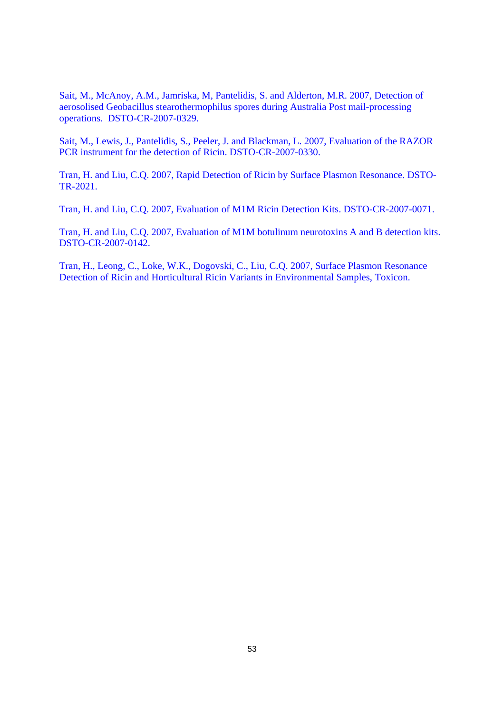Sait, M., McAnoy, A.M., Jamriska, M, Pantelidis, S. and Alderton, M.R. 2007, Detection of aerosolised Geobacillus stearothermophilus spores during Australia Post mail-processing operations. DSTO-CR-2007-0329.

Sait, M., Lewis, J., Pantelidis, S., Peeler, J. and Blackman, L. 2007, Evaluation of the RAZOR PCR instrument for the detection of Ricin. DSTO-CR-2007-0330.

Tran, H. and Liu, C.Q. 2007, Rapid Detection of Ricin by Surface Plasmon Resonance. DSTO-TR-2021.

Tran, H. and Liu, C.Q. 2007, Evaluation of M1M Ricin Detection Kits. DSTO-CR-2007-0071.

Tran, H. and Liu, C.Q. 2007, Evaluation of M1M botulinum neurotoxins A and B detection kits. DSTO-CR-2007-0142.

Tran, H., Leong, C., Loke, W.K., Dogovski, C., Liu, C.Q. 2007, Surface Plasmon Resonance Detection of Ricin and Horticultural Ricin Variants in Environmental Samples, Toxicon.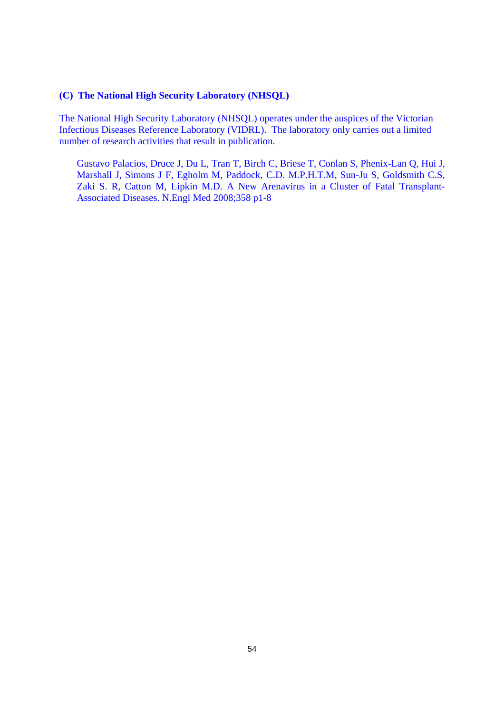### **(C) The National High Security Laboratory (NHSQL)**

The National High Security Laboratory (NHSQL) operates under the auspices of the Victorian Infectious Diseases Reference Laboratory (VIDRL). The laboratory only carries out a limited number of research activities that result in publication.

Gustavo Palacios, Druce J, Du L, Tran T, Birch C, Briese T, Conlan S, Phenix-Lan Q, Hui J, Marshall J, Simons J F, Egholm M, Paddock, C.D. M.P.H.T.M, Sun-Ju S, Goldsmith C.S, Zaki S. R, Catton M, Lipkin M.D. A New Arenavirus in a Cluster of Fatal Transplant-Associated Diseases. N.Engl Med 2008;358 p1-8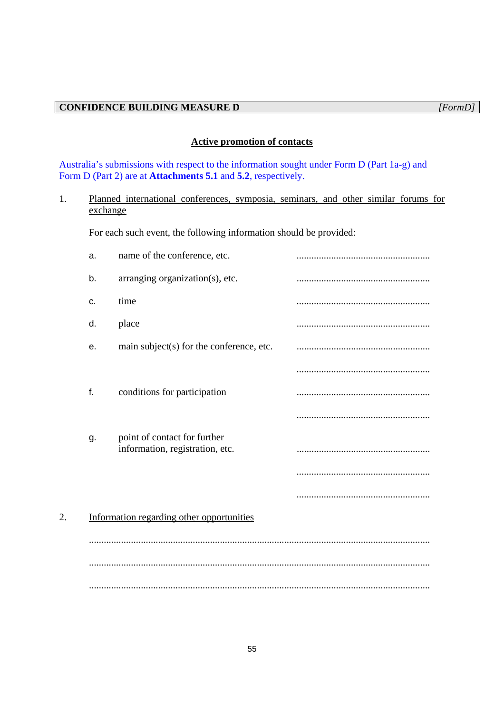# **Active promotion of contacts**

Australia's submissions with respect to the information sought under Form D (Part 1a-g) and Form D (Part 2) are at **Attachments 5.1** and **5.2**, respectively.

# 1. Planned international conferences, symposia, seminars, and other similar forums for exchange

For each such event, the following information should be provided:

|    | a. | name of the conference, etc.                                    |  |
|----|----|-----------------------------------------------------------------|--|
|    | b. | arranging organization(s), etc.                                 |  |
|    | C. | time                                                            |  |
|    | d. | place                                                           |  |
|    | е. | main subject(s) for the conference, etc.                        |  |
|    |    |                                                                 |  |
|    | f. | conditions for participation                                    |  |
|    |    |                                                                 |  |
|    | g. | point of contact for further<br>information, registration, etc. |  |
|    |    |                                                                 |  |
|    |    |                                                                 |  |
| 2. |    | Information regarding other opportunities                       |  |
|    |    |                                                                 |  |
|    |    |                                                                 |  |
|    |    |                                                                 |  |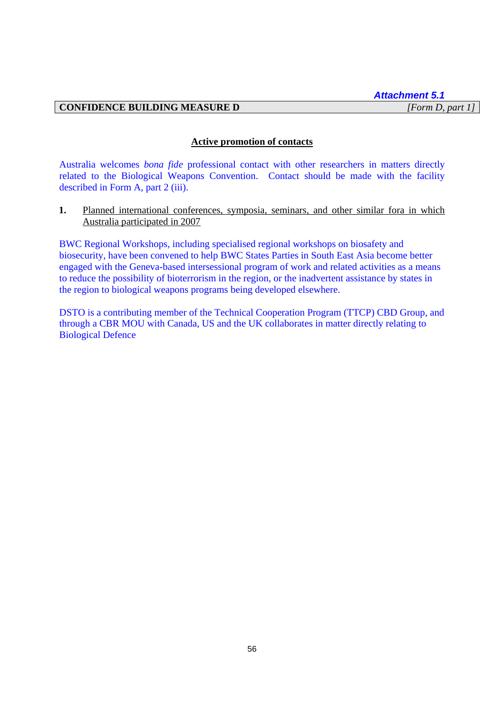# **CONFIDENCE BUILDING MEASURE D** *[Form D, part 1]*

### **Active promotion of contacts**

Australia welcomes *bona fide* professional contact with other researchers in matters directly related to the Biological Weapons Convention. Contact should be made with the facility described in Form A, part 2 (iii).

**1.** Planned international conferences, symposia, seminars, and other similar fora in which Australia participated in 2007

BWC Regional Workshops, including specialised regional workshops on biosafety and biosecurity, have been convened to help BWC States Parties in South East Asia become better engaged with the Geneva-based intersessional program of work and related activities as a means to reduce the possibility of bioterrorism in the region, or the inadvertent assistance by states in the region to biological weapons programs being developed elsewhere.

DSTO is a contributing member of the Technical Cooperation Program (TTCP) CBD Group, and through a CBR MOU with Canada, US and the UK collaborates in matter directly relating to Biological Defence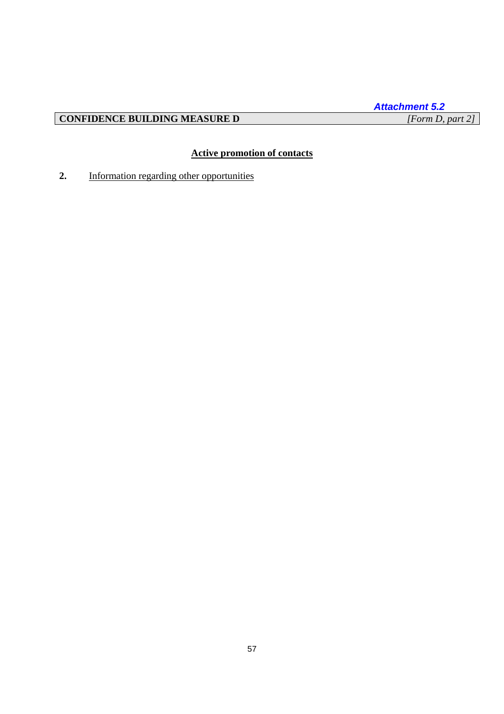# **CONFIDENCE BUILDING MEASURE D**

# **Active promotion of contacts**

**2.** Information regarding other opportunities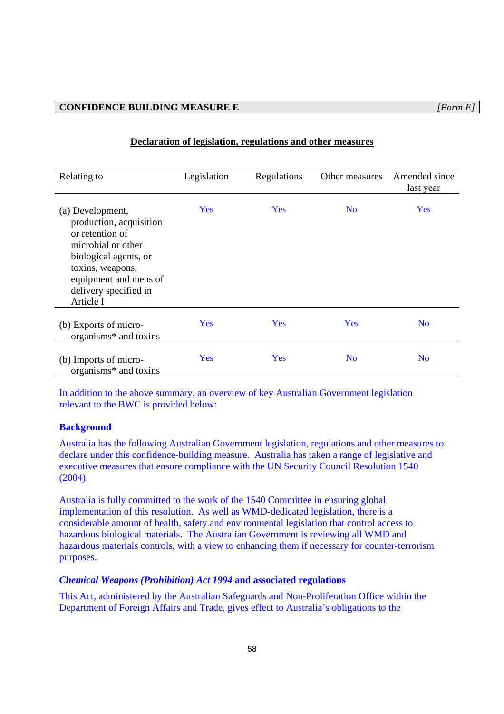| Relating to                                                                                                                                                                                      | Legislation | Regulations | Other measures | Amended since<br>last year |
|--------------------------------------------------------------------------------------------------------------------------------------------------------------------------------------------------|-------------|-------------|----------------|----------------------------|
| (a) Development,<br>production, acquisition<br>or retention of<br>microbial or other<br>biological agents, or<br>toxins, weapons,<br>equipment and mens of<br>delivery specified in<br>Article I | Yes         | <b>Yes</b>  | N <sub>0</sub> | Yes                        |
| (b) Exports of micro-<br>organisms* and toxins                                                                                                                                                   | Yes         | Yes         | Yes            | N <sub>0</sub>             |
| (b) Imports of micro-<br>organisms <sup>*</sup> and toxins                                                                                                                                       | Yes         | Yes         | N <sub>0</sub> | N <sub>0</sub>             |

### **Declaration of legislation, regulations and other measures**

In addition to the above summary, an overview of key Australian Government legislation relevant to the BWC is provided below:

### **Background**

Australia has the following Australian Government legislation, regulations and other measures to declare under this confidence-building measure. Australia has taken a range of legislative and executive measures that ensure compliance with the UN Security Council Resolution 1540 (2004).

Australia is fully committed to the work of the 1540 Committee in ensuring global implementation of this resolution. As well as WMD-dedicated legislation, there is a considerable amount of health, safety and environmental legislation that control access to hazardous biological materials. The Australian Government is reviewing all WMD and hazardous materials controls, with a view to enhancing them if necessary for counter-terrorism purposes.

### *Chemical Weapons (Prohibition) Act 1994* **and associated regulations**

This Act, administered by the Australian Safeguards and Non-Proliferation Office within the Department of Foreign Affairs and Trade, gives effect to Australia's obligations to the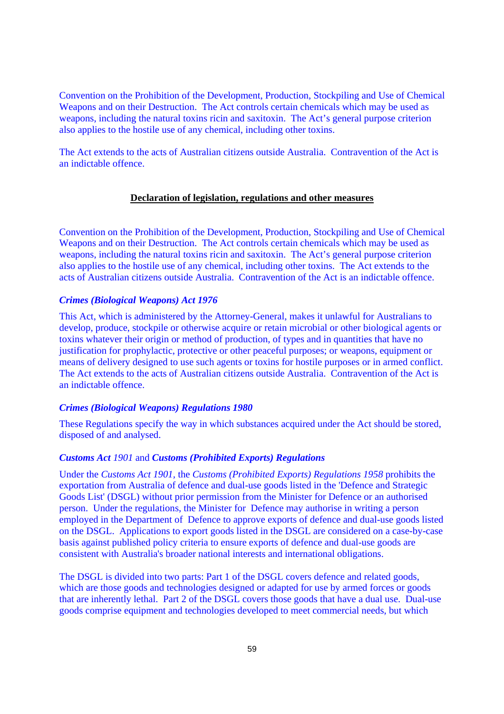Convention on the Prohibition of the Development, Production, Stockpiling and Use of Chemical Weapons and on their Destruction. The Act controls certain chemicals which may be used as weapons, including the natural toxins ricin and saxitoxin. The Act's general purpose criterion also applies to the hostile use of any chemical, including other toxins.

The Act extends to the acts of Australian citizens outside Australia. Contravention of the Act is an indictable offence.

### **Declaration of legislation, regulations and other measures**

Convention on the Prohibition of the Development, Production, Stockpiling and Use of Chemical Weapons and on their Destruction. The Act controls certain chemicals which may be used as weapons, including the natural toxins ricin and saxitoxin. The Act's general purpose criterion also applies to the hostile use of any chemical, including other toxins. The Act extends to the acts of Australian citizens outside Australia. Contravention of the Act is an indictable offence.

#### *Crimes (Biological Weapons) Act 1976*

This Act, which is administered by the Attorney-General, makes it unlawful for Australians to develop, produce, stockpile or otherwise acquire or retain microbial or other biological agents or toxins whatever their origin or method of production, of types and in quantities that have no justification for prophylactic, protective or other peaceful purposes; or weapons, equipment or means of delivery designed to use such agents or toxins for hostile purposes or in armed conflict. The Act extends to the acts of Australian citizens outside Australia. Contravention of the Act is an indictable offence.

### *Crimes (Biological Weapons) Regulations 1980*

These Regulations specify the way in which substances acquired under the Act should be stored, disposed of and analysed.

### *Customs Act 1901* and *Customs (Prohibited Exports) Regulations*

Under the *Customs Act 1901,* the *Customs (Prohibited Exports) Regulations 1958* prohibits the exportation from Australia of defence and dual-use goods listed in the 'Defence and Strategic Goods List' (DSGL) without prior permission from the Minister for Defence or an authorised person. Under the regulations, the Minister for Defence may authorise in writing a person employed in the Department of Defence to approve exports of defence and dual-use goods listed on the DSGL. Applications to export goods listed in the DSGL are considered on a case-by-case basis against published policy criteria to ensure exports of defence and dual-use goods are consistent with Australia's broader national interests and international obligations.

The DSGL is divided into two parts: Part 1 of the DSGL covers defence and related goods, which are those goods and technologies designed or adapted for use by armed forces or goods that are inherently lethal. Part 2 of the DSGL covers those goods that have a dual use. Dual-use goods comprise equipment and technologies developed to meet commercial needs, but which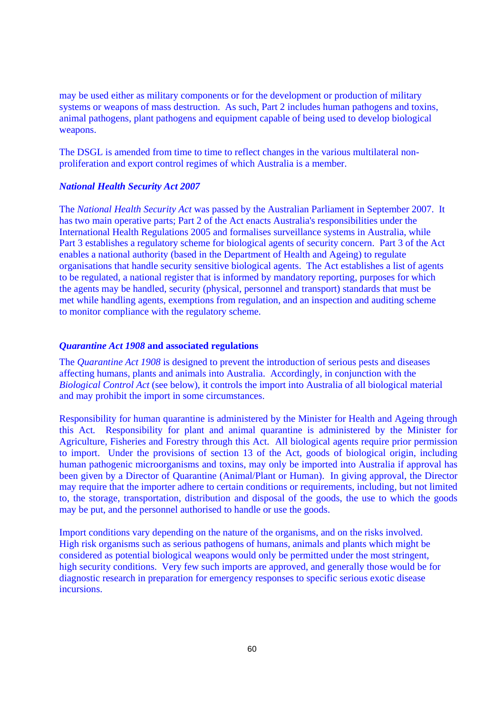may be used either as military components or for the development or production of military systems or weapons of mass destruction. As such, Part 2 includes human pathogens and toxins, animal pathogens, plant pathogens and equipment capable of being used to develop biological weapons.

The DSGL is amended from time to time to reflect changes in the various multilateral nonproliferation and export control regimes of which Australia is a member.

### *National Health Security Act 2007*

The *National Health Security Act* was passed by the Australian Parliament in September 2007. It has two main operative parts; Part 2 of the Act enacts Australia's responsibilities under the International Health Regulations 2005 and formalises surveillance systems in Australia, while Part 3 establishes a regulatory scheme for biological agents of security concern. Part 3 of the Act enables a national authority (based in the Department of Health and Ageing) to regulate organisations that handle security sensitive biological agents. The Act establishes a list of agents to be regulated, a national register that is informed by mandatory reporting, purposes for which the agents may be handled, security (physical, personnel and transport) standards that must be met while handling agents, exemptions from regulation, and an inspection and auditing scheme to monitor compliance with the regulatory scheme.

### *Quarantine Act 1908* **and associated regulations**

The *Quarantine Act 1908* is designed to prevent the introduction of serious pests and diseases affecting humans, plants and animals into Australia. Accordingly, in conjunction with the *Biological Control Act* (see below), it controls the import into Australia of all biological material and may prohibit the import in some circumstances.

Responsibility for human quarantine is administered by the Minister for Health and Ageing through this Act*.* Responsibility for plant and animal quarantine is administered by the Minister for Agriculture, Fisheries and Forestry through this Act. All biological agents require prior permission to import. Under the provisions of section 13 of the Act, goods of biological origin, including human pathogenic microorganisms and toxins, may only be imported into Australia if approval has been given by a Director of Quarantine (Animal/Plant or Human). In giving approval, the Director may require that the importer adhere to certain conditions or requirements, including, but not limited to, the storage, transportation, distribution and disposal of the goods, the use to which the goods may be put, and the personnel authorised to handle or use the goods.

Import conditions vary depending on the nature of the organisms, and on the risks involved. High risk organisms such as serious pathogens of humans, animals and plants which might be considered as potential biological weapons would only be permitted under the most stringent, high security conditions. Very few such imports are approved, and generally those would be for diagnostic research in preparation for emergency responses to specific serious exotic disease incursions.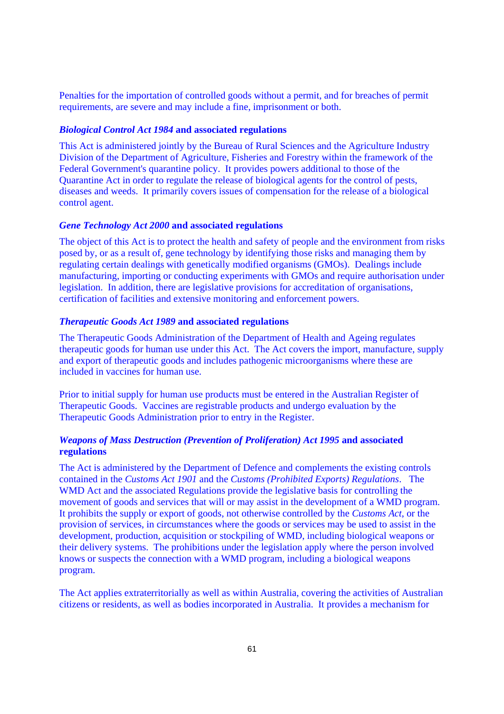Penalties for the importation of controlled goods without a permit, and for breaches of permit requirements, are severe and may include a fine, imprisonment or both.

### *Biological Control Act 1984* **and associated regulations**

This Act is administered jointly by the Bureau of Rural Sciences and the Agriculture Industry Division of the Department of Agriculture, Fisheries and Forestry within the framework of the Federal Government's quarantine policy. It provides powers additional to those of the Quarantine Act in order to regulate the release of biological agents for the control of pests, diseases and weeds. It primarily covers issues of compensation for the release of a biological control agent.

#### *Gene Technology Act 2000* **and associated regulations**

The object of this Act is to protect the health and safety of people and the environment from risks posed by, or as a result of, gene technology by identifying those risks and managing them by regulating certain dealings with genetically modified organisms (GMOs). Dealings include manufacturing, importing or conducting experiments with GMOs and require authorisation under legislation. In addition, there are legislative provisions for accreditation of organisations, certification of facilities and extensive monitoring and enforcement powers.

### *Therapeutic Goods Act 1989* **and associated regulations**

The Therapeutic Goods Administration of the Department of Health and Ageing regulates therapeutic goods for human use under this Act. The Act covers the import, manufacture, supply and export of therapeutic goods and includes pathogenic microorganisms where these are included in vaccines for human use.

Prior to initial supply for human use products must be entered in the Australian Register of Therapeutic Goods. Vaccines are registrable products and undergo evaluation by the Therapeutic Goods Administration prior to entry in the Register.

### *Weapons of Mass Destruction (Prevention of Proliferation) Act 1995* **and associated regulations**

The Act is administered by the Department of Defence and complements the existing controls contained in the *Customs Act 1901* and the *Customs (Prohibited Exports) Regulations*. The WMD Act and the associated Regulations provide the legislative basis for controlling the movement of goods and services that will or may assist in the development of a WMD program. It prohibits the supply or export of goods, not otherwise controlled by the *Customs Act*, or the provision of services, in circumstances where the goods or services may be used to assist in the development, production, acquisition or stockpiling of WMD, including biological weapons or their delivery systems. The prohibitions under the legislation apply where the person involved knows or suspects the connection with a WMD program, including a biological weapons program.

The Act applies extraterritorially as well as within Australia, covering the activities of Australian citizens or residents, as well as bodies incorporated in Australia. It provides a mechanism for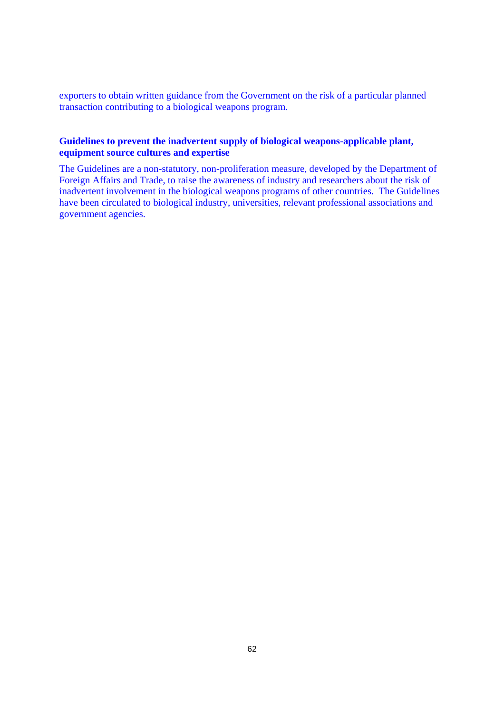exporters to obtain written guidance from the Government on the risk of a particular planned transaction contributing to a biological weapons program.

### **Guidelines to prevent the inadvertent supply of biological weapons-applicable plant, equipment source cultures and expertise**

The Guidelines are a non-statutory, non-proliferation measure, developed by the Department of Foreign Affairs and Trade, to raise the awareness of industry and researchers about the risk of inadvertent involvement in the biological weapons programs of other countries. The Guidelines have been circulated to biological industry, universities, relevant professional associations and government agencies.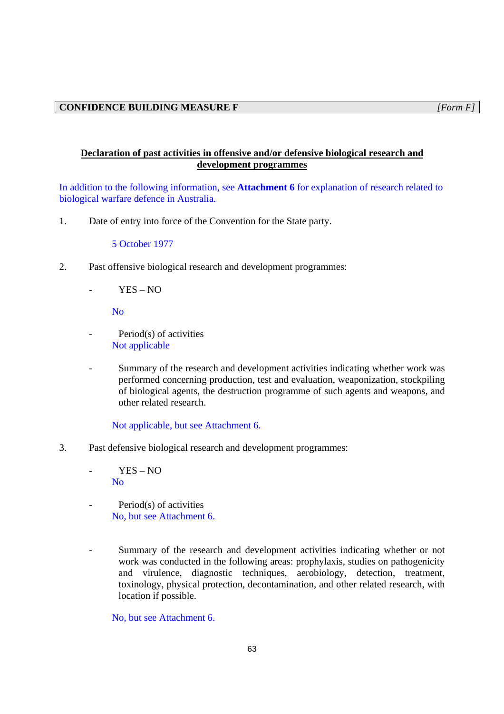# **Declaration of past activities in offensive and/or defensive biological research and development programmes**

In addition to the following information, see **Attachment 6** for explanation of research related to biological warfare defence in Australia.

1. Date of entry into force of the Convention for the State party.

5 October 1977

- 2. Past offensive biological research and development programmes:
	- YES NO

No

- Period(s) of activities Not applicable
- Summary of the research and development activities indicating whether work was performed concerning production, test and evaluation, weaponization, stockpiling of biological agents, the destruction programme of such agents and weapons, and other related research.

Not applicable, but see Attachment 6.

3. Past defensive biological research and development programmes:

 $YES - NO$ No

- Period(s) of activities No, but see Attachment 6.
- Summary of the research and development activities indicating whether or not work was conducted in the following areas: prophylaxis, studies on pathogenicity and virulence, diagnostic techniques, aerobiology, detection, treatment, toxinology, physical protection, decontamination, and other related research, with location if possible.

No, but see Attachment 6.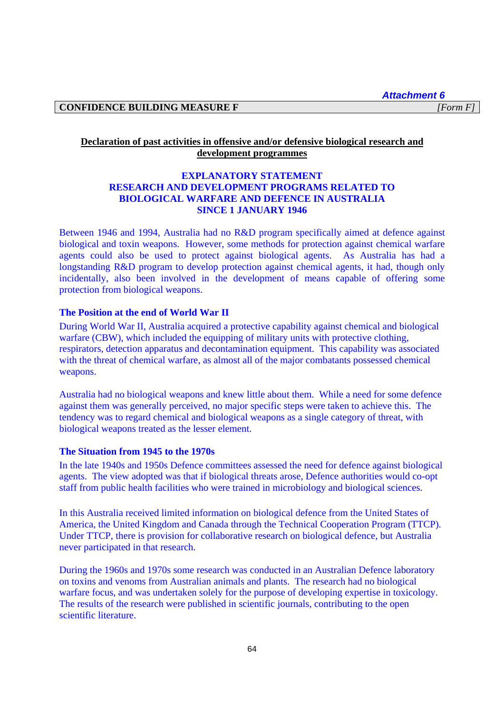*Attachment 6* 

### **CONFIDENCE BUILDING MEASURE F** *[Form F]*

# **Declaration of past activities in offensive and/or defensive biological research and development programmes**

# **EXPLANATORY STATEMENT RESEARCH AND DEVELOPMENT PROGRAMS RELATED TO BIOLOGICAL WARFARE AND DEFENCE IN AUSTRALIA SINCE 1 JANUARY 1946**

Between 1946 and 1994, Australia had no R&D program specifically aimed at defence against biological and toxin weapons. However, some methods for protection against chemical warfare agents could also be used to protect against biological agents. As Australia has had a longstanding R&D program to develop protection against chemical agents, it had, though only incidentally, also been involved in the development of means capable of offering some protection from biological weapons.

# **The Position at the end of World War II**

During World War II, Australia acquired a protective capability against chemical and biological warfare (CBW), which included the equipping of military units with protective clothing, respirators, detection apparatus and decontamination equipment. This capability was associated with the threat of chemical warfare, as almost all of the major combatants possessed chemical weapons.

Australia had no biological weapons and knew little about them. While a need for some defence against them was generally perceived, no major specific steps were taken to achieve this. The tendency was to regard chemical and biological weapons as a single category of threat, with biological weapons treated as the lesser element.

### **The Situation from 1945 to the 1970s**

In the late 1940s and 1950s Defence committees assessed the need for defence against biological agents. The view adopted was that if biological threats arose, Defence authorities would co-opt staff from public health facilities who were trained in microbiology and biological sciences.

In this Australia received limited information on biological defence from the United States of America, the United Kingdom and Canada through the Technical Cooperation Program (TTCP). Under TTCP, there is provision for collaborative research on biological defence, but Australia never participated in that research.

During the 1960s and 1970s some research was conducted in an Australian Defence laboratory on toxins and venoms from Australian animals and plants. The research had no biological warfare focus, and was undertaken solely for the purpose of developing expertise in toxicology. The results of the research were published in scientific journals, contributing to the open scientific literature.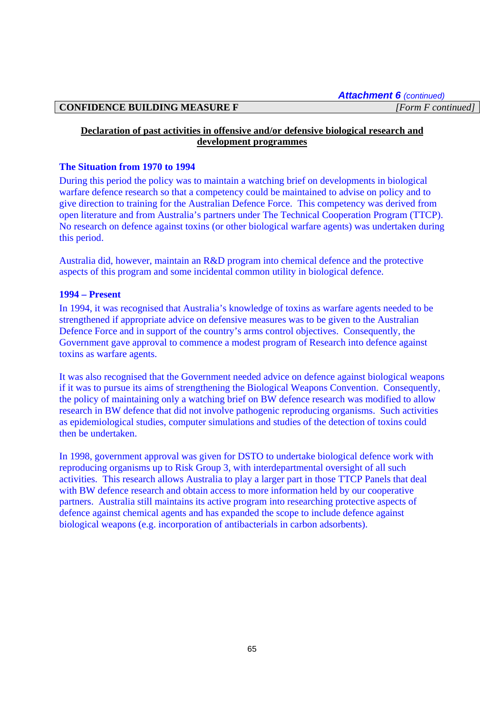### **CONFIDENCE BUILDING MEASURE F** *[Form F continued]*

# **Declaration of past activities in offensive and/or defensive biological research and development programmes**

### **The Situation from 1970 to 1994**

During this period the policy was to maintain a watching brief on developments in biological warfare defence research so that a competency could be maintained to advise on policy and to give direction to training for the Australian Defence Force. This competency was derived from open literature and from Australia's partners under The Technical Cooperation Program (TTCP). No research on defence against toxins (or other biological warfare agents) was undertaken during this period.

Australia did, however, maintain an R&D program into chemical defence and the protective aspects of this program and some incidental common utility in biological defence.

# **1994 – Present**

In 1994, it was recognised that Australia's knowledge of toxins as warfare agents needed to be strengthened if appropriate advice on defensive measures was to be given to the Australian Defence Force and in support of the country's arms control objectives. Consequently, the Government gave approval to commence a modest program of Research into defence against toxins as warfare agents.

It was also recognised that the Government needed advice on defence against biological weapons if it was to pursue its aims of strengthening the Biological Weapons Convention. Consequently, the policy of maintaining only a watching brief on BW defence research was modified to allow research in BW defence that did not involve pathogenic reproducing organisms. Such activities as epidemiological studies, computer simulations and studies of the detection of toxins could then be undertaken.

In 1998, government approval was given for DSTO to undertake biological defence work with reproducing organisms up to Risk Group 3, with interdepartmental oversight of all such activities. This research allows Australia to play a larger part in those TTCP Panels that deal with BW defence research and obtain access to more information held by our cooperative partners. Australia still maintains its active program into researching protective aspects of defence against chemical agents and has expanded the scope to include defence against biological weapons (e.g. incorporation of antibacterials in carbon adsorbents).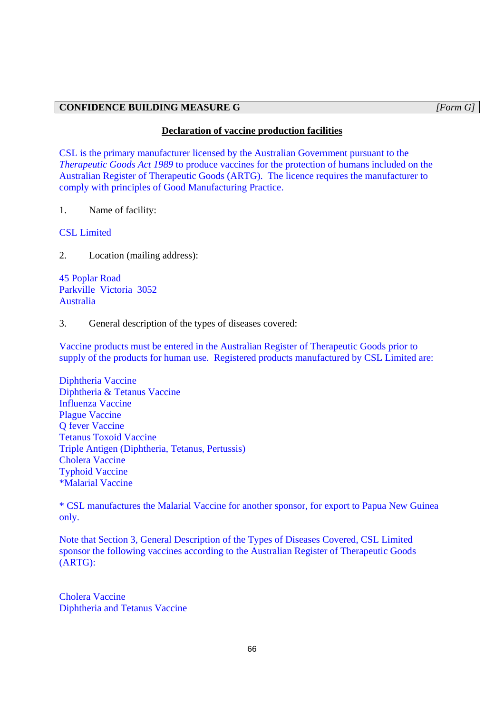### **CONFIDENCE BUILDING MEASURE G** *[Form G]*

### **Declaration of vaccine production facilities**

CSL is the primary manufacturer licensed by the Australian Government pursuant to the *Therapeutic Goods Act 1989* to produce vaccines for the protection of humans included on the Australian Register of Therapeutic Goods (ARTG). The licence requires the manufacturer to comply with principles of Good Manufacturing Practice.

1. Name of facility:

CSL Limited

2. Location (mailing address):

45 Poplar Road Parkville Victoria 3052 Australia

3. General description of the types of diseases covered:

Vaccine products must be entered in the Australian Register of Therapeutic Goods prior to supply of the products for human use. Registered products manufactured by CSL Limited are:

Diphtheria Vaccine Diphtheria & Tetanus Vaccine Influenza Vaccine Plague Vaccine Q fever Vaccine Tetanus Toxoid Vaccine Triple Antigen (Diphtheria, Tetanus, Pertussis) Cholera Vaccine Typhoid Vaccine \*Malarial Vaccine

\* CSL manufactures the Malarial Vaccine for another sponsor, for export to Papua New Guinea only.

Note that Section 3, General Description of the Types of Diseases Covered, CSL Limited sponsor the following vaccines according to the Australian Register of Therapeutic Goods (ARTG):

Cholera Vaccine Diphtheria and Tetanus Vaccine